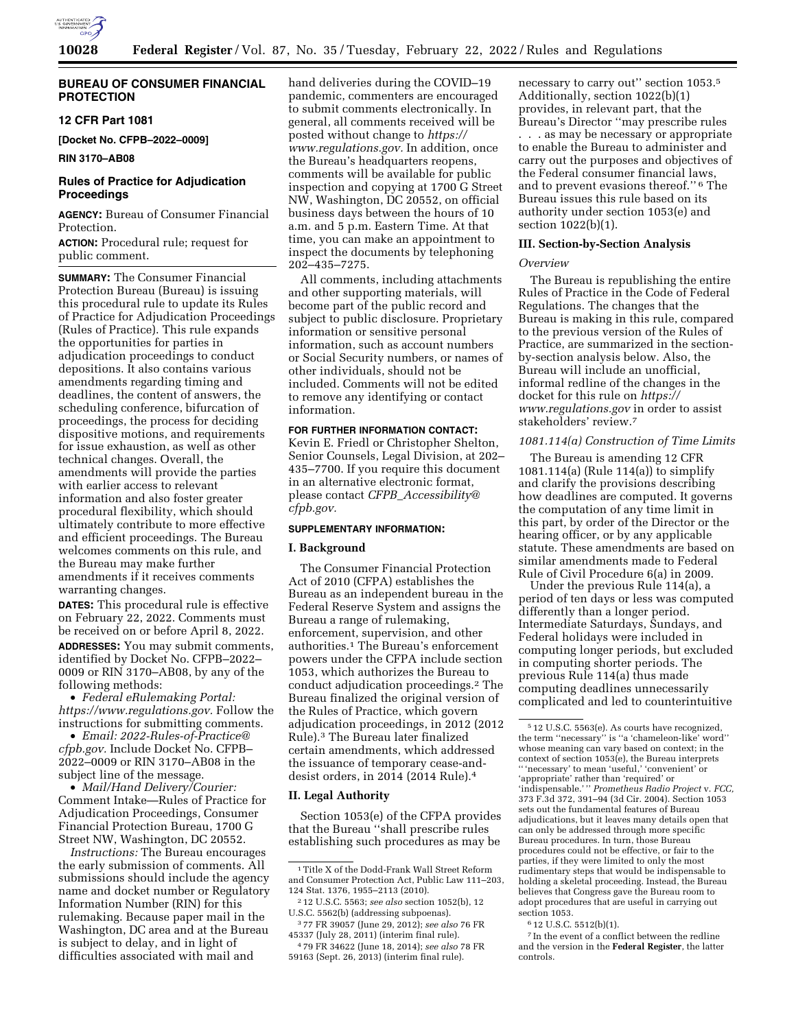

## **BUREAU OF CONSUMER FINANCIAL PROTECTION**

# **12 CFR Part 1081**

**[Docket No. CFPB–2022–0009]** 

**RIN 3170–AB08** 

# **Rules of Practice for Adjudication Proceedings**

**AGENCY:** Bureau of Consumer Financial Protection.

**ACTION:** Procedural rule; request for public comment.

**SUMMARY:** The Consumer Financial Protection Bureau (Bureau) is issuing this procedural rule to update its Rules of Practice for Adjudication Proceedings (Rules of Practice). This rule expands the opportunities for parties in adjudication proceedings to conduct depositions. It also contains various amendments regarding timing and deadlines, the content of answers, the scheduling conference, bifurcation of proceedings, the process for deciding dispositive motions, and requirements for issue exhaustion, as well as other technical changes. Overall, the amendments will provide the parties with earlier access to relevant information and also foster greater procedural flexibility, which should ultimately contribute to more effective and efficient proceedings. The Bureau welcomes comments on this rule, and the Bureau may make further amendments if it receives comments warranting changes.

**DATES:** This procedural rule is effective on February 22, 2022. Comments must be received on or before April 8, 2022.

**ADDRESSES:** You may submit comments, identified by Docket No. CFPB–2022– 0009 or RIN 3170–AB08, by any of the following methods:

• *Federal eRulemaking Portal: [https://www.regulations.gov.](https://www.regulations.gov)* Follow the instructions for submitting comments.

• *Email: [2022-Rules-of-Practice@](mailto:2022-Rules-of-Practice@cfpb.gov) [cfpb.gov.](mailto:2022-Rules-of-Practice@cfpb.gov)* Include Docket No. CFPB– 2022–0009 or RIN 3170–AB08 in the subject line of the message.

• *Mail/Hand Delivery/Courier:*  Comment Intake—Rules of Practice for Adjudication Proceedings, Consumer Financial Protection Bureau, 1700 G Street NW, Washington, DC 20552.

*Instructions:* The Bureau encourages the early submission of comments. All submissions should include the agency name and docket number or Regulatory Information Number (RIN) for this rulemaking. Because paper mail in the Washington, DC area and at the Bureau is subject to delay, and in light of difficulties associated with mail and

hand deliveries during the COVID–19 pandemic, commenters are encouraged to submit comments electronically. In general, all comments received will be posted without change to *[https://](https://www.regulations.gov) [www.regulations.gov.](https://www.regulations.gov)* In addition, once the Bureau's headquarters reopens, comments will be available for public inspection and copying at 1700 G Street NW, Washington, DC 20552, on official business days between the hours of 10 a.m. and 5 p.m. Eastern Time. At that time, you can make an appointment to inspect the documents by telephoning 202–435–7275.

All comments, including attachments and other supporting materials, will become part of the public record and subject to public disclosure. Proprietary information or sensitive personal information, such as account numbers or Social Security numbers, or names of other individuals, should not be included. Comments will not be edited to remove any identifying or contact information.

#### **FOR FURTHER INFORMATION CONTACT:**

Kevin E. Friedl or Christopher Shelton, Senior Counsels, Legal Division, at 202– 435–7700. If you require this document in an alternative electronic format, please contact *CFPB*\_*[Accessibility@](mailto:CFPB_Accessibility@cfpb.gov) [cfpb.gov.](mailto:CFPB_Accessibility@cfpb.gov)* 

#### **SUPPLEMENTARY INFORMATION:**

### **I. Background**

The Consumer Financial Protection Act of 2010 (CFPA) establishes the Bureau as an independent bureau in the Federal Reserve System and assigns the Bureau a range of rulemaking, enforcement, supervision, and other authorities.1 The Bureau's enforcement powers under the CFPA include section 1053, which authorizes the Bureau to conduct adjudication proceedings.2 The Bureau finalized the original version of the Rules of Practice, which govern adjudication proceedings, in 2012 (2012 Rule).3 The Bureau later finalized certain amendments, which addressed the issuance of temporary cease-anddesist orders, in 2014 (2014 Rule).4

#### **II. Legal Authority**

Section 1053(e) of the CFPA provides that the Bureau ''shall prescribe rules establishing such procedures as may be

2 12 U.S.C. 5563; *see also* section 1052(b), 12 U.S.C. 5562(b) (addressing subpoenas).

3 77 FR 39057 (June 29, 2012); *see also* 76 FR 45337 (July 28, 2011) (interim final rule).

4 79 FR 34622 (June 18, 2014); *see also* 78 FR 59163 (Sept. 26, 2013) (interim final rule).

necessary to carry out'' section 1053.5 Additionally, section 1022(b)(1) provides, in relevant part, that the Bureau's Director ''may prescribe rules . . . as may be necessary or appropriate to enable the Bureau to administer and carry out the purposes and objectives of the Federal consumer financial laws, and to prevent evasions thereof.'' 6 The Bureau issues this rule based on its authority under section 1053(e) and section 1022(b)(1).

### **III. Section-by-Section Analysis**

## *Overview*

The Bureau is republishing the entire Rules of Practice in the Code of Federal Regulations. The changes that the Bureau is making in this rule, compared to the previous version of the Rules of Practice, are summarized in the sectionby-section analysis below. Also, the Bureau will include an unofficial, informal redline of the changes in the docket for this rule on *[https://](https://www.regulations.gov) [www.regulations.gov](https://www.regulations.gov)* in order to assist stakeholders' review.7

### *1081.114(a) Construction of Time Limits*

The Bureau is amending 12 CFR 1081.114(a) (Rule 114(a)) to simplify and clarify the provisions describing how deadlines are computed. It governs the computation of any time limit in this part, by order of the Director or the hearing officer, or by any applicable statute. These amendments are based on similar amendments made to Federal Rule of Civil Procedure 6(a) in 2009.

Under the previous Rule 114(a), a period of ten days or less was computed differently than a longer period. Intermediate Saturdays, Sundays, and Federal holidays were included in computing longer periods, but excluded in computing shorter periods. The previous Rule 114(a) thus made computing deadlines unnecessarily complicated and led to counterintuitive

 $^{\rm 1}\rm{Title}$  X of the Dodd-Frank Wall Street Reform and Consumer Protection Act, Public Law 111–203, 124 Stat. 1376, 1955–2113 (2010).

<sup>5</sup> 12 U.S.C. 5563(e). As courts have recognized, the term ''necessary'' is ''a 'chameleon-like' word'' whose meaning can vary based on context; in the context of section 1053(e), the Bureau interprets '' 'necessary' to mean 'useful,' 'convenient' or 'appropriate' rather than 'required' or 'indispensable.' '' *Prometheus Radio Project* v. *FCC,*  373 F.3d 372, 391–94 (3d Cir. 2004). Section 1053 sets out the fundamental features of Bureau adjudications, but it leaves many details open that can only be addressed through more specific Bureau procedures. In turn, those Bureau procedures could not be effective, or fair to the parties, if they were limited to only the most rudimentary steps that would be indispensable to holding a skeletal proceeding. Instead, the Bureau believes that Congress gave the Bureau room to adopt procedures that are useful in carrying out section 1053.

<sup>6</sup> 12 U.S.C. 5512(b)(1).

<sup>7</sup> In the event of a conflict between the redline and the version in the **Federal Register**, the latter controls.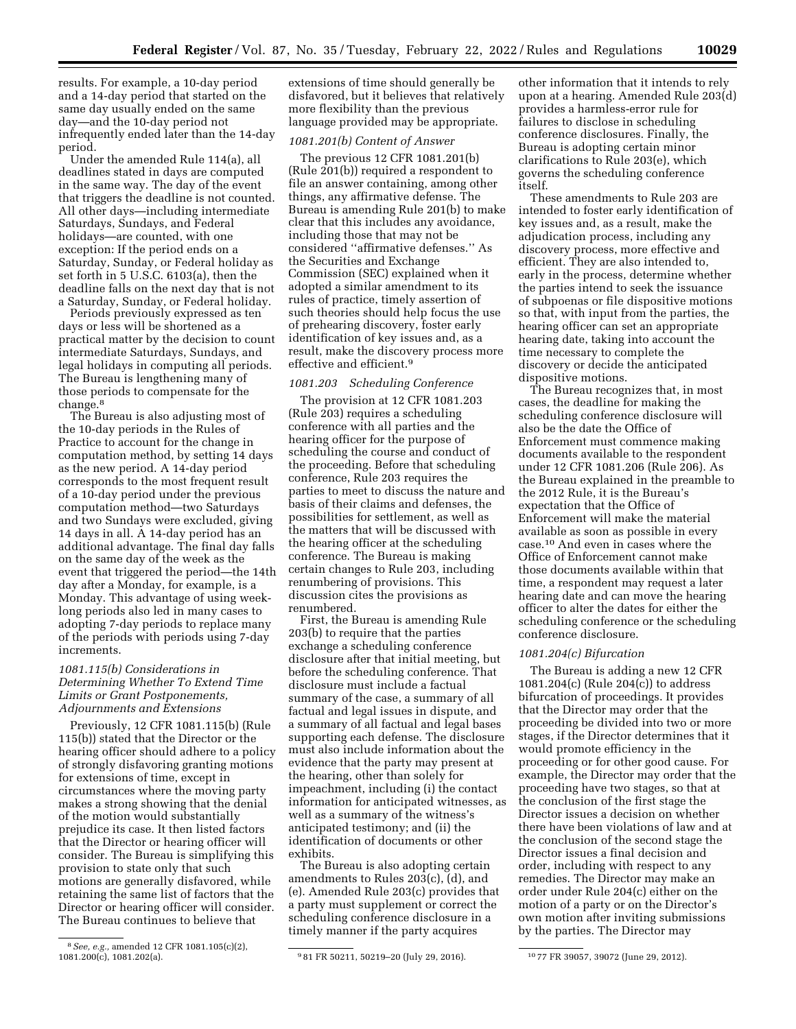results. For example, a 10-day period and a 14-day period that started on the same day usually ended on the same day—and the 10-day period not infrequently ended later than the 14-day period.

Under the amended Rule 114(a), all deadlines stated in days are computed in the same way. The day of the event that triggers the deadline is not counted. All other days—including intermediate Saturdays, Sundays, and Federal holidays—are counted, with one exception: If the period ends on a Saturday, Sunday, or Federal holiday as set forth in 5 U.S.C. 6103(a), then the deadline falls on the next day that is not a Saturday, Sunday, or Federal holiday.

Periods previously expressed as ten days or less will be shortened as a practical matter by the decision to count intermediate Saturdays, Sundays, and legal holidays in computing all periods. The Bureau is lengthening many of those periods to compensate for the change.8

The Bureau is also adjusting most of the 10-day periods in the Rules of Practice to account for the change in computation method, by setting 14 days as the new period. A 14-day period corresponds to the most frequent result of a 10-day period under the previous computation method—two Saturdays and two Sundays were excluded, giving 14 days in all. A 14-day period has an additional advantage. The final day falls on the same day of the week as the event that triggered the period—the 14th day after a Monday, for example, is a Monday. This advantage of using weeklong periods also led in many cases to adopting 7-day periods to replace many of the periods with periods using 7-day increments.

# *1081.115(b) Considerations in Determining Whether To Extend Time Limits or Grant Postponements, Adjournments and Extensions*

Previously, 12 CFR 1081.115(b) (Rule 115(b)) stated that the Director or the hearing officer should adhere to a policy of strongly disfavoring granting motions for extensions of time, except in circumstances where the moving party makes a strong showing that the denial of the motion would substantially prejudice its case. It then listed factors that the Director or hearing officer will consider. The Bureau is simplifying this provision to state only that such motions are generally disfavored, while retaining the same list of factors that the Director or hearing officer will consider. The Bureau continues to believe that

extensions of time should generally be disfavored, but it believes that relatively more flexibility than the previous language provided may be appropriate.

## *1081.201(b) Content of Answer*

The previous 12 CFR 1081.201(b) (Rule 201(b)) required a respondent to file an answer containing, among other things, any affirmative defense. The Bureau is amending Rule 201(b) to make clear that this includes any avoidance, including those that may not be considered ''affirmative defenses.'' As the Securities and Exchange Commission (SEC) explained when it adopted a similar amendment to its rules of practice, timely assertion of such theories should help focus the use of prehearing discovery, foster early identification of key issues and, as a result, make the discovery process more effective and efficient.9

## *1081.203 Scheduling Conference*

The provision at 12 CFR 1081.203 (Rule 203) requires a scheduling conference with all parties and the hearing officer for the purpose of scheduling the course and conduct of the proceeding. Before that scheduling conference, Rule 203 requires the parties to meet to discuss the nature and basis of their claims and defenses, the possibilities for settlement, as well as the matters that will be discussed with the hearing officer at the scheduling conference. The Bureau is making certain changes to Rule 203, including renumbering of provisions. This discussion cites the provisions as renumbered.

First, the Bureau is amending Rule 203(b) to require that the parties exchange a scheduling conference disclosure after that initial meeting, but before the scheduling conference. That disclosure must include a factual summary of the case, a summary of all factual and legal issues in dispute, and a summary of all factual and legal bases supporting each defense. The disclosure must also include information about the evidence that the party may present at the hearing, other than solely for impeachment, including (i) the contact information for anticipated witnesses, as well as a summary of the witness's anticipated testimony; and (ii) the identification of documents or other exhibits.

The Bureau is also adopting certain amendments to Rules 203(c), (d), and (e). Amended Rule 203(c) provides that a party must supplement or correct the scheduling conference disclosure in a timely manner if the party acquires

other information that it intends to rely upon at a hearing. Amended Rule 203(d) provides a harmless-error rule for failures to disclose in scheduling conference disclosures. Finally, the Bureau is adopting certain minor clarifications to Rule 203(e), which governs the scheduling conference itself.

These amendments to Rule 203 are intended to foster early identification of key issues and, as a result, make the adjudication process, including any discovery process, more effective and efficient. They are also intended to, early in the process, determine whether the parties intend to seek the issuance of subpoenas or file dispositive motions so that, with input from the parties, the hearing officer can set an appropriate hearing date, taking into account the time necessary to complete the discovery or decide the anticipated dispositive motions.

The Bureau recognizes that, in most cases, the deadline for making the scheduling conference disclosure will also be the date the Office of Enforcement must commence making documents available to the respondent under 12 CFR 1081.206 (Rule 206). As the Bureau explained in the preamble to the 2012 Rule, it is the Bureau's expectation that the Office of Enforcement will make the material available as soon as possible in every case.10 And even in cases where the Office of Enforcement cannot make those documents available within that time, a respondent may request a later hearing date and can move the hearing officer to alter the dates for either the scheduling conference or the scheduling conference disclosure.

#### *1081.204(c) Bifurcation*

The Bureau is adding a new 12 CFR 1081.204(c) (Rule 204(c)) to address bifurcation of proceedings. It provides that the Director may order that the proceeding be divided into two or more stages, if the Director determines that it would promote efficiency in the proceeding or for other good cause. For example, the Director may order that the proceeding have two stages, so that at the conclusion of the first stage the Director issues a decision on whether there have been violations of law and at the conclusion of the second stage the Director issues a final decision and order, including with respect to any remedies. The Director may make an order under Rule 204(c) either on the motion of a party or on the Director's own motion after inviting submissions by the parties. The Director may

<sup>&</sup>lt;sup>8</sup> See, e.g., amended 12 CFR 1081.105(c)(2), 1081.200(c), 1081.202(a).

<sup>&</sup>lt;sup>9</sup>81 FR 50211, 50219-20 (July 29, 2016). <sup>10</sup>77 FR 39057, 39072 (June 29, 2012).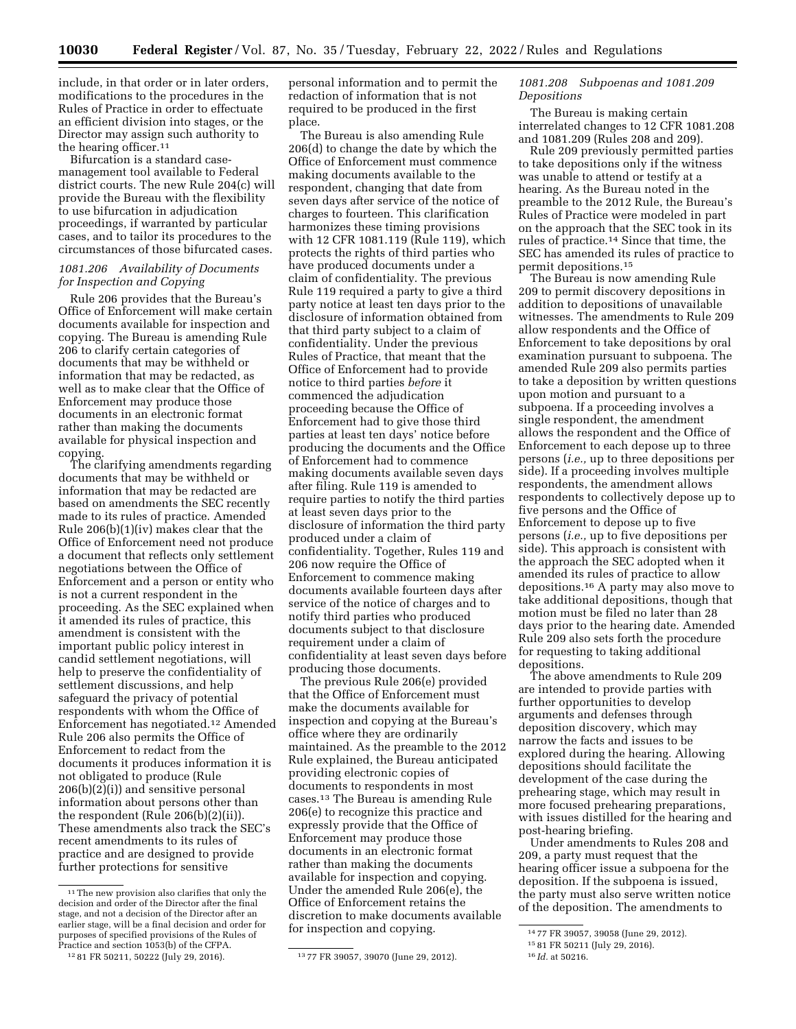include, in that order or in later orders, modifications to the procedures in the Rules of Practice in order to effectuate an efficient division into stages, or the Director may assign such authority to the hearing officer.11

Bifurcation is a standard casemanagement tool available to Federal district courts. The new Rule 204(c) will provide the Bureau with the flexibility to use bifurcation in adjudication proceedings, if warranted by particular cases, and to tailor its procedures to the circumstances of those bifurcated cases.

# *1081.206 Availability of Documents for Inspection and Copying*

Rule 206 provides that the Bureau's Office of Enforcement will make certain documents available for inspection and copying. The Bureau is amending Rule 206 to clarify certain categories of documents that may be withheld or information that may be redacted, as well as to make clear that the Office of Enforcement may produce those documents in an electronic format rather than making the documents available for physical inspection and copying.

The clarifying amendments regarding documents that may be withheld or information that may be redacted are based on amendments the SEC recently made to its rules of practice. Amended Rule 206(b)(1)(iv) makes clear that the Office of Enforcement need not produce a document that reflects only settlement negotiations between the Office of Enforcement and a person or entity who is not a current respondent in the proceeding. As the SEC explained when it amended its rules of practice, this amendment is consistent with the important public policy interest in candid settlement negotiations, will help to preserve the confidentiality of settlement discussions, and help safeguard the privacy of potential respondents with whom the Office of Enforcement has negotiated.12 Amended Rule 206 also permits the Office of Enforcement to redact from the documents it produces information it is not obligated to produce (Rule 206(b)(2)(i)) and sensitive personal information about persons other than the respondent (Rule 206(b)(2)(ii)). These amendments also track the SEC's recent amendments to its rules of practice and are designed to provide further protections for sensitive

personal information and to permit the redaction of information that is not required to be produced in the first place.

The Bureau is also amending Rule 206(d) to change the date by which the Office of Enforcement must commence making documents available to the respondent, changing that date from seven days after service of the notice of charges to fourteen. This clarification harmonizes these timing provisions with 12 CFR 1081.119 (Rule 119), which protects the rights of third parties who have produced documents under a claim of confidentiality. The previous Rule 119 required a party to give a third party notice at least ten days prior to the disclosure of information obtained from that third party subject to a claim of confidentiality. Under the previous Rules of Practice, that meant that the Office of Enforcement had to provide notice to third parties *before* it commenced the adjudication proceeding because the Office of Enforcement had to give those third parties at least ten days' notice before producing the documents and the Office of Enforcement had to commence making documents available seven days after filing. Rule 119 is amended to require parties to notify the third parties at least seven days prior to the disclosure of information the third party produced under a claim of confidentiality. Together, Rules 119 and 206 now require the Office of Enforcement to commence making documents available fourteen days after service of the notice of charges and to notify third parties who produced documents subject to that disclosure requirement under a claim of confidentiality at least seven days before producing those documents.

The previous Rule 206(e) provided that the Office of Enforcement must make the documents available for inspection and copying at the Bureau's office where they are ordinarily maintained. As the preamble to the 2012 Rule explained, the Bureau anticipated providing electronic copies of documents to respondents in most cases.13 The Bureau is amending Rule 206(e) to recognize this practice and expressly provide that the Office of Enforcement may produce those documents in an electronic format rather than making the documents available for inspection and copying. Under the amended Rule 206(e), the Office of Enforcement retains the discretion to make documents available for inspection and copying.

# *1081.208 Subpoenas and 1081.209 Depositions*

The Bureau is making certain interrelated changes to 12 CFR 1081.208 and 1081.209 (Rules 208 and 209).

Rule 209 previously permitted parties to take depositions only if the witness was unable to attend or testify at a hearing. As the Bureau noted in the preamble to the 2012 Rule, the Bureau's Rules of Practice were modeled in part on the approach that the SEC took in its rules of practice.14 Since that time, the SEC has amended its rules of practice to permit depositions.15

The Bureau is now amending Rule 209 to permit discovery depositions in addition to depositions of unavailable witnesses. The amendments to Rule 209 allow respondents and the Office of Enforcement to take depositions by oral examination pursuant to subpoena. The amended Rule 209 also permits parties to take a deposition by written questions upon motion and pursuant to a subpoena. If a proceeding involves a single respondent, the amendment allows the respondent and the Office of Enforcement to each depose up to three persons (*i.e.,* up to three depositions per side). If a proceeding involves multiple respondents, the amendment allows respondents to collectively depose up to five persons and the Office of Enforcement to depose up to five persons (*i.e.,* up to five depositions per side). This approach is consistent with the approach the SEC adopted when it amended its rules of practice to allow depositions.16 A party may also move to take additional depositions, though that motion must be filed no later than 28 days prior to the hearing date. Amended Rule 209 also sets forth the procedure for requesting to taking additional depositions.

The above amendments to Rule 209 are intended to provide parties with further opportunities to develop arguments and defenses through deposition discovery, which may narrow the facts and issues to be explored during the hearing. Allowing depositions should facilitate the development of the case during the prehearing stage, which may result in more focused prehearing preparations, with issues distilled for the hearing and post-hearing briefing.

Under amendments to Rules 208 and 209, a party must request that the hearing officer issue a subpoena for the deposition. If the subpoena is issued, the party must also serve written notice of the deposition. The amendments to

 $^{\rm 11}$  The new provision also clarifies that only the decision and order of the Director after the final stage, and not a decision of the Director after an earlier stage, will be a final decision and order for purposes of specified provisions of the Rules of Practice and section 1053(b) of the CFPA.

<sup>12</sup> 81 FR 50211, 50222 (July 29, 2016). 13 77 FR 39057, 39070 (June 29, 2012).

<sup>14</sup> 77 FR 39057, 39058 (June 29, 2012).

<sup>15</sup> 81 FR 50211 (July 29, 2016).

<sup>16</sup> *Id.* at 50216.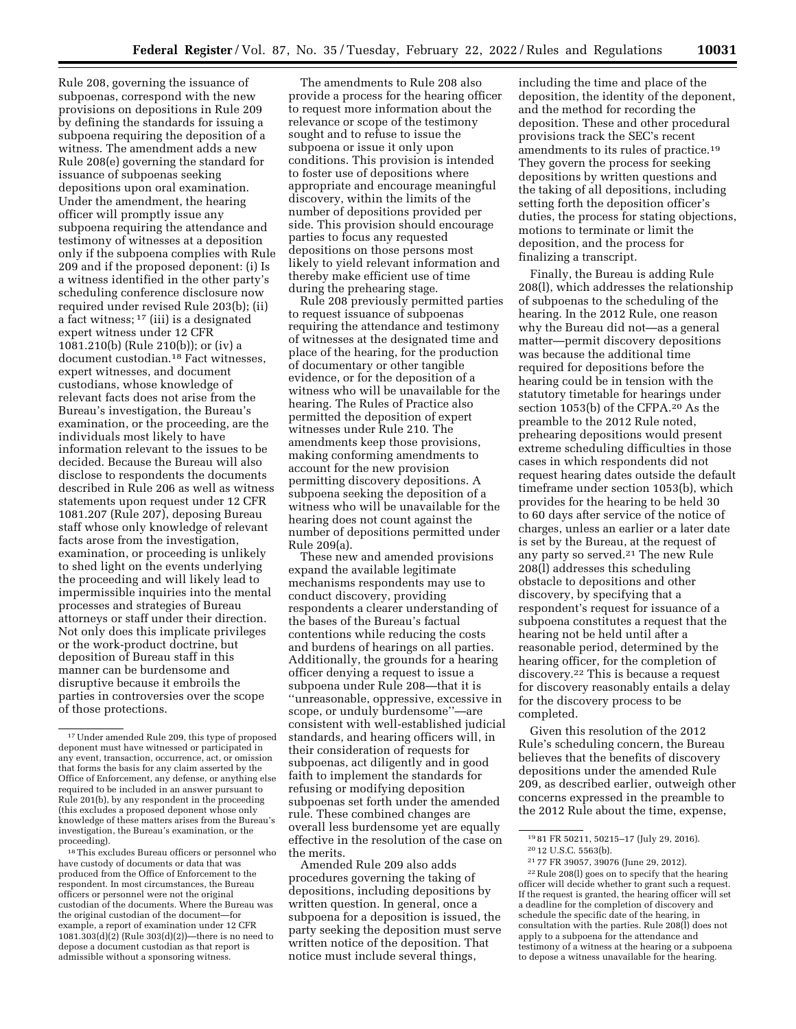Rule 208, governing the issuance of subpoenas, correspond with the new provisions on depositions in Rule 209 by defining the standards for issuing a subpoena requiring the deposition of a witness. The amendment adds a new Rule 208(e) governing the standard for issuance of subpoenas seeking depositions upon oral examination. Under the amendment, the hearing officer will promptly issue any subpoena requiring the attendance and testimony of witnesses at a deposition only if the subpoena complies with Rule 209 and if the proposed deponent: (i) Is a witness identified in the other party's scheduling conference disclosure now required under revised Rule 203(b); (ii) a fact witness; 17 (iii) is a designated expert witness under 12 CFR 1081.210(b) (Rule 210(b)); or (iv) a document custodian.18 Fact witnesses, expert witnesses, and document custodians, whose knowledge of relevant facts does not arise from the Bureau's investigation, the Bureau's examination, or the proceeding, are the individuals most likely to have information relevant to the issues to be decided. Because the Bureau will also disclose to respondents the documents described in Rule 206 as well as witness statements upon request under 12 CFR 1081.207 (Rule 207), deposing Bureau staff whose only knowledge of relevant facts arose from the investigation, examination, or proceeding is unlikely to shed light on the events underlying the proceeding and will likely lead to impermissible inquiries into the mental processes and strategies of Bureau attorneys or staff under their direction. Not only does this implicate privileges or the work-product doctrine, but deposition of Bureau staff in this manner can be burdensome and disruptive because it embroils the parties in controversies over the scope of those protections.

 $^{\rm 18}\!$  This excludes Bureau officers or personnel who have custody of documents or data that was produced from the Office of Enforcement to the respondent. In most circumstances, the Bureau officers or personnel were not the original custodian of the documents. Where the Bureau was the original custodian of the document—for example, a report of examination under 12 CFR 1081.303(d)(2) (Rule 303(d)(2))—there is no need to depose a document custodian as that report is admissible without a sponsoring witness.

The amendments to Rule 208 also provide a process for the hearing officer to request more information about the relevance or scope of the testimony sought and to refuse to issue the subpoena or issue it only upon conditions. This provision is intended to foster use of depositions where appropriate and encourage meaningful discovery, within the limits of the number of depositions provided per side. This provision should encourage parties to focus any requested depositions on those persons most likely to yield relevant information and thereby make efficient use of time during the prehearing stage.

Rule 208 previously permitted parties to request issuance of subpoenas requiring the attendance and testimony of witnesses at the designated time and place of the hearing, for the production of documentary or other tangible evidence, or for the deposition of a witness who will be unavailable for the hearing. The Rules of Practice also permitted the deposition of expert witnesses under Rule 210. The amendments keep those provisions, making conforming amendments to account for the new provision permitting discovery depositions. A subpoena seeking the deposition of a witness who will be unavailable for the hearing does not count against the number of depositions permitted under Rule 209(a).

These new and amended provisions expand the available legitimate mechanisms respondents may use to conduct discovery, providing respondents a clearer understanding of the bases of the Bureau's factual contentions while reducing the costs and burdens of hearings on all parties. Additionally, the grounds for a hearing officer denying a request to issue a subpoena under Rule 208—that it is ''unreasonable, oppressive, excessive in scope, or unduly burdensome''—are consistent with well-established judicial standards, and hearing officers will, in their consideration of requests for subpoenas, act diligently and in good faith to implement the standards for refusing or modifying deposition subpoenas set forth under the amended rule. These combined changes are overall less burdensome yet are equally effective in the resolution of the case on the merits.

Amended Rule 209 also adds procedures governing the taking of depositions, including depositions by written question. In general, once a subpoena for a deposition is issued, the party seeking the deposition must serve written notice of the deposition. That notice must include several things,

including the time and place of the deposition, the identity of the deponent, and the method for recording the deposition. These and other procedural provisions track the SEC's recent amendments to its rules of practice.19 They govern the process for seeking depositions by written questions and the taking of all depositions, including setting forth the deposition officer's duties, the process for stating objections, motions to terminate or limit the deposition, and the process for finalizing a transcript.

Finally, the Bureau is adding Rule 208(l), which addresses the relationship of subpoenas to the scheduling of the hearing. In the 2012 Rule, one reason why the Bureau did not—as a general matter—permit discovery depositions was because the additional time required for depositions before the hearing could be in tension with the statutory timetable for hearings under section 1053(b) of the CFPA.20 As the preamble to the 2012 Rule noted, prehearing depositions would present extreme scheduling difficulties in those cases in which respondents did not request hearing dates outside the default timeframe under section 1053(b), which provides for the hearing to be held 30 to 60 days after service of the notice of charges, unless an earlier or a later date is set by the Bureau, at the request of any party so served.21 The new Rule 208(l) addresses this scheduling obstacle to depositions and other discovery, by specifying that a respondent's request for issuance of a subpoena constitutes a request that the hearing not be held until after a reasonable period, determined by the hearing officer, for the completion of discovery.22 This is because a request for discovery reasonably entails a delay for the discovery process to be completed.

Given this resolution of the 2012 Rule's scheduling concern, the Bureau believes that the benefits of discovery depositions under the amended Rule 209, as described earlier, outweigh other concerns expressed in the preamble to the 2012 Rule about the time, expense,

<sup>17</sup>Under amended Rule 209, this type of proposed deponent must have witnessed or participated in any event, transaction, occurrence, act, or omission that forms the basis for any claim asserted by the Office of Enforcement, any defense, or anything else required to be included in an answer pursuant to Rule 201(b), by any respondent in the proceeding (this excludes a proposed deponent whose only knowledge of these matters arises from the Bureau's investigation, the Bureau's examination, or the proceeding).

<sup>19</sup> 81 FR 50211, 50215–17 (July 29, 2016). 20 12 U.S.C. 5563(b).

<sup>21</sup> 77 FR 39057, 39076 (June 29, 2012).

<sup>22</sup>Rule 208(l) goes on to specify that the hearing officer will decide whether to grant such a request. If the request is granted, the hearing officer will set a deadline for the completion of discovery and schedule the specific date of the hearing, in consultation with the parties. Rule 208(l) does not apply to a subpoena for the attendance and testimony of a witness at the hearing or a subpoena to depose a witness unavailable for the hearing.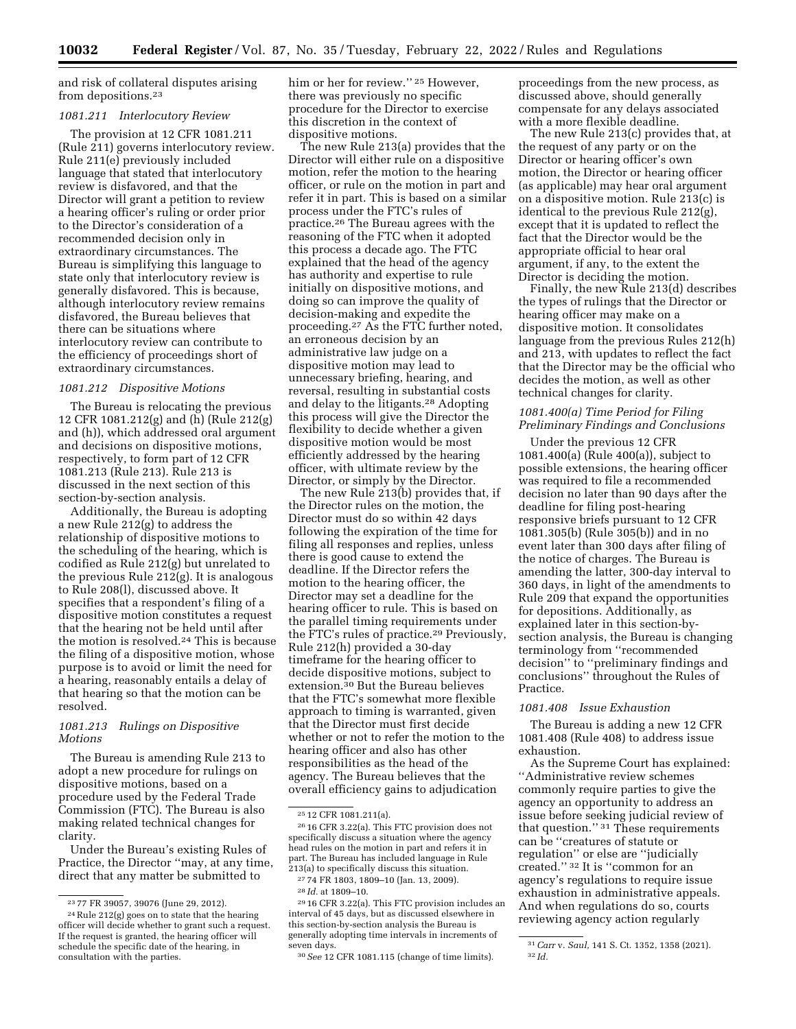and risk of collateral disputes arising from depositions.23

### *1081.211 Interlocutory Review*

The provision at 12 CFR 1081.211 (Rule 211) governs interlocutory review. Rule 211(e) previously included language that stated that interlocutory review is disfavored, and that the Director will grant a petition to review a hearing officer's ruling or order prior to the Director's consideration of a recommended decision only in extraordinary circumstances. The Bureau is simplifying this language to state only that interlocutory review is generally disfavored. This is because, although interlocutory review remains disfavored, the Bureau believes that there can be situations where interlocutory review can contribute to the efficiency of proceedings short of extraordinary circumstances.

# *1081.212 Dispositive Motions*

The Bureau is relocating the previous 12 CFR 1081.212(g) and (h) (Rule 212(g) and (h)), which addressed oral argument and decisions on dispositive motions, respectively, to form part of 12 CFR 1081.213 (Rule 213). Rule 213 is discussed in the next section of this section-by-section analysis.

Additionally, the Bureau is adopting a new Rule 212(g) to address the relationship of dispositive motions to the scheduling of the hearing, which is codified as Rule 212(g) but unrelated to the previous Rule  $212(g)$ . It is analogous to Rule 208(l), discussed above. It specifies that a respondent's filing of a dispositive motion constitutes a request that the hearing not be held until after the motion is resolved.24 This is because the filing of a dispositive motion, whose purpose is to avoid or limit the need for a hearing, reasonably entails a delay of that hearing so that the motion can be resolved.

## *1081.213 Rulings on Dispositive Motions*

The Bureau is amending Rule 213 to adopt a new procedure for rulings on dispositive motions, based on a procedure used by the Federal Trade Commission (FTC). The Bureau is also making related technical changes for clarity.

Under the Bureau's existing Rules of Practice, the Director ''may, at any time, direct that any matter be submitted to

him or her for review."<sup>25</sup> However, there was previously no specific procedure for the Director to exercise this discretion in the context of dispositive motions.

The new Rule 213(a) provides that the Director will either rule on a dispositive motion, refer the motion to the hearing officer, or rule on the motion in part and refer it in part. This is based on a similar process under the FTC's rules of practice.26 The Bureau agrees with the reasoning of the FTC when it adopted this process a decade ago. The FTC explained that the head of the agency has authority and expertise to rule initially on dispositive motions, and doing so can improve the quality of decision-making and expedite the proceeding.27 As the FTC further noted, an erroneous decision by an administrative law judge on a dispositive motion may lead to unnecessary briefing, hearing, and reversal, resulting in substantial costs and delay to the litigants.28 Adopting this process will give the Director the flexibility to decide whether a given dispositive motion would be most efficiently addressed by the hearing officer, with ultimate review by the Director, or simply by the Director.

The new Rule 213(b) provides that, if the Director rules on the motion, the Director must do so within 42 days following the expiration of the time for filing all responses and replies, unless there is good cause to extend the deadline. If the Director refers the motion to the hearing officer, the Director may set a deadline for the hearing officer to rule. This is based on the parallel timing requirements under the FTC's rules of practice.29 Previously, Rule 212(h) provided a 30-day timeframe for the hearing officer to decide dispositive motions, subject to extension.30 But the Bureau believes that the FTC's somewhat more flexible approach to timing is warranted, given that the Director must first decide whether or not to refer the motion to the hearing officer and also has other responsibilities as the head of the agency. The Bureau believes that the overall efficiency gains to adjudication

proceedings from the new process, as discussed above, should generally compensate for any delays associated with a more flexible deadline.

The new Rule 213(c) provides that, at the request of any party or on the Director or hearing officer's own motion, the Director or hearing officer (as applicable) may hear oral argument on a dispositive motion. Rule 213(c) is identical to the previous Rule 212(g), except that it is updated to reflect the fact that the Director would be the appropriate official to hear oral argument, if any, to the extent the Director is deciding the motion.

Finally, the new Rule 213(d) describes the types of rulings that the Director or hearing officer may make on a dispositive motion. It consolidates language from the previous Rules 212(h) and 213, with updates to reflect the fact that the Director may be the official who decides the motion, as well as other technical changes for clarity.

## *1081.400(a) Time Period for Filing Preliminary Findings and Conclusions*

Under the previous 12 CFR 1081.400(a) (Rule 400(a)), subject to possible extensions, the hearing officer was required to file a recommended decision no later than 90 days after the deadline for filing post-hearing responsive briefs pursuant to 12 CFR 1081.305(b) (Rule 305(b)) and in no event later than 300 days after filing of the notice of charges. The Bureau is amending the latter, 300-day interval to 360 days, in light of the amendments to Rule 209 that expand the opportunities for depositions. Additionally, as explained later in this section-bysection analysis, the Bureau is changing terminology from ''recommended decision'' to ''preliminary findings and conclusions'' throughout the Rules of Practice.

#### *1081.408 Issue Exhaustion*

The Bureau is adding a new 12 CFR 1081.408 (Rule 408) to address issue exhaustion.

As the Supreme Court has explained: ''Administrative review schemes commonly require parties to give the agency an opportunity to address an issue before seeking judicial review of that question.'' 31 These requirements can be ''creatures of statute or regulation'' or else are ''judicially created.'' 32 It is ''common for an agency's regulations to require issue exhaustion in administrative appeals. And when regulations do so, courts reviewing agency action regularly

<sup>23</sup> 77 FR 39057, 39076 (June 29, 2012).

<sup>24</sup>Rule 212(g) goes on to state that the hearing officer will decide whether to grant such a request. If the request is granted, the hearing officer will schedule the specific date of the hearing, in consultation with the parties.

<sup>25</sup> 12 CFR 1081.211(a).

<sup>26</sup> 16 CFR 3.22(a). This FTC provision does not specifically discuss a situation where the agency head rules on the motion in part and refers it in part. The Bureau has included language in Rule 213(a) to specifically discuss this situation.

<sup>27</sup> 74 FR 1803, 1809–10 (Jan. 13, 2009).

<sup>28</sup> *Id.* at 1809–10.

<sup>29</sup> 16 CFR 3.22(a). This FTC provision includes an interval of 45 days, but as discussed elsewhere in this section-by-section analysis the Bureau is generally adopting time intervals in increments of seven days.

<sup>30</sup>*See* 12 CFR 1081.115 (change of time limits).

<sup>31</sup>*Carr* v. *Saul,* 141 S. Ct. 1352, 1358 (2021). 32 *Id.*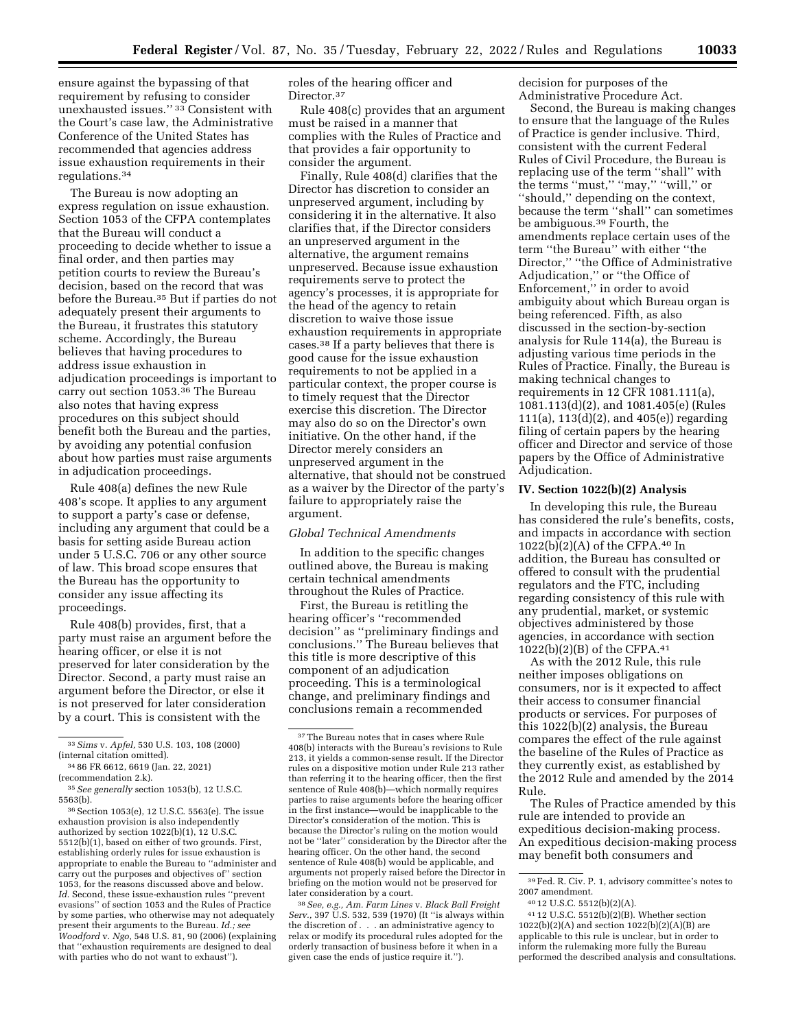ensure against the bypassing of that requirement by refusing to consider unexhausted issues.'' 33 Consistent with the Court's case law, the Administrative Conference of the United States has recommended that agencies address issue exhaustion requirements in their regulations.34

The Bureau is now adopting an express regulation on issue exhaustion. Section 1053 of the CFPA contemplates that the Bureau will conduct a proceeding to decide whether to issue a final order, and then parties may petition courts to review the Bureau's decision, based on the record that was before the Bureau.35 But if parties do not adequately present their arguments to the Bureau, it frustrates this statutory scheme. Accordingly, the Bureau believes that having procedures to address issue exhaustion in adjudication proceedings is important to carry out section 1053.36 The Bureau also notes that having express procedures on this subject should benefit both the Bureau and the parties, by avoiding any potential confusion about how parties must raise arguments in adjudication proceedings.

Rule 408(a) defines the new Rule 408's scope. It applies to any argument to support a party's case or defense, including any argument that could be a basis for setting aside Bureau action under 5 U.S.C. 706 or any other source of law. This broad scope ensures that the Bureau has the opportunity to consider any issue affecting its proceedings.

Rule 408(b) provides, first, that a party must raise an argument before the hearing officer, or else it is not preserved for later consideration by the Director. Second, a party must raise an argument before the Director, or else it is not preserved for later consideration by a court. This is consistent with the

36Section 1053(e), 12 U.S.C. 5563(e). The issue exhaustion provision is also independently authorized by section 1022(b)(1), 12 U.S.C. 5512(b)(1), based on either of two grounds. First, establishing orderly rules for issue exhaustion is appropriate to enable the Bureau to ''administer and carry out the purposes and objectives of'' section 1053, for the reasons discussed above and below. *Id.* Second, these issue-exhaustion rules ''prevent evasions'' of section 1053 and the Rules of Practice by some parties, who otherwise may not adequately present their arguments to the Bureau. *Id.; see Woodford* v. *Ngo,* 548 U.S. 81, 90 (2006) (explaining that ''exhaustion requirements are designed to deal with parties who do not want to exhaust'').

roles of the hearing officer and Director.<sup>37</sup>

Rule 408(c) provides that an argument must be raised in a manner that complies with the Rules of Practice and that provides a fair opportunity to consider the argument.

Finally, Rule 408(d) clarifies that the Director has discretion to consider an unpreserved argument, including by considering it in the alternative. It also clarifies that, if the Director considers an unpreserved argument in the alternative, the argument remains unpreserved. Because issue exhaustion requirements serve to protect the agency's processes, it is appropriate for the head of the agency to retain discretion to waive those issue exhaustion requirements in appropriate cases.38 If a party believes that there is good cause for the issue exhaustion requirements to not be applied in a particular context, the proper course is to timely request that the Director exercise this discretion. The Director may also do so on the Director's own initiative. On the other hand, if the Director merely considers an unpreserved argument in the alternative, that should not be construed as a waiver by the Director of the party's failure to appropriately raise the argument.

### *Global Technical Amendments*

In addition to the specific changes outlined above, the Bureau is making certain technical amendments throughout the Rules of Practice.

First, the Bureau is retitling the hearing officer's ''recommended decision'' as ''preliminary findings and conclusions.'' The Bureau believes that this title is more descriptive of this component of an adjudication proceeding. This is a terminological change, and preliminary findings and conclusions remain a recommended

38*See, e.g., Am. Farm Lines* v. *Black Ball Freight Serv.,* 397 U.S. 532, 539 (1970) (It ''is always within the discretion of . . . an administrative agency to relax or modify its procedural rules adopted for the orderly transaction of business before it when in a given case the ends of justice require it.'').

decision for purposes of the Administrative Procedure Act.

Second, the Bureau is making changes to ensure that the language of the Rules of Practice is gender inclusive. Third, consistent with the current Federal Rules of Civil Procedure, the Bureau is replacing use of the term ''shall'' with the terms ''must,'' ''may,'' ''will,'' or ''should,'' depending on the context, because the term ''shall'' can sometimes be ambiguous.39 Fourth, the amendments replace certain uses of the term ''the Bureau'' with either ''the Director,'' ''the Office of Administrative Adjudication,'' or ''the Office of Enforcement,'' in order to avoid ambiguity about which Bureau organ is being referenced. Fifth, as also discussed in the section-by-section analysis for Rule 114(a), the Bureau is adjusting various time periods in the Rules of Practice. Finally, the Bureau is making technical changes to requirements in 12 CFR 1081.111(a), 1081.113(d)(2), and 1081.405(e) (Rules 111(a), 113(d)(2), and 405(e)) regarding filing of certain papers by the hearing officer and Director and service of those papers by the Office of Administrative Adjudication.

# **IV. Section 1022(b)(2) Analysis**

In developing this rule, the Bureau has considered the rule's benefits, costs, and impacts in accordance with section 1022(b)(2)(A) of the CFPA.40 In addition, the Bureau has consulted or offered to consult with the prudential regulators and the FTC, including regarding consistency of this rule with any prudential, market, or systemic objectives administered by those agencies, in accordance with section 1022(b)(2)(B) of the CFPA.41

As with the 2012 Rule, this rule neither imposes obligations on consumers, nor is it expected to affect their access to consumer financial products or services. For purposes of this 1022(b)(2) analysis, the Bureau compares the effect of the rule against the baseline of the Rules of Practice as they currently exist, as established by the 2012 Rule and amended by the 2014 Rule.

The Rules of Practice amended by this rule are intended to provide an expeditious decision-making process. An expeditious decision-making process may benefit both consumers and

<sup>33</sup>*Sims* v. *Apfel,* 530 U.S. 103, 108 (2000) (internal citation omitted).

<sup>34</sup> 86 FR 6612, 6619 (Jan. 22, 2021) (recommendation 2.k).

<sup>35</sup>*See generally* section 1053(b), 12 U.S.C. 5563(b).

 $^{37}\mathrm{The}$  Bureau notes that in cases where Rule 408(b) interacts with the Bureau's revisions to Rule 213, it yields a common-sense result. If the Director rules on a dispositive motion under Rule 213 rather than referring it to the hearing officer, then the first sentence of Rule 408(b)—which normally requires parties to raise arguments before the hearing officer in the first instance—would be inapplicable to the Director's consideration of the motion. This is because the Director's ruling on the motion would not be ''later'' consideration by the Director after the hearing officer. On the other hand, the second sentence of Rule 408(b) would be applicable, and arguments not properly raised before the Director in briefing on the motion would not be preserved for later consideration by a court.

<sup>39</sup>Fed. R. Civ. P. 1, advisory committee's notes to 2007 amendment.

<sup>40</sup> 12 U.S.C. 5512(b)(2)(A).

<sup>41</sup> 12 U.S.C. 5512(b)(2)(B). Whether section 1022(b)(2)(A) and section 1022(b)(2)(A)(B) are applicable to this rule is unclear, but in order to inform the rulemaking more fully the Bureau performed the described analysis and consultations.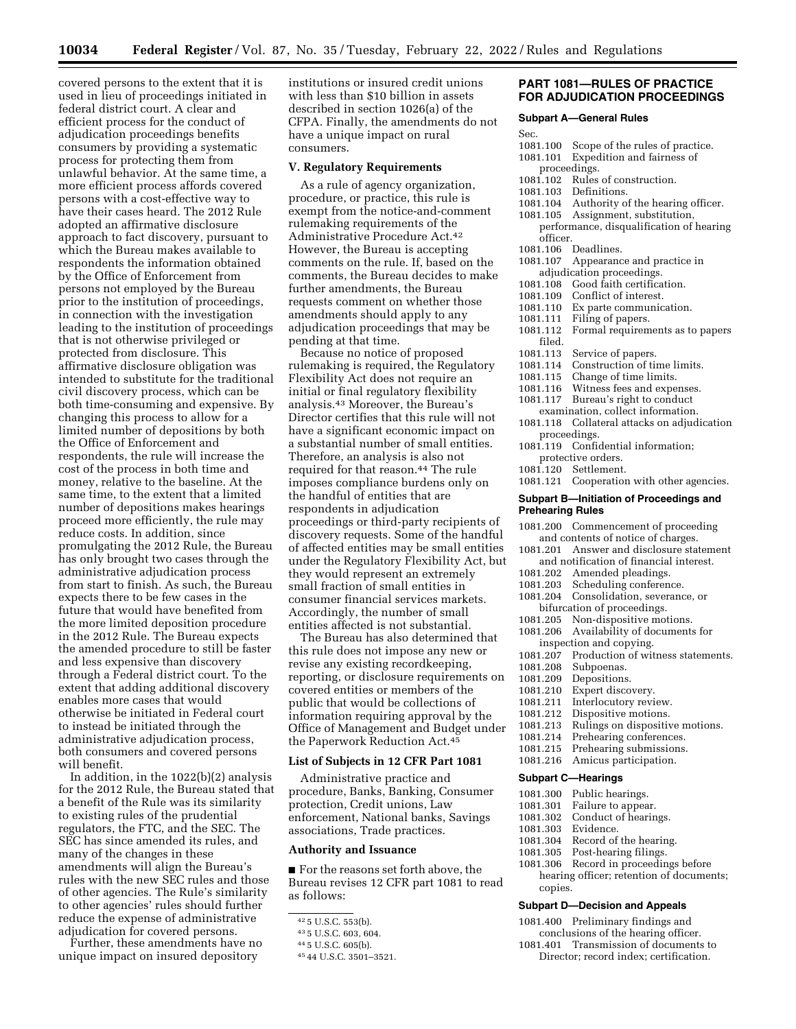covered persons to the extent that it is used in lieu of proceedings initiated in federal district court. A clear and efficient process for the conduct of adjudication proceedings benefits consumers by providing a systematic process for protecting them from unlawful behavior. At the same time, a more efficient process affords covered persons with a cost-effective way to have their cases heard. The 2012 Rule adopted an affirmative disclosure approach to fact discovery, pursuant to which the Bureau makes available to respondents the information obtained by the Office of Enforcement from persons not employed by the Bureau prior to the institution of proceedings, in connection with the investigation leading to the institution of proceedings that is not otherwise privileged or protected from disclosure. This affirmative disclosure obligation was intended to substitute for the traditional civil discovery process, which can be both time-consuming and expensive. By changing this process to allow for a limited number of depositions by both the Office of Enforcement and respondents, the rule will increase the cost of the process in both time and money, relative to the baseline. At the same time, to the extent that a limited number of depositions makes hearings proceed more efficiently, the rule may reduce costs. In addition, since promulgating the 2012 Rule, the Bureau has only brought two cases through the administrative adjudication process from start to finish. As such, the Bureau expects there to be few cases in the future that would have benefited from the more limited deposition procedure in the 2012 Rule. The Bureau expects the amended procedure to still be faster and less expensive than discovery through a Federal district court. To the extent that adding additional discovery enables more cases that would otherwise be initiated in Federal court to instead be initiated through the administrative adjudication process, both consumers and covered persons will benefit.

In addition, in the 1022(b)(2) analysis for the 2012 Rule, the Bureau stated that a benefit of the Rule was its similarity to existing rules of the prudential regulators, the FTC, and the SEC. The SEC has since amended its rules, and many of the changes in these amendments will align the Bureau's rules with the new SEC rules and those of other agencies. The Rule's similarity to other agencies' rules should further reduce the expense of administrative adjudication for covered persons.

Further, these amendments have no unique impact on insured depository

institutions or insured credit unions with less than \$10 billion in assets described in section 1026(a) of the CFPA. Finally, the amendments do not have a unique impact on rural consumers.

### **V. Regulatory Requirements**

As a rule of agency organization, procedure, or practice, this rule is exempt from the notice-and-comment rulemaking requirements of the Administrative Procedure Act.42 However, the Bureau is accepting comments on the rule. If, based on the comments, the Bureau decides to make further amendments, the Bureau requests comment on whether those amendments should apply to any adjudication proceedings that may be pending at that time.

Because no notice of proposed rulemaking is required, the Regulatory Flexibility Act does not require an initial or final regulatory flexibility analysis.43 Moreover, the Bureau's Director certifies that this rule will not have a significant economic impact on a substantial number of small entities. Therefore, an analysis is also not required for that reason.44 The rule imposes compliance burdens only on the handful of entities that are respondents in adjudication proceedings or third-party recipients of discovery requests. Some of the handful of affected entities may be small entities under the Regulatory Flexibility Act, but they would represent an extremely small fraction of small entities in consumer financial services markets. Accordingly, the number of small entities affected is not substantial.

The Bureau has also determined that this rule does not impose any new or revise any existing recordkeeping, reporting, or disclosure requirements on covered entities or members of the public that would be collections of information requiring approval by the Office of Management and Budget under the Paperwork Reduction Act.45

### **List of Subjects in 12 CFR Part 1081**

Administrative practice and procedure, Banks, Banking, Consumer protection, Credit unions, Law enforcement, National banks, Savings associations, Trade practices.

## **Authority and Issuance**

■ For the reasons set forth above, the Bureau revises 12 CFR part 1081 to read as follows:

# **PART 1081—RULES OF PRACTICE FOR ADJUDICATION PROCEEDINGS**

#### **Subpart A—General Rules**

- 
- 1081.100 Scope of the rules of practice.<br>1081.101 Expedition and fairness of Expedition and fairness of
	- proceedings.
- 1081.102 Rules of construction.<br>1081.103 Definitions.
- 
- 1081.103 Definitions<br>1081.104 Authority c Authority of the hearing officer.
- 1081.105 Assignment, substitution, performance, disqualification of hearing officer.
- 1081.106 Deadlines.
- 1081.107 Appearance and practice in
- adjudication proceedings.<br>1081.108 Good faith certifica
- 1081.108 Good faith certification.<br>1081.109 Conflict of interest. Conflict of interest.
- 
- 1081.110 Ex parte communication.<br>1081.111 Filing of papers. Filing of papers.
- 1081.112 Formal requirements as to papers
- filed.<br>1081.113
- 1081.113 Service of papers.<br>1081.114 Construction of tip
- 1081.114 Construction of time limits.<br>1081.115 Change of time limits.
- Change of time limits.
- 1081.116 Witness fees and expenses.
- 1081.117 Bureau's right to conduct
- examination, collect information. 1081.118 Collateral attacks on adjudication proceedings.
- 1081.119 Confidential information; protective orders.
- 1081.120 Settlement.
- 1081.121 Cooperation with other agencies.

#### **Subpart B—Initiation of Proceedings and Prehearing Rules**

- 1081.200 Commencement of proceeding and contents of notice of charges.
- 1081.201 Answer and disclosure statement and notification of financial interest.
- 1081.202 Amended pleadings.
- 1081.203 Scheduling conference.
- 1081.204 Consolidation, severance, or
- 
- bifurcation of proceedings.<br>1081.205 Non-dispositive mot Non-dispositive motions.
- 1081.206 Availability of documents for
- 
- inspection and copying.<br>1081.207 Production of wit 1081.207 Production of witness statements.<br>1081.208 Subpoenas.
- 
- 1081.208 Subpoenas.<br>1081.209 Depositions Depositions.
- 1081.210 Expert discovery.
- 
- 1081.211 Interlocutory review.<br>1081.212 Dispositive motions. Dispositive motions.
- 1081.213 Rulings on dispositive motions.
- 
- 1081.214 Prehearing conferences.<br>1081.215 Prehearing submissions. Prehearing submissions.
- 1081.216 Amicus participation.

#### **Subpart C—Hearings**

- 1081.300 Public hearings.
- Failure to appear.
- 1081.302 Conduct of hearings.
- 1081.303 Evidence.
- Record of the hearing.
- 1081.305 Post-hearing filings.
- 1081.306 Record in proceedings before hearing officer; retention of documents; copies.

# **Subpart D—Decision and Appeals**

- 1081.400 Preliminary findings and conclusions of the hearing officer.
- 1081.401 Transmission of documents to Director; record index; certification.

<sup>42</sup> 5 U.S.C. 553(b).

<sup>43</sup> 5 U.S.C. 603, 604.

<sup>44</sup> 5 U.S.C. 605(b).

<sup>45</sup> 44 U.S.C. 3501–3521.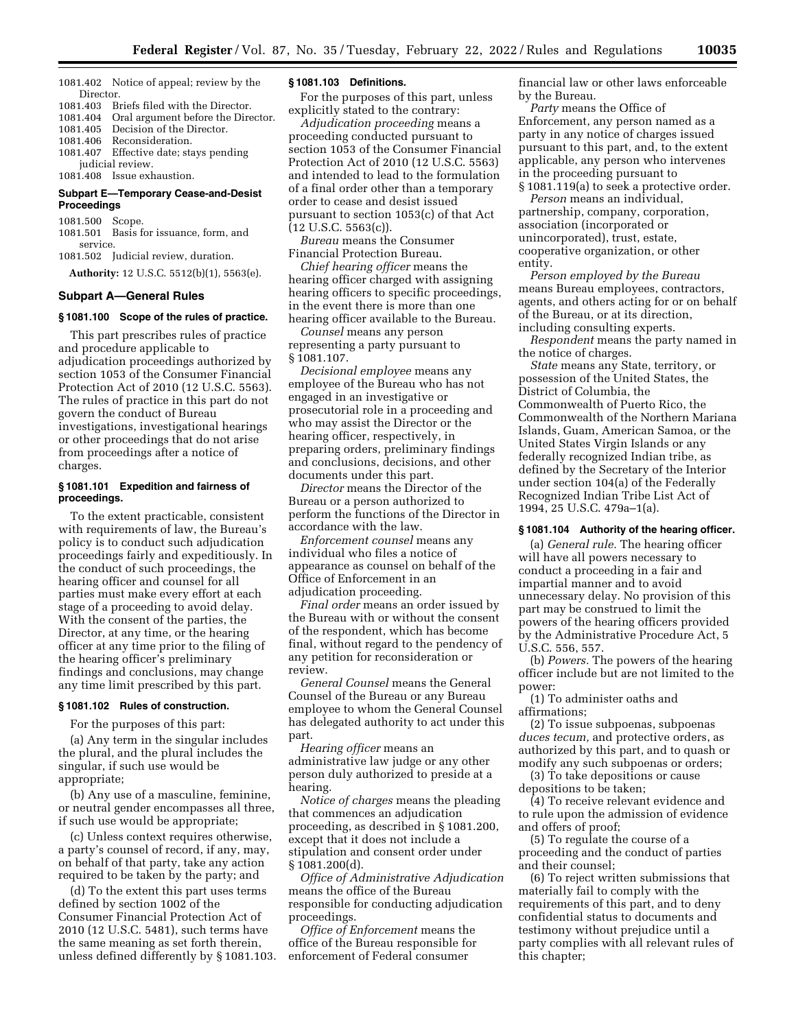1081.402 Notice of appeal; review by the Director.

1081.403 Briefs filed with the Director. 1081.404 Oral argument before the Director.

1081.405 Decision of the Director.<br>1081.406 Reconsideration. Reconsideration.

1081.407 Effective date; stays pending judicial review.

1081.408 Issue exhaustion.

### **Subpart E—Temporary Cease-and-Desist Proceedings**

1081.500 Scope.

1081.501 Basis for issuance, form, and service.

1081.502 Judicial review, duration. **Authority:** 12 U.S.C. 5512(b)(1), 5563(e).

# **Subpart A—General Rules**

#### **§ 1081.100 Scope of the rules of practice.**

This part prescribes rules of practice and procedure applicable to adjudication proceedings authorized by section 1053 of the Consumer Financial Protection Act of 2010 (12 U.S.C. 5563). The rules of practice in this part do not govern the conduct of Bureau investigations, investigational hearings or other proceedings that do not arise from proceedings after a notice of charges.

### **§ 1081.101 Expedition and fairness of proceedings.**

To the extent practicable, consistent with requirements of law, the Bureau's policy is to conduct such adjudication proceedings fairly and expeditiously. In the conduct of such proceedings, the hearing officer and counsel for all parties must make every effort at each stage of a proceeding to avoid delay. With the consent of the parties, the Director, at any time, or the hearing officer at any time prior to the filing of the hearing officer's preliminary findings and conclusions, may change any time limit prescribed by this part.

### **§ 1081.102 Rules of construction.**

For the purposes of this part:

(a) Any term in the singular includes the plural, and the plural includes the singular, if such use would be appropriate;

(b) Any use of a masculine, feminine, or neutral gender encompasses all three, if such use would be appropriate;

(c) Unless context requires otherwise, a party's counsel of record, if any, may, on behalf of that party, take any action required to be taken by the party; and

(d) To the extent this part uses terms defined by section 1002 of the Consumer Financial Protection Act of 2010 (12 U.S.C. 5481), such terms have the same meaning as set forth therein, unless defined differently by § 1081.103.

#### **§ 1081.103 Definitions.**

For the purposes of this part, unless explicitly stated to the contrary:

*Adjudication proceeding* means a proceeding conducted pursuant to section 1053 of the Consumer Financial Protection Act of 2010 (12 U.S.C. 5563) and intended to lead to the formulation of a final order other than a temporary order to cease and desist issued pursuant to section 1053(c) of that Act (12 U.S.C. 5563(c)).

*Bureau* means the Consumer Financial Protection Bureau.

*Chief hearing officer* means the hearing officer charged with assigning hearing officers to specific proceedings, in the event there is more than one hearing officer available to the Bureau.

*Counsel* means any person representing a party pursuant to § 1081.107.

*Decisional employee* means any employee of the Bureau who has not engaged in an investigative or prosecutorial role in a proceeding and who may assist the Director or the hearing officer, respectively, in preparing orders, preliminary findings and conclusions, decisions, and other documents under this part.

*Director* means the Director of the Bureau or a person authorized to perform the functions of the Director in accordance with the law.

*Enforcement counsel* means any individual who files a notice of appearance as counsel on behalf of the Office of Enforcement in an adjudication proceeding.

*Final order* means an order issued by the Bureau with or without the consent of the respondent, which has become final, without regard to the pendency of any petition for reconsideration or review.

*General Counsel* means the General Counsel of the Bureau or any Bureau employee to whom the General Counsel has delegated authority to act under this part.

*Hearing officer* means an administrative law judge or any other person duly authorized to preside at a hearing.

*Notice of charges* means the pleading that commences an adjudication proceeding, as described in § 1081.200, except that it does not include a stipulation and consent order under § 1081.200(d).

*Office of Administrative Adjudication*  means the office of the Bureau responsible for conducting adjudication proceedings.

*Office of Enforcement* means the office of the Bureau responsible for enforcement of Federal consumer

financial law or other laws enforceable by the Bureau.

*Party* means the Office of Enforcement, any person named as a party in any notice of charges issued pursuant to this part, and, to the extent applicable, any person who intervenes in the proceeding pursuant to § 1081.119(a) to seek a protective order.

*Person* means an individual, partnership, company, corporation, association (incorporated or unincorporated), trust, estate, cooperative organization, or other entity.

*Person employed by the Bureau*  means Bureau employees, contractors, agents, and others acting for or on behalf of the Bureau, or at its direction, including consulting experts.

*Respondent* means the party named in the notice of charges.

*State* means any State, territory, or possession of the United States, the District of Columbia, the Commonwealth of Puerto Rico, the Commonwealth of the Northern Mariana Islands, Guam, American Samoa, or the United States Virgin Islands or any federally recognized Indian tribe, as defined by the Secretary of the Interior under section 104(a) of the Federally Recognized Indian Tribe List Act of 1994, 25 U.S.C. 479a–1(a).

# **§ 1081.104 Authority of the hearing officer.**

(a) *General rule.* The hearing officer will have all powers necessary to conduct a proceeding in a fair and impartial manner and to avoid unnecessary delay. No provision of this part may be construed to limit the powers of the hearing officers provided by the Administrative Procedure Act, 5 U.S.C. 556, 557.

(b) *Powers.* The powers of the hearing officer include but are not limited to the power:

(1) To administer oaths and affirmations;

(2) To issue subpoenas, subpoenas *duces tecum,* and protective orders, as authorized by this part, and to quash or modify any such subpoenas or orders;

(3) To take depositions or cause depositions to be taken;

(4) To receive relevant evidence and to rule upon the admission of evidence and offers of proof;

(5) To regulate the course of a proceeding and the conduct of parties and their counsel;

(6) To reject written submissions that materially fail to comply with the requirements of this part, and to deny confidential status to documents and testimony without prejudice until a party complies with all relevant rules of this chapter;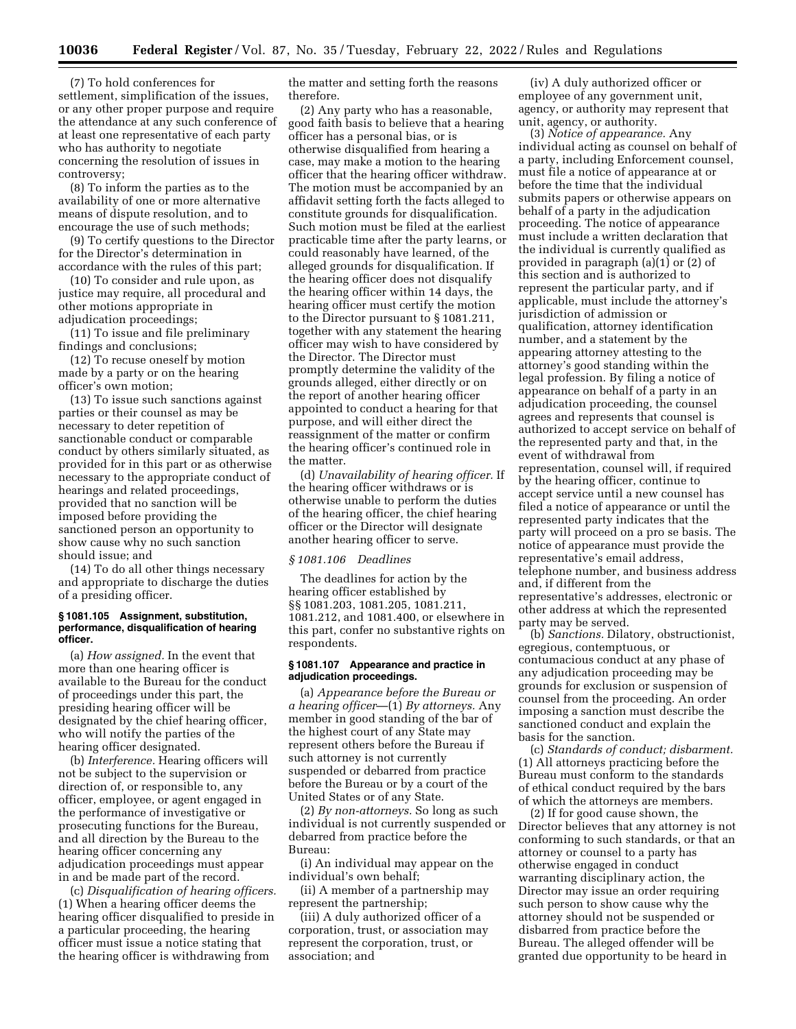(7) To hold conferences for settlement, simplification of the issues, or any other proper purpose and require the attendance at any such conference of at least one representative of each party who has authority to negotiate concerning the resolution of issues in controversy;

(8) To inform the parties as to the availability of one or more alternative means of dispute resolution, and to encourage the use of such methods;

(9) To certify questions to the Director for the Director's determination in accordance with the rules of this part;

(10) To consider and rule upon, as justice may require, all procedural and other motions appropriate in adjudication proceedings;

(11) To issue and file preliminary findings and conclusions;

(12) To recuse oneself by motion made by a party or on the hearing officer's own motion;

(13) To issue such sanctions against parties or their counsel as may be necessary to deter repetition of sanctionable conduct or comparable conduct by others similarly situated, as provided for in this part or as otherwise necessary to the appropriate conduct of hearings and related proceedings, provided that no sanction will be imposed before providing the sanctioned person an opportunity to show cause why no such sanction should issue; and

(14) To do all other things necessary and appropriate to discharge the duties of a presiding officer.

#### **§ 1081.105 Assignment, substitution, performance, disqualification of hearing officer.**

(a) *How assigned.* In the event that more than one hearing officer is available to the Bureau for the conduct of proceedings under this part, the presiding hearing officer will be designated by the chief hearing officer, who will notify the parties of the hearing officer designated.

(b) *Interference.* Hearing officers will not be subject to the supervision or direction of, or responsible to, any officer, employee, or agent engaged in the performance of investigative or prosecuting functions for the Bureau, and all direction by the Bureau to the hearing officer concerning any adjudication proceedings must appear in and be made part of the record.

(c) *Disqualification of hearing officers.*  (1) When a hearing officer deems the hearing officer disqualified to preside in a particular proceeding, the hearing officer must issue a notice stating that the hearing officer is withdrawing from

the matter and setting forth the reasons therefore.

(2) Any party who has a reasonable, good faith basis to believe that a hearing officer has a personal bias, or is otherwise disqualified from hearing a case, may make a motion to the hearing officer that the hearing officer withdraw. The motion must be accompanied by an affidavit setting forth the facts alleged to constitute grounds for disqualification. Such motion must be filed at the earliest practicable time after the party learns, or could reasonably have learned, of the alleged grounds for disqualification. If the hearing officer does not disqualify the hearing officer within 14 days, the hearing officer must certify the motion to the Director pursuant to § 1081.211, together with any statement the hearing officer may wish to have considered by the Director. The Director must promptly determine the validity of the grounds alleged, either directly or on the report of another hearing officer appointed to conduct a hearing for that purpose, and will either direct the reassignment of the matter or confirm the hearing officer's continued role in the matter.

(d) *Unavailability of hearing officer.* If the hearing officer withdraws or is otherwise unable to perform the duties of the hearing officer, the chief hearing officer or the Director will designate another hearing officer to serve.

# *§ 1081.106 Deadlines*

The deadlines for action by the hearing officer established by §§ 1081.203, 1081.205, 1081.211, 1081.212, and 1081.400, or elsewhere in this part, confer no substantive rights on respondents.

### **§ 1081.107 Appearance and practice in adjudication proceedings.**

(a) *Appearance before the Bureau or a hearing officer*—(1) *By attorneys.* Any member in good standing of the bar of the highest court of any State may represent others before the Bureau if such attorney is not currently suspended or debarred from practice before the Bureau or by a court of the United States or of any State.

(2) *By non-attorneys.* So long as such individual is not currently suspended or debarred from practice before the Bureau:

(i) An individual may appear on the individual's own behalf;

(ii) A member of a partnership may represent the partnership;

(iii) A duly authorized officer of a corporation, trust, or association may represent the corporation, trust, or association; and

(iv) A duly authorized officer or employee of any government unit, agency, or authority may represent that unit, agency, or authority.

(3) *Notice of appearance.* Any individual acting as counsel on behalf of a party, including Enforcement counsel, must file a notice of appearance at or before the time that the individual submits papers or otherwise appears on behalf of a party in the adjudication proceeding. The notice of appearance must include a written declaration that the individual is currently qualified as provided in paragraph (a)(1) or (2) of this section and is authorized to represent the particular party, and if applicable, must include the attorney's jurisdiction of admission or qualification, attorney identification number, and a statement by the appearing attorney attesting to the attorney's good standing within the legal profession. By filing a notice of appearance on behalf of a party in an adjudication proceeding, the counsel agrees and represents that counsel is authorized to accept service on behalf of the represented party and that, in the event of withdrawal from representation, counsel will, if required by the hearing officer, continue to accept service until a new counsel has filed a notice of appearance or until the represented party indicates that the party will proceed on a pro se basis. The notice of appearance must provide the representative's email address, telephone number, and business address and, if different from the representative's addresses, electronic or other address at which the represented party may be served.

(b) *Sanctions.* Dilatory, obstructionist, egregious, contemptuous, or contumacious conduct at any phase of any adjudication proceeding may be grounds for exclusion or suspension of counsel from the proceeding. An order imposing a sanction must describe the sanctioned conduct and explain the basis for the sanction.

(c) *Standards of conduct; disbarment.*  (1) All attorneys practicing before the Bureau must conform to the standards of ethical conduct required by the bars of which the attorneys are members.

(2) If for good cause shown, the Director believes that any attorney is not conforming to such standards, or that an attorney or counsel to a party has otherwise engaged in conduct warranting disciplinary action, the Director may issue an order requiring such person to show cause why the attorney should not be suspended or disbarred from practice before the Bureau. The alleged offender will be granted due opportunity to be heard in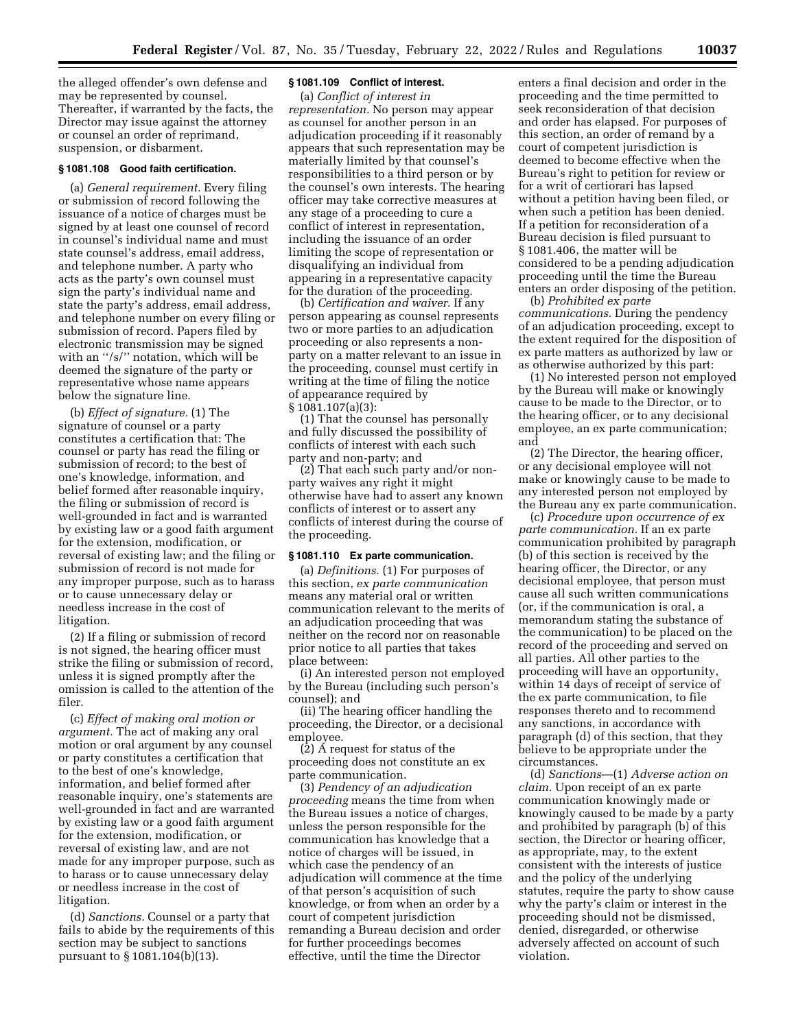the alleged offender's own defense and may be represented by counsel. Thereafter, if warranted by the facts, the Director may issue against the attorney or counsel an order of reprimand, suspension, or disbarment.

### **§ 1081.108 Good faith certification.**

(a) *General requirement.* Every filing or submission of record following the issuance of a notice of charges must be signed by at least one counsel of record in counsel's individual name and must state counsel's address, email address, and telephone number. A party who acts as the party's own counsel must sign the party's individual name and state the party's address, email address, and telephone number on every filing or submission of record. Papers filed by electronic transmission may be signed with an "/s/" notation, which will be deemed the signature of the party or representative whose name appears below the signature line.

(b) *Effect of signature.* (1) The signature of counsel or a party constitutes a certification that: The counsel or party has read the filing or submission of record; to the best of one's knowledge, information, and belief formed after reasonable inquiry, the filing or submission of record is well-grounded in fact and is warranted by existing law or a good faith argument for the extension, modification, or reversal of existing law; and the filing or submission of record is not made for any improper purpose, such as to harass or to cause unnecessary delay or needless increase in the cost of litigation.

(2) If a filing or submission of record is not signed, the hearing officer must strike the filing or submission of record, unless it is signed promptly after the omission is called to the attention of the filer.

(c) *Effect of making oral motion or argument.* The act of making any oral motion or oral argument by any counsel or party constitutes a certification that to the best of one's knowledge, information, and belief formed after reasonable inquiry, one's statements are well-grounded in fact and are warranted by existing law or a good faith argument for the extension, modification, or reversal of existing law, and are not made for any improper purpose, such as to harass or to cause unnecessary delay or needless increase in the cost of litigation.

(d) *Sanctions.* Counsel or a party that fails to abide by the requirements of this section may be subject to sanctions pursuant to § 1081.104(b)(13).

# **§ 1081.109 Conflict of interest.**

(a) *Conflict of interest in representation.* No person may appear as counsel for another person in an adjudication proceeding if it reasonably appears that such representation may be materially limited by that counsel's responsibilities to a third person or by the counsel's own interests. The hearing officer may take corrective measures at any stage of a proceeding to cure a conflict of interest in representation, including the issuance of an order limiting the scope of representation or disqualifying an individual from appearing in a representative capacity for the duration of the proceeding.

(b) *Certification and waiver.* If any person appearing as counsel represents two or more parties to an adjudication proceeding or also represents a nonparty on a matter relevant to an issue in the proceeding, counsel must certify in writing at the time of filing the notice of appearance required by § 1081.107(a)(3):

(1) That the counsel has personally and fully discussed the possibility of conflicts of interest with each such party and non-party; and

(2) That each such party and/or nonparty waives any right it might otherwise have had to assert any known conflicts of interest or to assert any conflicts of interest during the course of the proceeding.

### **§ 1081.110 Ex parte communication.**

(a) *Definitions.* (1) For purposes of this section, *ex parte communication*  means any material oral or written communication relevant to the merits of an adjudication proceeding that was neither on the record nor on reasonable prior notice to all parties that takes place between:

(i) An interested person not employed by the Bureau (including such person's counsel); and

(ii) The hearing officer handling the proceeding, the Director, or a decisional employee.

(2) A request for status of the proceeding does not constitute an ex parte communication.

(3) *Pendency of an adjudication proceeding* means the time from when the Bureau issues a notice of charges, unless the person responsible for the communication has knowledge that a notice of charges will be issued, in which case the pendency of an adjudication will commence at the time of that person's acquisition of such knowledge, or from when an order by a court of competent jurisdiction remanding a Bureau decision and order for further proceedings becomes effective, until the time the Director

enters a final decision and order in the proceeding and the time permitted to seek reconsideration of that decision and order has elapsed. For purposes of this section, an order of remand by a court of competent jurisdiction is deemed to become effective when the Bureau's right to petition for review or for a writ of certiorari has lapsed without a petition having been filed, or when such a petition has been denied. If a petition for reconsideration of a Bureau decision is filed pursuant to § 1081.406, the matter will be considered to be a pending adjudication proceeding until the time the Bureau enters an order disposing of the petition.

(b) *Prohibited ex parte communications.* During the pendency of an adjudication proceeding, except to the extent required for the disposition of ex parte matters as authorized by law or as otherwise authorized by this part:

(1) No interested person not employed by the Bureau will make or knowingly cause to be made to the Director, or to the hearing officer, or to any decisional employee, an ex parte communication; and

(2) The Director, the hearing officer, or any decisional employee will not make or knowingly cause to be made to any interested person not employed by the Bureau any ex parte communication.

(c) *Procedure upon occurrence of ex parte communication.* If an ex parte communication prohibited by paragraph (b) of this section is received by the hearing officer, the Director, or any decisional employee, that person must cause all such written communications (or, if the communication is oral, a memorandum stating the substance of the communication) to be placed on the record of the proceeding and served on all parties. All other parties to the proceeding will have an opportunity, within 14 days of receipt of service of the ex parte communication, to file responses thereto and to recommend any sanctions, in accordance with paragraph (d) of this section, that they believe to be appropriate under the circumstances.

(d) *Sanctions*—(1) *Adverse action on claim.* Upon receipt of an ex parte communication knowingly made or knowingly caused to be made by a party and prohibited by paragraph (b) of this section, the Director or hearing officer, as appropriate, may, to the extent consistent with the interests of justice and the policy of the underlying statutes, require the party to show cause why the party's claim or interest in the proceeding should not be dismissed, denied, disregarded, or otherwise adversely affected on account of such violation.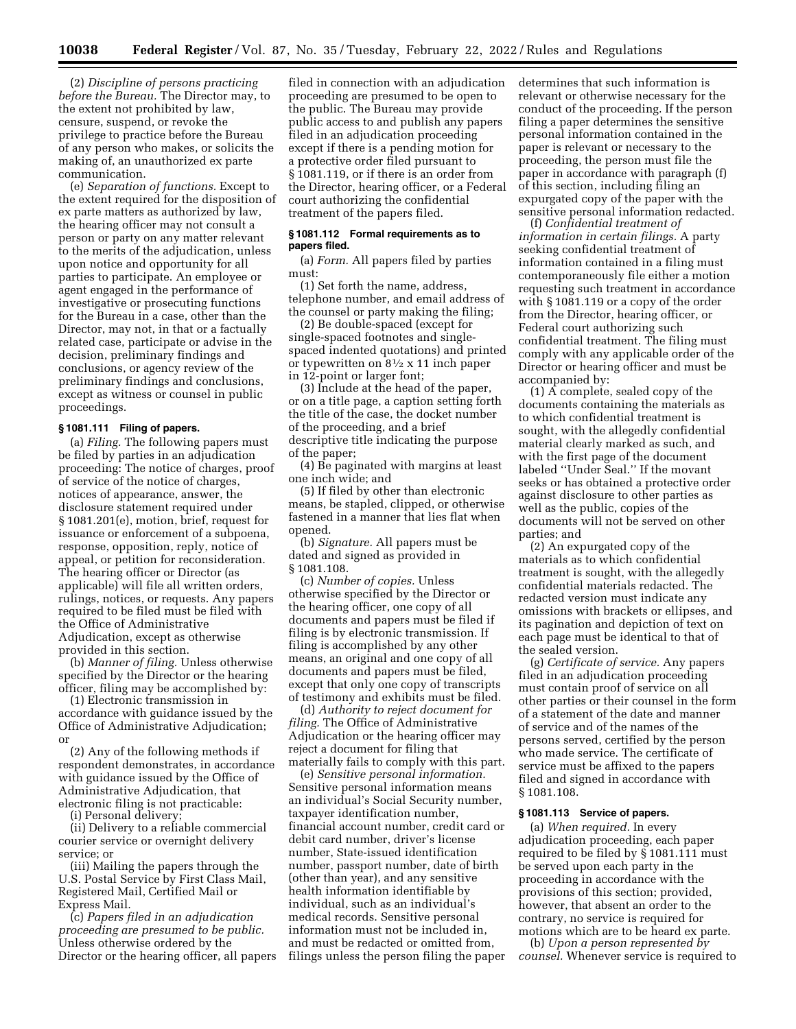(2) *Discipline of persons practicing before the Bureau.* The Director may, to the extent not prohibited by law, censure, suspend, or revoke the privilege to practice before the Bureau of any person who makes, or solicits the making of, an unauthorized ex parte communication.

(e) *Separation of functions.* Except to the extent required for the disposition of ex parte matters as authorized by law, the hearing officer may not consult a person or party on any matter relevant to the merits of the adjudication, unless upon notice and opportunity for all parties to participate. An employee or agent engaged in the performance of investigative or prosecuting functions for the Bureau in a case, other than the Director, may not, in that or a factually related case, participate or advise in the decision, preliminary findings and conclusions, or agency review of the preliminary findings and conclusions, except as witness or counsel in public proceedings.

### **§ 1081.111 Filing of papers.**

(a) *Filing.* The following papers must be filed by parties in an adjudication proceeding: The notice of charges, proof of service of the notice of charges, notices of appearance, answer, the disclosure statement required under § 1081.201(e), motion, brief, request for issuance or enforcement of a subpoena, response, opposition, reply, notice of appeal, or petition for reconsideration. The hearing officer or Director (as applicable) will file all written orders, rulings, notices, or requests. Any papers required to be filed must be filed with the Office of Administrative Adjudication, except as otherwise provided in this section.

(b) *Manner of filing.* Unless otherwise specified by the Director or the hearing officer, filing may be accomplished by:

(1) Electronic transmission in accordance with guidance issued by the Office of Administrative Adjudication; or

(2) Any of the following methods if respondent demonstrates, in accordance with guidance issued by the Office of Administrative Adjudication, that electronic filing is not practicable:

(i) Personal delivery;

(ii) Delivery to a reliable commercial courier service or overnight delivery service; or

(iii) Mailing the papers through the U.S. Postal Service by First Class Mail, Registered Mail, Certified Mail or Express Mail.

(c) *Papers filed in an adjudication proceeding are presumed to be public.*  Unless otherwise ordered by the Director or the hearing officer, all papers

filed in connection with an adjudication proceeding are presumed to be open to the public. The Bureau may provide public access to and publish any papers filed in an adjudication proceeding except if there is a pending motion for a protective order filed pursuant to § 1081.119, or if there is an order from the Director, hearing officer, or a Federal court authorizing the confidential treatment of the papers filed.

### **§ 1081.112 Formal requirements as to papers filed.**

(a) *Form.* All papers filed by parties must:

(1) Set forth the name, address, telephone number, and email address of the counsel or party making the filing;

(2) Be double-spaced (except for single-spaced footnotes and singlespaced indented quotations) and printed or typewritten on 81⁄2 x 11 inch paper in 12-point or larger font;

(3) Include at the head of the paper, or on a title page, a caption setting forth the title of the case, the docket number of the proceeding, and a brief descriptive title indicating the purpose of the paper;

(4) Be paginated with margins at least one inch wide; and

(5) If filed by other than electronic means, be stapled, clipped, or otherwise fastened in a manner that lies flat when opened.

(b) *Signature.* All papers must be dated and signed as provided in § 1081.108.

(c) *Number of copies.* Unless otherwise specified by the Director or the hearing officer, one copy of all documents and papers must be filed if filing is by electronic transmission. If filing is accomplished by any other means, an original and one copy of all documents and papers must be filed, except that only one copy of transcripts of testimony and exhibits must be filed.

(d) *Authority to reject document for filing.* The Office of Administrative Adjudication or the hearing officer may reject a document for filing that materially fails to comply with this part.

(e) *Sensitive personal information.*  Sensitive personal information means an individual's Social Security number, taxpayer identification number, financial account number, credit card or debit card number, driver's license number, State-issued identification number, passport number, date of birth (other than year), and any sensitive health information identifiable by individual, such as an individual's medical records. Sensitive personal information must not be included in, and must be redacted or omitted from, filings unless the person filing the paper determines that such information is relevant or otherwise necessary for the conduct of the proceeding. If the person filing a paper determines the sensitive personal information contained in the paper is relevant or necessary to the proceeding, the person must file the paper in accordance with paragraph (f) of this section, including filing an expurgated copy of the paper with the sensitive personal information redacted.

(f) *Confidential treatment of information in certain filings.* A party seeking confidential treatment of information contained in a filing must contemporaneously file either a motion requesting such treatment in accordance with § 1081.119 or a copy of the order from the Director, hearing officer, or Federal court authorizing such confidential treatment. The filing must comply with any applicable order of the Director or hearing officer and must be accompanied by:

(1) A complete, sealed copy of the documents containing the materials as to which confidential treatment is sought, with the allegedly confidential material clearly marked as such, and with the first page of the document labeled ''Under Seal.'' If the movant seeks or has obtained a protective order against disclosure to other parties as well as the public, copies of the documents will not be served on other parties; and

(2) An expurgated copy of the materials as to which confidential treatment is sought, with the allegedly confidential materials redacted. The redacted version must indicate any omissions with brackets or ellipses, and its pagination and depiction of text on each page must be identical to that of the sealed version.

(g) *Certificate of service.* Any papers filed in an adjudication proceeding must contain proof of service on all other parties or their counsel in the form of a statement of the date and manner of service and of the names of the persons served, certified by the person who made service. The certificate of service must be affixed to the papers filed and signed in accordance with § 1081.108.

# **§ 1081.113 Service of papers.**

(a) *When required.* In every adjudication proceeding, each paper required to be filed by § 1081.111 must be served upon each party in the proceeding in accordance with the provisions of this section; provided, however, that absent an order to the contrary, no service is required for motions which are to be heard ex parte.

(b) *Upon a person represented by counsel.* Whenever service is required to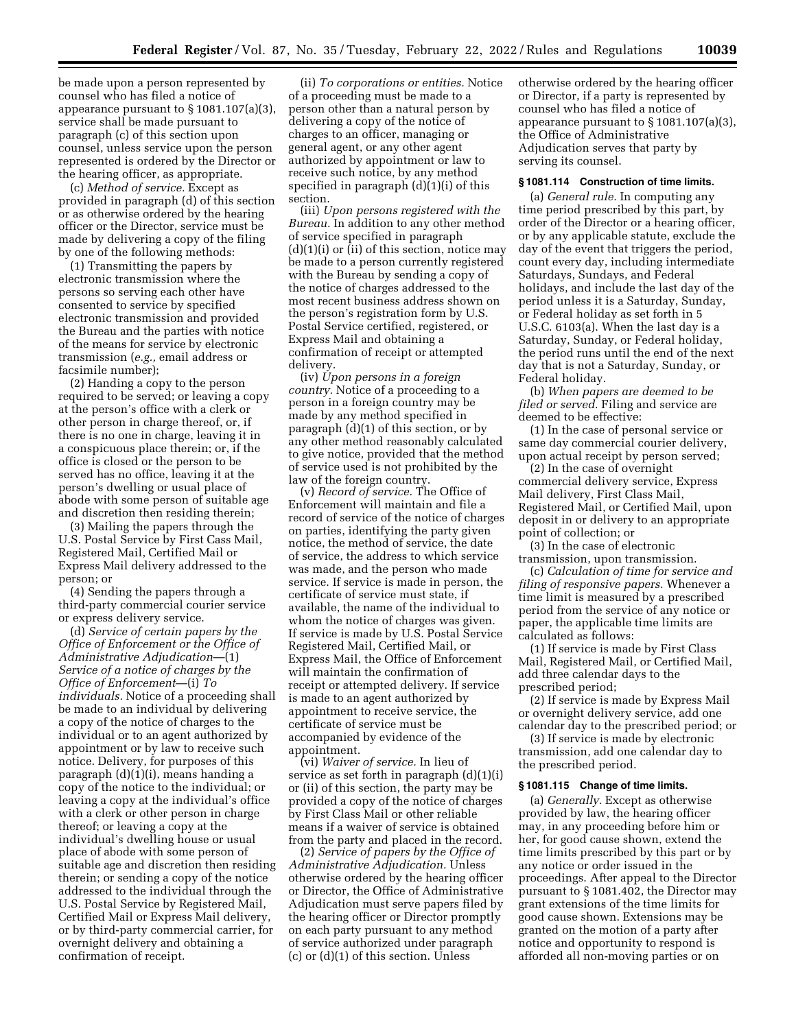be made upon a person represented by counsel who has filed a notice of appearance pursuant to § 1081.107(a)(3), service shall be made pursuant to paragraph (c) of this section upon counsel, unless service upon the person represented is ordered by the Director or the hearing officer, as appropriate.

(c) *Method of service.* Except as provided in paragraph (d) of this section or as otherwise ordered by the hearing officer or the Director, service must be made by delivering a copy of the filing by one of the following methods:

(1) Transmitting the papers by electronic transmission where the persons so serving each other have consented to service by specified electronic transmission and provided the Bureau and the parties with notice of the means for service by electronic transmission (*e.g.,* email address or facsimile number);

(2) Handing a copy to the person required to be served; or leaving a copy at the person's office with a clerk or other person in charge thereof, or, if there is no one in charge, leaving it in a conspicuous place therein; or, if the office is closed or the person to be served has no office, leaving it at the person's dwelling or usual place of abode with some person of suitable age and discretion then residing therein;

(3) Mailing the papers through the U.S. Postal Service by First Cass Mail, Registered Mail, Certified Mail or Express Mail delivery addressed to the person; or

(4) Sending the papers through a third-party commercial courier service or express delivery service.

(d) *Service of certain papers by the Office of Enforcement or the Office of Administrative Adjudication*—(1) *Service of a notice of charges by the Office of Enforcement*—(i) *To individuals.* Notice of a proceeding shall be made to an individual by delivering a copy of the notice of charges to the individual or to an agent authorized by appointment or by law to receive such notice. Delivery, for purposes of this paragraph (d)(1)(i), means handing a copy of the notice to the individual; or leaving a copy at the individual's office with a clerk or other person in charge thereof; or leaving a copy at the individual's dwelling house or usual place of abode with some person of suitable age and discretion then residing therein; or sending a copy of the notice addressed to the individual through the U.S. Postal Service by Registered Mail, Certified Mail or Express Mail delivery, or by third-party commercial carrier, for overnight delivery and obtaining a confirmation of receipt.

(ii) *To corporations or entities.* Notice of a proceeding must be made to a person other than a natural person by delivering a copy of the notice of charges to an officer, managing or general agent, or any other agent authorized by appointment or law to receive such notice, by any method specified in paragraph (d)(1)(i) of this section.

(iii) *Upon persons registered with the Bureau.* In addition to any other method of service specified in paragraph  $(d)(1)(i)$  or  $(ii)$  of this section, notice may be made to a person currently registered with the Bureau by sending a copy of the notice of charges addressed to the most recent business address shown on the person's registration form by U.S. Postal Service certified, registered, or Express Mail and obtaining a confirmation of receipt or attempted delivery.

(iv) *Upon persons in a foreign country.* Notice of a proceeding to a person in a foreign country may be made by any method specified in paragraph (d)(1) of this section, or by any other method reasonably calculated to give notice, provided that the method of service used is not prohibited by the law of the foreign country.

(v) *Record of service.* The Office of Enforcement will maintain and file a record of service of the notice of charges on parties, identifying the party given notice, the method of service, the date of service, the address to which service was made, and the person who made service. If service is made in person, the certificate of service must state, if available, the name of the individual to whom the notice of charges was given. If service is made by U.S. Postal Service Registered Mail, Certified Mail, or Express Mail, the Office of Enforcement will maintain the confirmation of receipt or attempted delivery. If service is made to an agent authorized by appointment to receive service, the certificate of service must be accompanied by evidence of the appointment.

(vi) *Waiver of service.* In lieu of service as set forth in paragraph (d)(1)(i) or (ii) of this section, the party may be provided a copy of the notice of charges by First Class Mail or other reliable means if a waiver of service is obtained from the party and placed in the record.

(2) *Service of papers by the Office of Administrative Adjudication.* Unless otherwise ordered by the hearing officer or Director, the Office of Administrative Adjudication must serve papers filed by the hearing officer or Director promptly on each party pursuant to any method of service authorized under paragraph (c) or (d)(1) of this section. Unless

otherwise ordered by the hearing officer or Director, if a party is represented by counsel who has filed a notice of appearance pursuant to § 1081.107(a)(3), the Office of Administrative Adjudication serves that party by serving its counsel.

## **§ 1081.114 Construction of time limits.**

(a) *General rule.* In computing any time period prescribed by this part, by order of the Director or a hearing officer, or by any applicable statute, exclude the day of the event that triggers the period, count every day, including intermediate Saturdays, Sundays, and Federal holidays, and include the last day of the period unless it is a Saturday, Sunday, or Federal holiday as set forth in 5 U.S.C. 6103(a). When the last day is a Saturday, Sunday, or Federal holiday, the period runs until the end of the next day that is not a Saturday, Sunday, or Federal holiday.

(b) *When papers are deemed to be filed or served.* Filing and service are deemed to be effective:

(1) In the case of personal service or same day commercial courier delivery, upon actual receipt by person served;

(2) In the case of overnight commercial delivery service, Express Mail delivery, First Class Mail, Registered Mail, or Certified Mail, upon deposit in or delivery to an appropriate point of collection; or

(3) In the case of electronic transmission, upon transmission.

(c) *Calculation of time for service and filing of responsive papers.* Whenever a time limit is measured by a prescribed period from the service of any notice or paper, the applicable time limits are calculated as follows:

(1) If service is made by First Class Mail, Registered Mail, or Certified Mail, add three calendar days to the prescribed period;

(2) If service is made by Express Mail or overnight delivery service, add one calendar day to the prescribed period; or

(3) If service is made by electronic transmission, add one calendar day to the prescribed period.

### **§ 1081.115 Change of time limits.**

(a) *Generally.* Except as otherwise provided by law, the hearing officer may, in any proceeding before him or her, for good cause shown, extend the time limits prescribed by this part or by any notice or order issued in the proceedings. After appeal to the Director pursuant to § 1081.402, the Director may grant extensions of the time limits for good cause shown. Extensions may be granted on the motion of a party after notice and opportunity to respond is afforded all non-moving parties or on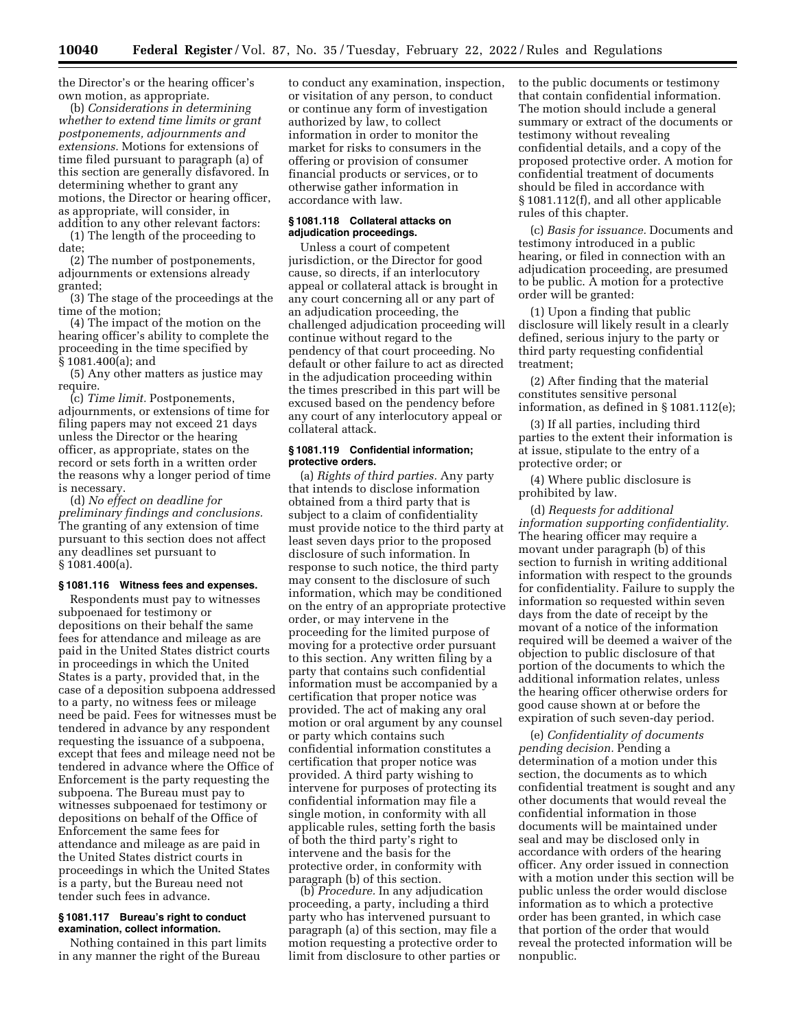the Director's or the hearing officer's own motion, as appropriate.

(b) *Considerations in determining whether to extend time limits or grant postponements, adjournments and extensions.* Motions for extensions of time filed pursuant to paragraph (a) of this section are generally disfavored. In determining whether to grant any motions, the Director or hearing officer, as appropriate, will consider, in addition to any other relevant factors:

(1) The length of the proceeding to date;

(2) The number of postponements, adjournments or extensions already granted;

(3) The stage of the proceedings at the time of the motion;

(4) The impact of the motion on the hearing officer's ability to complete the proceeding in the time specified by § 1081.400(a); and

(5) Any other matters as justice may require.

(c) *Time limit.* Postponements, adjournments, or extensions of time for filing papers may not exceed 21 days unless the Director or the hearing officer, as appropriate, states on the record or sets forth in a written order the reasons why a longer period of time is necessary.

(d) *No effect on deadline for preliminary findings and conclusions.*  The granting of any extension of time pursuant to this section does not affect any deadlines set pursuant to § 1081.400(a).

### **§ 1081.116 Witness fees and expenses.**

Respondents must pay to witnesses subpoenaed for testimony or depositions on their behalf the same fees for attendance and mileage as are paid in the United States district courts in proceedings in which the United States is a party, provided that, in the case of a deposition subpoena addressed to a party, no witness fees or mileage need be paid. Fees for witnesses must be tendered in advance by any respondent requesting the issuance of a subpoena, except that fees and mileage need not be tendered in advance where the Office of Enforcement is the party requesting the subpoena. The Bureau must pay to witnesses subpoenaed for testimony or depositions on behalf of the Office of Enforcement the same fees for attendance and mileage as are paid in the United States district courts in proceedings in which the United States is a party, but the Bureau need not tender such fees in advance.

### **§ 1081.117 Bureau's right to conduct examination, collect information.**

Nothing contained in this part limits in any manner the right of the Bureau

to conduct any examination, inspection, or visitation of any person, to conduct or continue any form of investigation authorized by law, to collect information in order to monitor the market for risks to consumers in the offering or provision of consumer financial products or services, or to otherwise gather information in accordance with law.

### **§ 1081.118 Collateral attacks on adjudication proceedings.**

Unless a court of competent jurisdiction, or the Director for good cause, so directs, if an interlocutory appeal or collateral attack is brought in any court concerning all or any part of an adjudication proceeding, the challenged adjudication proceeding will continue without regard to the pendency of that court proceeding. No default or other failure to act as directed in the adjudication proceeding within the times prescribed in this part will be excused based on the pendency before any court of any interlocutory appeal or collateral attack.

# **§ 1081.119 Confidential information; protective orders.**

(a) *Rights of third parties.* Any party that intends to disclose information obtained from a third party that is subject to a claim of confidentiality must provide notice to the third party at least seven days prior to the proposed disclosure of such information. In response to such notice, the third party may consent to the disclosure of such information, which may be conditioned on the entry of an appropriate protective order, or may intervene in the proceeding for the limited purpose of moving for a protective order pursuant to this section. Any written filing by a party that contains such confidential information must be accompanied by a certification that proper notice was provided. The act of making any oral motion or oral argument by any counsel or party which contains such confidential information constitutes a certification that proper notice was provided. A third party wishing to intervene for purposes of protecting its confidential information may file a single motion, in conformity with all applicable rules, setting forth the basis of both the third party's right to intervene and the basis for the protective order, in conformity with paragraph (b) of this section.

(b) *Procedure.* In any adjudication proceeding, a party, including a third party who has intervened pursuant to paragraph (a) of this section, may file a motion requesting a protective order to limit from disclosure to other parties or to the public documents or testimony that contain confidential information. The motion should include a general summary or extract of the documents or testimony without revealing confidential details, and a copy of the proposed protective order. A motion for confidential treatment of documents should be filed in accordance with § 1081.112(f), and all other applicable rules of this chapter.

(c) *Basis for issuance.* Documents and testimony introduced in a public hearing, or filed in connection with an adjudication proceeding, are presumed to be public. A motion for a protective order will be granted:

(1) Upon a finding that public disclosure will likely result in a clearly defined, serious injury to the party or third party requesting confidential treatment;

(2) After finding that the material constitutes sensitive personal information, as defined in § 1081.112(e);

(3) If all parties, including third parties to the extent their information is at issue, stipulate to the entry of a protective order; or

(4) Where public disclosure is prohibited by law.

(d) *Requests for additional information supporting confidentiality.*  The hearing officer may require a movant under paragraph (b) of this section to furnish in writing additional information with respect to the grounds for confidentiality. Failure to supply the information so requested within seven days from the date of receipt by the movant of a notice of the information required will be deemed a waiver of the objection to public disclosure of that portion of the documents to which the additional information relates, unless the hearing officer otherwise orders for good cause shown at or before the expiration of such seven-day period.

(e) *Confidentiality of documents pending decision.* Pending a determination of a motion under this section, the documents as to which confidential treatment is sought and any other documents that would reveal the confidential information in those documents will be maintained under seal and may be disclosed only in accordance with orders of the hearing officer. Any order issued in connection with a motion under this section will be public unless the order would disclose information as to which a protective order has been granted, in which case that portion of the order that would reveal the protected information will be nonpublic.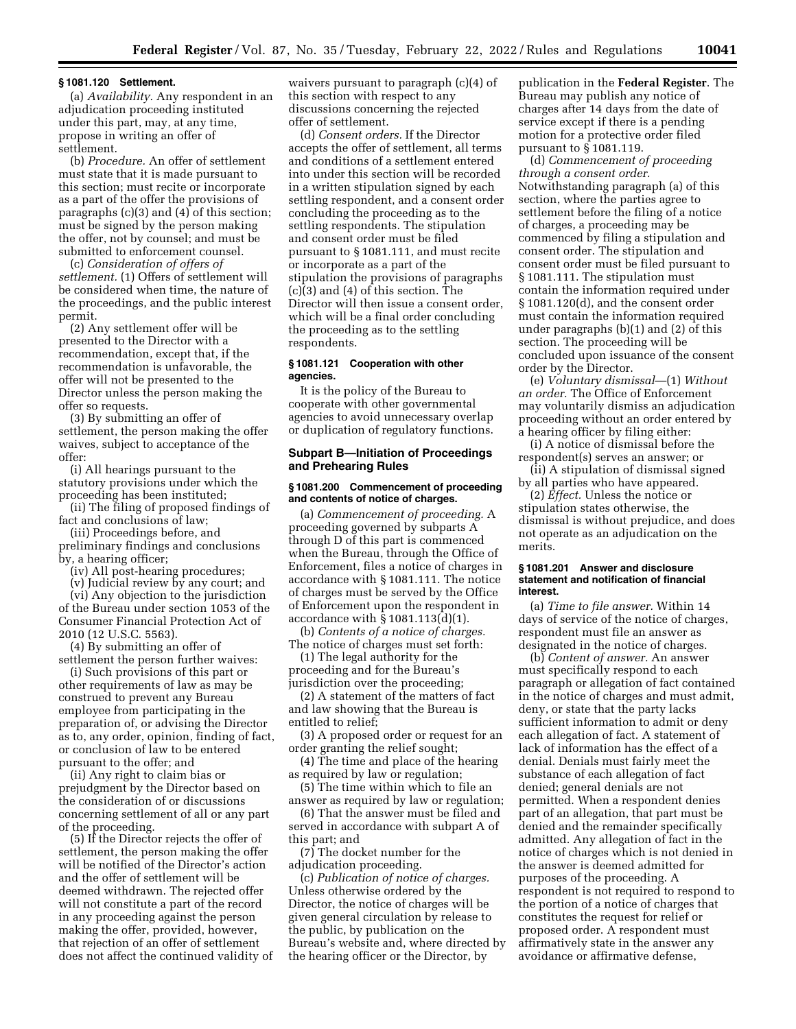#### **§ 1081.120 Settlement.**

(a) *Availability.* Any respondent in an adjudication proceeding instituted under this part, may, at any time, propose in writing an offer of settlement.

(b) *Procedure.* An offer of settlement must state that it is made pursuant to this section; must recite or incorporate as a part of the offer the provisions of paragraphs (c)(3) and (4) of this section; must be signed by the person making the offer, not by counsel; and must be submitted to enforcement counsel.

(c) *Consideration of offers of settlement.* (1) Offers of settlement will be considered when time, the nature of the proceedings, and the public interest permit.

(2) Any settlement offer will be presented to the Director with a recommendation, except that, if the recommendation is unfavorable, the offer will not be presented to the Director unless the person making the offer so requests.

(3) By submitting an offer of settlement, the person making the offer waives, subject to acceptance of the offer:

(i) All hearings pursuant to the statutory provisions under which the proceeding has been instituted;

(ii) The filing of proposed findings of fact and conclusions of law;

(iii) Proceedings before, and preliminary findings and conclusions by, a hearing officer;

(iv) All post-hearing procedures;

(v) Judicial review by any court; and

(vi) Any objection to the jurisdiction of the Bureau under section 1053 of the Consumer Financial Protection Act of 2010 (12 U.S.C. 5563).

(4) By submitting an offer of settlement the person further waives:

(i) Such provisions of this part or other requirements of law as may be construed to prevent any Bureau employee from participating in the preparation of, or advising the Director as to, any order, opinion, finding of fact, or conclusion of law to be entered pursuant to the offer; and

(ii) Any right to claim bias or prejudgment by the Director based on the consideration of or discussions concerning settlement of all or any part of the proceeding.

(5) If the Director rejects the offer of settlement, the person making the offer will be notified of the Director's action and the offer of settlement will be deemed withdrawn. The rejected offer will not constitute a part of the record in any proceeding against the person making the offer, provided, however, that rejection of an offer of settlement does not affect the continued validity of waivers pursuant to paragraph (c)(4) of this section with respect to any discussions concerning the rejected offer of settlement.

(d) *Consent orders.* If the Director accepts the offer of settlement, all terms and conditions of a settlement entered into under this section will be recorded in a written stipulation signed by each settling respondent, and a consent order concluding the proceeding as to the settling respondents. The stipulation and consent order must be filed pursuant to § 1081.111, and must recite or incorporate as a part of the stipulation the provisions of paragraphs (c)(3) and (4) of this section. The Director will then issue a consent order, which will be a final order concluding the proceeding as to the settling respondents.

### **§ 1081.121 Cooperation with other agencies.**

It is the policy of the Bureau to cooperate with other governmental agencies to avoid unnecessary overlap or duplication of regulatory functions.

# **Subpart B—Initiation of Proceedings and Prehearing Rules**

### **§ 1081.200 Commencement of proceeding and contents of notice of charges.**

(a) *Commencement of proceeding.* A proceeding governed by subparts A through D of this part is commenced when the Bureau, through the Office of Enforcement, files a notice of charges in accordance with § 1081.111. The notice of charges must be served by the Office of Enforcement upon the respondent in accordance with § 1081.113(d)(1).

(b) *Contents of a notice of charges.*  The notice of charges must set forth:

(1) The legal authority for the proceeding and for the Bureau's jurisdiction over the proceeding;

(2) A statement of the matters of fact and law showing that the Bureau is entitled to relief;

(3) A proposed order or request for an order granting the relief sought;

(4) The time and place of the hearing as required by law or regulation;

(5) The time within which to file an answer as required by law or regulation;

(6) That the answer must be filed and served in accordance with subpart A of this part; and

(7) The docket number for the adjudication proceeding.

(c) *Publication of notice of charges.*  Unless otherwise ordered by the Director, the notice of charges will be given general circulation by release to the public, by publication on the Bureau's website and, where directed by the hearing officer or the Director, by

publication in the **Federal Register**. The Bureau may publish any notice of charges after 14 days from the date of service except if there is a pending motion for a protective order filed pursuant to § 1081.119.

(d) *Commencement of proceeding through a consent order.*  Notwithstanding paragraph (a) of this section, where the parties agree to settlement before the filing of a notice of charges, a proceeding may be commenced by filing a stipulation and consent order. The stipulation and consent order must be filed pursuant to § 1081.111. The stipulation must contain the information required under § 1081.120(d), and the consent order must contain the information required under paragraphs (b)(1) and (2) of this section. The proceeding will be concluded upon issuance of the consent order by the Director.

(e) *Voluntary dismissal*—(1) *Without an order.* The Office of Enforcement may voluntarily dismiss an adjudication proceeding without an order entered by a hearing officer by filing either:

(i) A notice of dismissal before the respondent(s) serves an answer; or

(ii) A stipulation of dismissal signed by all parties who have appeared.

(2) *Effect.* Unless the notice or stipulation states otherwise, the dismissal is without prejudice, and does not operate as an adjudication on the merits.

#### **§ 1081.201 Answer and disclosure statement and notification of financial interest.**

(a) *Time to file answer.* Within 14 days of service of the notice of charges, respondent must file an answer as designated in the notice of charges.

(b) *Content of answer.* An answer must specifically respond to each paragraph or allegation of fact contained in the notice of charges and must admit, deny, or state that the party lacks sufficient information to admit or deny each allegation of fact. A statement of lack of information has the effect of a denial. Denials must fairly meet the substance of each allegation of fact denied; general denials are not permitted. When a respondent denies part of an allegation, that part must be denied and the remainder specifically admitted. Any allegation of fact in the notice of charges which is not denied in the answer is deemed admitted for purposes of the proceeding. A respondent is not required to respond to the portion of a notice of charges that constitutes the request for relief or proposed order. A respondent must affirmatively state in the answer any avoidance or affirmative defense,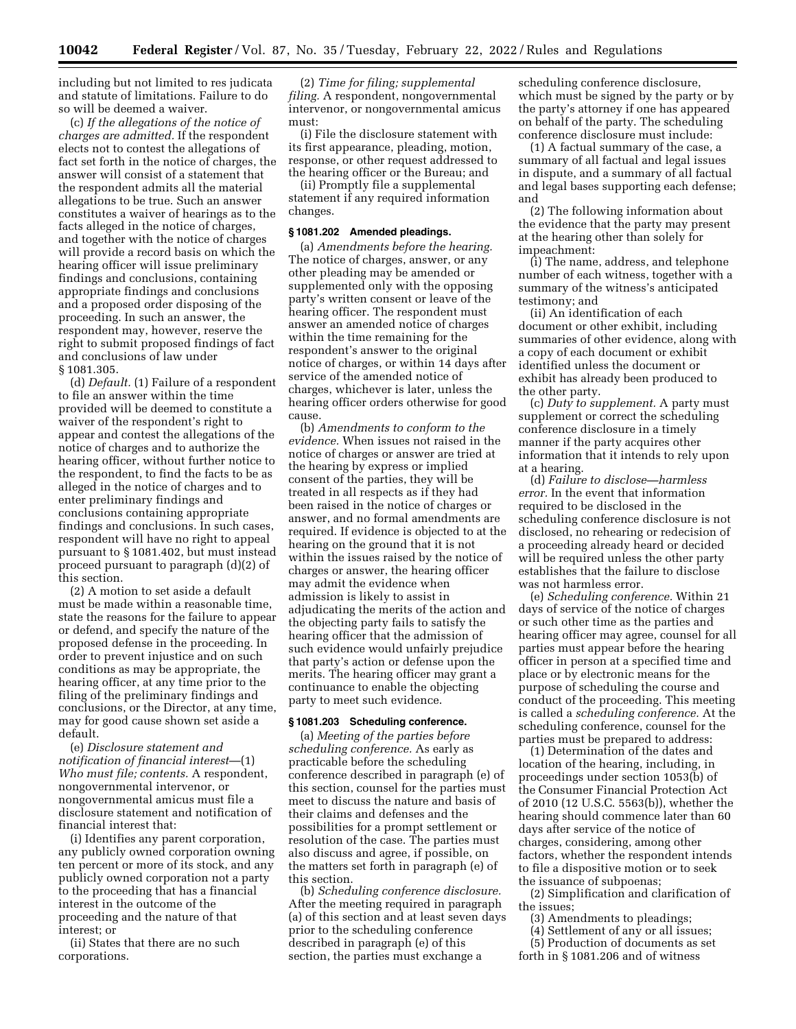including but not limited to res judicata and statute of limitations. Failure to do so will be deemed a waiver.

(c) *If the allegations of the notice of charges are admitted.* If the respondent elects not to contest the allegations of fact set forth in the notice of charges, the answer will consist of a statement that the respondent admits all the material allegations to be true. Such an answer constitutes a waiver of hearings as to the facts alleged in the notice of charges, and together with the notice of charges will provide a record basis on which the hearing officer will issue preliminary findings and conclusions, containing appropriate findings and conclusions and a proposed order disposing of the proceeding. In such an answer, the respondent may, however, reserve the right to submit proposed findings of fact and conclusions of law under § 1081.305.

(d) *Default.* (1) Failure of a respondent to file an answer within the time provided will be deemed to constitute a waiver of the respondent's right to appear and contest the allegations of the notice of charges and to authorize the hearing officer, without further notice to the respondent, to find the facts to be as alleged in the notice of charges and to enter preliminary findings and conclusions containing appropriate findings and conclusions. In such cases, respondent will have no right to appeal pursuant to § 1081.402, but must instead proceed pursuant to paragraph (d)(2) of this section.

(2) A motion to set aside a default must be made within a reasonable time, state the reasons for the failure to appear or defend, and specify the nature of the proposed defense in the proceeding. In order to prevent injustice and on such conditions as may be appropriate, the hearing officer, at any time prior to the filing of the preliminary findings and conclusions, or the Director, at any time, may for good cause shown set aside a default.

(e) *Disclosure statement and notification of financial interest*—(1) *Who must file; contents.* A respondent, nongovernmental intervenor, or nongovernmental amicus must file a disclosure statement and notification of financial interest that:

(i) Identifies any parent corporation, any publicly owned corporation owning ten percent or more of its stock, and any publicly owned corporation not a party to the proceeding that has a financial interest in the outcome of the proceeding and the nature of that interest; or

(ii) States that there are no such corporations.

(2) *Time for filing; supplemental filing.* A respondent, nongovernmental intervenor, or nongovernmental amicus must:

(i) File the disclosure statement with its first appearance, pleading, motion, response, or other request addressed to the hearing officer or the Bureau; and

(ii) Promptly file a supplemental statement if any required information changes.

#### **§ 1081.202 Amended pleadings.**

(a) *Amendments before the hearing.*  The notice of charges, answer, or any other pleading may be amended or supplemented only with the opposing party's written consent or leave of the hearing officer. The respondent must answer an amended notice of charges within the time remaining for the respondent's answer to the original notice of charges, or within 14 days after service of the amended notice of charges, whichever is later, unless the hearing officer orders otherwise for good cause.

(b) *Amendments to conform to the evidence.* When issues not raised in the notice of charges or answer are tried at the hearing by express or implied consent of the parties, they will be treated in all respects as if they had been raised in the notice of charges or answer, and no formal amendments are required. If evidence is objected to at the hearing on the ground that it is not within the issues raised by the notice of charges or answer, the hearing officer may admit the evidence when admission is likely to assist in adjudicating the merits of the action and the objecting party fails to satisfy the hearing officer that the admission of such evidence would unfairly prejudice that party's action or defense upon the merits. The hearing officer may grant a continuance to enable the objecting party to meet such evidence.

## **§ 1081.203 Scheduling conference.**

(a) *Meeting of the parties before scheduling conference.* As early as practicable before the scheduling conference described in paragraph (e) of this section, counsel for the parties must meet to discuss the nature and basis of their claims and defenses and the possibilities for a prompt settlement or resolution of the case. The parties must also discuss and agree, if possible, on the matters set forth in paragraph (e) of this section.

(b) *Scheduling conference disclosure.*  After the meeting required in paragraph (a) of this section and at least seven days prior to the scheduling conference described in paragraph (e) of this section, the parties must exchange a

scheduling conference disclosure, which must be signed by the party or by the party's attorney if one has appeared on behalf of the party. The scheduling conference disclosure must include:

(1) A factual summary of the case, a summary of all factual and legal issues in dispute, and a summary of all factual and legal bases supporting each defense; and

(2) The following information about the evidence that the party may present at the hearing other than solely for impeachment:

(i) The name, address, and telephone number of each witness, together with a summary of the witness's anticipated testimony; and

(ii) An identification of each document or other exhibit, including summaries of other evidence, along with a copy of each document or exhibit identified unless the document or exhibit has already been produced to the other party.

(c) *Duty to supplement.* A party must supplement or correct the scheduling conference disclosure in a timely manner if the party acquires other information that it intends to rely upon at a hearing.

(d) *Failure to disclose—harmless error.* In the event that information required to be disclosed in the scheduling conference disclosure is not disclosed, no rehearing or redecision of a proceeding already heard or decided will be required unless the other party establishes that the failure to disclose was not harmless error.

(e) *Scheduling conference.* Within 21 days of service of the notice of charges or such other time as the parties and hearing officer may agree, counsel for all parties must appear before the hearing officer in person at a specified time and place or by electronic means for the purpose of scheduling the course and conduct of the proceeding. This meeting is called a *scheduling conference.* At the scheduling conference, counsel for the parties must be prepared to address:

(1) Determination of the dates and location of the hearing, including, in proceedings under section 1053(b) of the Consumer Financial Protection Act of 2010 (12 U.S.C. 5563(b)), whether the hearing should commence later than 60 days after service of the notice of charges, considering, among other factors, whether the respondent intends to file a dispositive motion or to seek the issuance of subpoenas;

(2) Simplification and clarification of the issues;

- (3) Amendments to pleadings;
- (4) Settlement of any or all issues;
- (5) Production of documents as set forth in § 1081.206 and of witness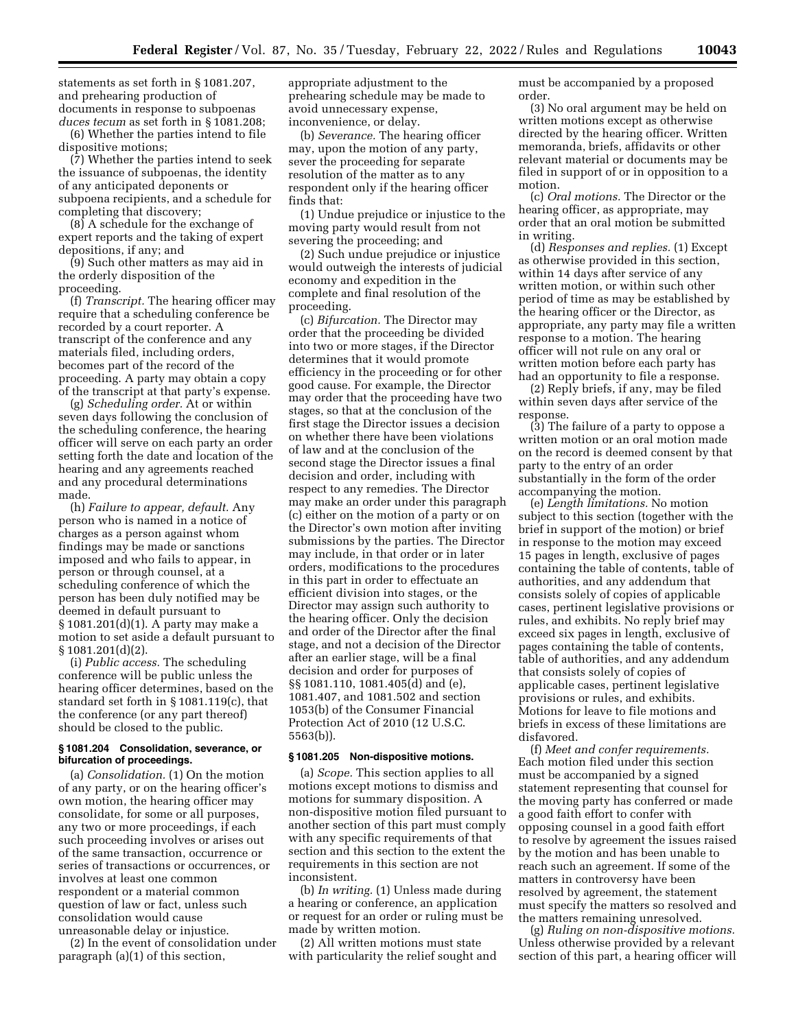statements as set forth in § 1081.207, and prehearing production of documents in response to subpoenas *duces tecum* as set forth in § 1081.208;

(6) Whether the parties intend to file dispositive motions;

(7) Whether the parties intend to seek the issuance of subpoenas, the identity of any anticipated deponents or subpoena recipients, and a schedule for completing that discovery;

(8) A schedule for the exchange of expert reports and the taking of expert depositions, if any; and

(9) Such other matters as may aid in the orderly disposition of the proceeding.

(f) *Transcript.* The hearing officer may require that a scheduling conference be recorded by a court reporter. A transcript of the conference and any materials filed, including orders, becomes part of the record of the proceeding. A party may obtain a copy of the transcript at that party's expense.

(g) *Scheduling order.* At or within seven days following the conclusion of the scheduling conference, the hearing officer will serve on each party an order setting forth the date and location of the hearing and any agreements reached and any procedural determinations made.

(h) *Failure to appear, default.* Any person who is named in a notice of charges as a person against whom findings may be made or sanctions imposed and who fails to appear, in person or through counsel, at a scheduling conference of which the person has been duly notified may be deemed in default pursuant to § 1081.201(d)(1). A party may make a motion to set aside a default pursuant to § 1081.201(d)(2).

(i) *Public access.* The scheduling conference will be public unless the hearing officer determines, based on the standard set forth in § 1081.119(c), that the conference (or any part thereof) should be closed to the public.

# **§ 1081.204 Consolidation, severance, or bifurcation of proceedings.**

(a) *Consolidation.* (1) On the motion of any party, or on the hearing officer's own motion, the hearing officer may consolidate, for some or all purposes, any two or more proceedings, if each such proceeding involves or arises out of the same transaction, occurrence or series of transactions or occurrences, or involves at least one common respondent or a material common question of law or fact, unless such consolidation would cause unreasonable delay or injustice.

(2) In the event of consolidation under paragraph (a)(1) of this section,

appropriate adjustment to the prehearing schedule may be made to avoid unnecessary expense, inconvenience, or delay.

(b) *Severance.* The hearing officer may, upon the motion of any party, sever the proceeding for separate resolution of the matter as to any respondent only if the hearing officer finds that:

(1) Undue prejudice or injustice to the moving party would result from not severing the proceeding; and

(2) Such undue prejudice or injustice would outweigh the interests of judicial economy and expedition in the complete and final resolution of the proceeding.

(c) *Bifurcation.* The Director may order that the proceeding be divided into two or more stages, if the Director determines that it would promote efficiency in the proceeding or for other good cause. For example, the Director may order that the proceeding have two stages, so that at the conclusion of the first stage the Director issues a decision on whether there have been violations of law and at the conclusion of the second stage the Director issues a final decision and order, including with respect to any remedies. The Director may make an order under this paragraph (c) either on the motion of a party or on the Director's own motion after inviting submissions by the parties. The Director may include, in that order or in later orders, modifications to the procedures in this part in order to effectuate an efficient division into stages, or the Director may assign such authority to the hearing officer. Only the decision and order of the Director after the final stage, and not a decision of the Director after an earlier stage, will be a final decision and order for purposes of §§ 1081.110, 1081.405(d) and (e), 1081.407, and 1081.502 and section 1053(b) of the Consumer Financial Protection Act of 2010 (12 U.S.C. 5563(b)).

# **§ 1081.205 Non-dispositive motions.**

(a) *Scope.* This section applies to all motions except motions to dismiss and motions for summary disposition. A non-dispositive motion filed pursuant to another section of this part must comply with any specific requirements of that section and this section to the extent the requirements in this section are not inconsistent.

(b) *In writing.* (1) Unless made during a hearing or conference, an application or request for an order or ruling must be made by written motion.

(2) All written motions must state with particularity the relief sought and must be accompanied by a proposed order.

(3) No oral argument may be held on written motions except as otherwise directed by the hearing officer. Written memoranda, briefs, affidavits or other relevant material or documents may be filed in support of or in opposition to a motion.

(c) *Oral motions.* The Director or the hearing officer, as appropriate, may order that an oral motion be submitted in writing.

(d) *Responses and replies.* (1) Except as otherwise provided in this section, within 14 days after service of any written motion, or within such other period of time as may be established by the hearing officer or the Director, as appropriate, any party may file a written response to a motion. The hearing officer will not rule on any oral or written motion before each party has had an opportunity to file a response.

(2) Reply briefs, if any, may be filed within seven days after service of the response.

(3) The failure of a party to oppose a written motion or an oral motion made on the record is deemed consent by that party to the entry of an order substantially in the form of the order accompanying the motion.

(e) *Length limitations.* No motion subject to this section (together with the brief in support of the motion) or brief in response to the motion may exceed 15 pages in length, exclusive of pages containing the table of contents, table of authorities, and any addendum that consists solely of copies of applicable cases, pertinent legislative provisions or rules, and exhibits. No reply brief may exceed six pages in length, exclusive of pages containing the table of contents, table of authorities, and any addendum that consists solely of copies of applicable cases, pertinent legislative provisions or rules, and exhibits. Motions for leave to file motions and briefs in excess of these limitations are disfavored.

(f) *Meet and confer requirements.*  Each motion filed under this section must be accompanied by a signed statement representing that counsel for the moving party has conferred or made a good faith effort to confer with opposing counsel in a good faith effort to resolve by agreement the issues raised by the motion and has been unable to reach such an agreement. If some of the matters in controversy have been resolved by agreement, the statement must specify the matters so resolved and the matters remaining unresolved.

(g) *Ruling on non-dispositive motions.*  Unless otherwise provided by a relevant section of this part, a hearing officer will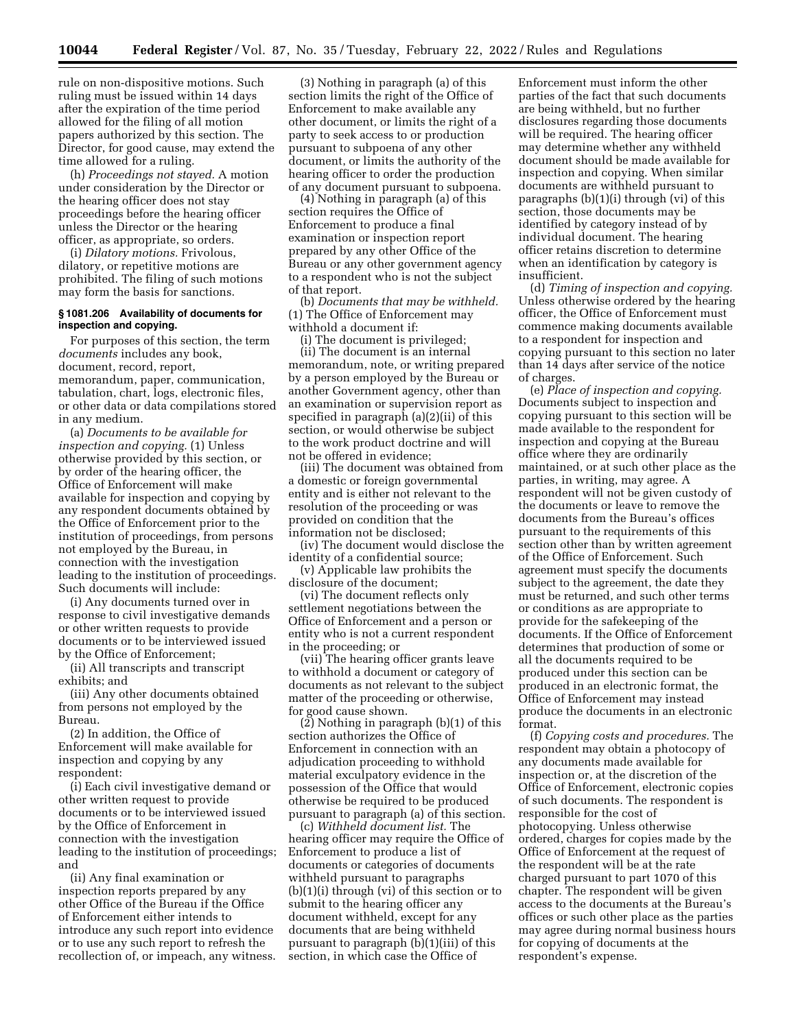rule on non-dispositive motions. Such ruling must be issued within 14 days after the expiration of the time period allowed for the filing of all motion papers authorized by this section. The Director, for good cause, may extend the time allowed for a ruling.

(h) *Proceedings not stayed.* A motion under consideration by the Director or the hearing officer does not stay proceedings before the hearing officer unless the Director or the hearing officer, as appropriate, so orders.

(i) *Dilatory motions.* Frivolous, dilatory, or repetitive motions are prohibited. The filing of such motions may form the basis for sanctions.

# **§ 1081.206 Availability of documents for inspection and copying.**

For purposes of this section, the term *documents* includes any book, document, record, report, memorandum, paper, communication, tabulation, chart, logs, electronic files, or other data or data compilations stored in any medium.

(a) *Documents to be available for inspection and copying.* (1) Unless otherwise provided by this section, or by order of the hearing officer, the Office of Enforcement will make available for inspection and copying by any respondent documents obtained by the Office of Enforcement prior to the institution of proceedings, from persons not employed by the Bureau, in connection with the investigation leading to the institution of proceedings. Such documents will include:

(i) Any documents turned over in response to civil investigative demands or other written requests to provide documents or to be interviewed issued by the Office of Enforcement;

(ii) All transcripts and transcript exhibits; and

(iii) Any other documents obtained from persons not employed by the Bureau.

(2) In addition, the Office of Enforcement will make available for inspection and copying by any respondent:

(i) Each civil investigative demand or other written request to provide documents or to be interviewed issued by the Office of Enforcement in connection with the investigation leading to the institution of proceedings; and

(ii) Any final examination or inspection reports prepared by any other Office of the Bureau if the Office of Enforcement either intends to introduce any such report into evidence or to use any such report to refresh the recollection of, or impeach, any witness.

(3) Nothing in paragraph (a) of this section limits the right of the Office of Enforcement to make available any other document, or limits the right of a party to seek access to or production pursuant to subpoena of any other document, or limits the authority of the hearing officer to order the production of any document pursuant to subpoena.

(4) Nothing in paragraph (a) of this section requires the Office of Enforcement to produce a final examination or inspection report prepared by any other Office of the Bureau or any other government agency to a respondent who is not the subject of that report.

(b) *Documents that may be withheld.*  (1) The Office of Enforcement may withhold a document if:

(i) The document is privileged;

(ii) The document is an internal memorandum, note, or writing prepared by a person employed by the Bureau or another Government agency, other than an examination or supervision report as specified in paragraph (a)(2)(ii) of this section, or would otherwise be subject to the work product doctrine and will not be offered in evidence;

(iii) The document was obtained from a domestic or foreign governmental entity and is either not relevant to the resolution of the proceeding or was provided on condition that the information not be disclosed;

(iv) The document would disclose the identity of a confidential source;

(v) Applicable law prohibits the disclosure of the document;

(vi) The document reflects only settlement negotiations between the Office of Enforcement and a person or entity who is not a current respondent in the proceeding; or

(vii) The hearing officer grants leave to withhold a document or category of documents as not relevant to the subject matter of the proceeding or otherwise, for good cause shown.

 $(2)$  Nothing in paragraph  $(b)(1)$  of this section authorizes the Office of Enforcement in connection with an adjudication proceeding to withhold material exculpatory evidence in the possession of the Office that would otherwise be required to be produced pursuant to paragraph (a) of this section.

(c) *Withheld document list.* The hearing officer may require the Office of Enforcement to produce a list of documents or categories of documents withheld pursuant to paragraphs (b)(1)(i) through (vi) of this section or to submit to the hearing officer any document withheld, except for any documents that are being withheld pursuant to paragraph (b)(1)(iii) of this section, in which case the Office of

Enforcement must inform the other parties of the fact that such documents are being withheld, but no further disclosures regarding those documents will be required. The hearing officer may determine whether any withheld document should be made available for inspection and copying. When similar documents are withheld pursuant to paragraphs (b)(1)(i) through (vi) of this section, those documents may be identified by category instead of by individual document. The hearing officer retains discretion to determine when an identification by category is insufficient.

(d) *Timing of inspection and copying.*  Unless otherwise ordered by the hearing officer, the Office of Enforcement must commence making documents available to a respondent for inspection and copying pursuant to this section no later than 14 days after service of the notice of charges.

(e) *Place of inspection and copying.*  Documents subject to inspection and copying pursuant to this section will be made available to the respondent for inspection and copying at the Bureau office where they are ordinarily maintained, or at such other place as the parties, in writing, may agree. A respondent will not be given custody of the documents or leave to remove the documents from the Bureau's offices pursuant to the requirements of this section other than by written agreement of the Office of Enforcement. Such agreement must specify the documents subject to the agreement, the date they must be returned, and such other terms or conditions as are appropriate to provide for the safekeeping of the documents. If the Office of Enforcement determines that production of some or all the documents required to be produced under this section can be produced in an electronic format, the Office of Enforcement may instead produce the documents in an electronic format.

(f) *Copying costs and procedures.* The respondent may obtain a photocopy of any documents made available for inspection or, at the discretion of the Office of Enforcement, electronic copies of such documents. The respondent is responsible for the cost of photocopying. Unless otherwise ordered, charges for copies made by the Office of Enforcement at the request of the respondent will be at the rate charged pursuant to part 1070 of this chapter. The respondent will be given access to the documents at the Bureau's offices or such other place as the parties may agree during normal business hours for copying of documents at the respondent's expense.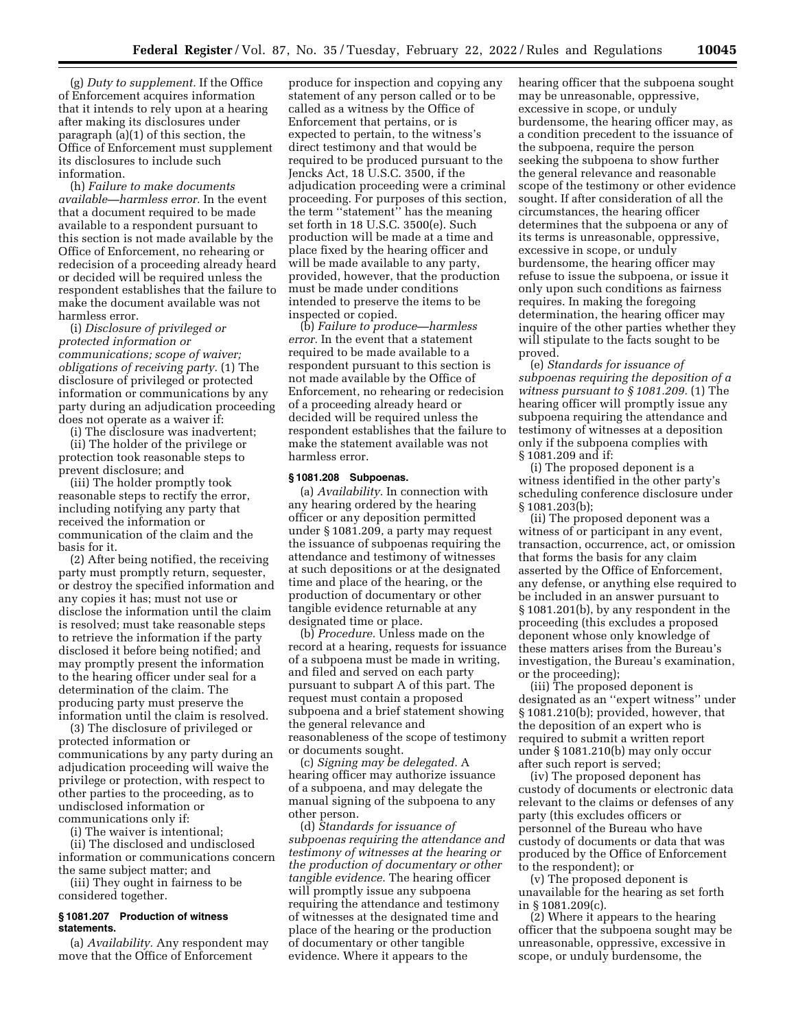(g) *Duty to supplement.* If the Office of Enforcement acquires information that it intends to rely upon at a hearing after making its disclosures under paragraph (a)(1) of this section, the Office of Enforcement must supplement its disclosures to include such information.

(h) *Failure to make documents available—harmless error.* In the event that a document required to be made available to a respondent pursuant to this section is not made available by the Office of Enforcement, no rehearing or redecision of a proceeding already heard or decided will be required unless the respondent establishes that the failure to make the document available was not harmless error.

(i) *Disclosure of privileged or protected information or communications; scope of waiver; obligations of receiving party.* (1) The disclosure of privileged or protected information or communications by any party during an adjudication proceeding does not operate as a waiver if:

(i) The disclosure was inadvertent;

(ii) The holder of the privilege or protection took reasonable steps to prevent disclosure; and

(iii) The holder promptly took reasonable steps to rectify the error, including notifying any party that received the information or communication of the claim and the basis for it.

(2) After being notified, the receiving party must promptly return, sequester, or destroy the specified information and any copies it has; must not use or disclose the information until the claim is resolved; must take reasonable steps to retrieve the information if the party disclosed it before being notified; and may promptly present the information to the hearing officer under seal for a determination of the claim. The producing party must preserve the information until the claim is resolved.

(3) The disclosure of privileged or protected information or communications by any party during an adjudication proceeding will waive the privilege or protection, with respect to other parties to the proceeding, as to undisclosed information or communications only if:

(i) The waiver is intentional;

(ii) The disclosed and undisclosed information or communications concern the same subject matter; and

(iii) They ought in fairness to be considered together.

# **§ 1081.207 Production of witness statements.**

(a) *Availability.* Any respondent may move that the Office of Enforcement

produce for inspection and copying any statement of any person called or to be called as a witness by the Office of Enforcement that pertains, or is expected to pertain, to the witness's direct testimony and that would be required to be produced pursuant to the Jencks Act, 18 U.S.C. 3500, if the adjudication proceeding were a criminal proceeding. For purposes of this section, the term ''statement'' has the meaning set forth in 18 U.S.C. 3500(e). Such production will be made at a time and place fixed by the hearing officer and will be made available to any party, provided, however, that the production must be made under conditions intended to preserve the items to be inspected or copied.

(b) *Failure to produce—harmless error.* In the event that a statement required to be made available to a respondent pursuant to this section is not made available by the Office of Enforcement, no rehearing or redecision of a proceeding already heard or decided will be required unless the respondent establishes that the failure to make the statement available was not harmless error.

# **§ 1081.208 Subpoenas.**

(a) *Availability.* In connection with any hearing ordered by the hearing officer or any deposition permitted under § 1081.209, a party may request the issuance of subpoenas requiring the attendance and testimony of witnesses at such depositions or at the designated time and place of the hearing, or the production of documentary or other tangible evidence returnable at any designated time or place.

(b) *Procedure.* Unless made on the record at a hearing, requests for issuance of a subpoena must be made in writing, and filed and served on each party pursuant to subpart A of this part. The request must contain a proposed subpoena and a brief statement showing the general relevance and reasonableness of the scope of testimony or documents sought.

(c) *Signing may be delegated.* A hearing officer may authorize issuance of a subpoena, and may delegate the manual signing of the subpoena to any other person.

(d) *Standards for issuance of subpoenas requiring the attendance and testimony of witnesses at the hearing or the production of documentary or other tangible evidence.* The hearing officer will promptly issue any subpoena requiring the attendance and testimony of witnesses at the designated time and place of the hearing or the production of documentary or other tangible evidence. Where it appears to the

hearing officer that the subpoena sought may be unreasonable, oppressive, excessive in scope, or unduly burdensome, the hearing officer may, as a condition precedent to the issuance of the subpoena, require the person seeking the subpoena to show further the general relevance and reasonable scope of the testimony or other evidence sought. If after consideration of all the circumstances, the hearing officer determines that the subpoena or any of its terms is unreasonable, oppressive, excessive in scope, or unduly burdensome, the hearing officer may refuse to issue the subpoena, or issue it only upon such conditions as fairness requires. In making the foregoing determination, the hearing officer may inquire of the other parties whether they will stipulate to the facts sought to be proved.

(e) *Standards for issuance of subpoenas requiring the deposition of a witness pursuant to § 1081.209.* (1) The hearing officer will promptly issue any subpoena requiring the attendance and testimony of witnesses at a deposition only if the subpoena complies with § 1081.209 and if:

(i) The proposed deponent is a witness identified in the other party's scheduling conference disclosure under § 1081.203(b);

(ii) The proposed deponent was a witness of or participant in any event, transaction, occurrence, act, or omission that forms the basis for any claim asserted by the Office of Enforcement, any defense, or anything else required to be included in an answer pursuant to § 1081.201(b), by any respondent in the proceeding (this excludes a proposed deponent whose only knowledge of these matters arises from the Bureau's investigation, the Bureau's examination, or the proceeding);

(iii) The proposed deponent is designated as an ''expert witness'' under § 1081.210(b); provided, however, that the deposition of an expert who is required to submit a written report under § 1081.210(b) may only occur after such report is served;

(iv) The proposed deponent has custody of documents or electronic data relevant to the claims or defenses of any party (this excludes officers or personnel of the Bureau who have custody of documents or data that was produced by the Office of Enforcement to the respondent); or

(v) The proposed deponent is unavailable for the hearing as set forth in § 1081.209(c).

(2) Where it appears to the hearing officer that the subpoena sought may be unreasonable, oppressive, excessive in scope, or unduly burdensome, the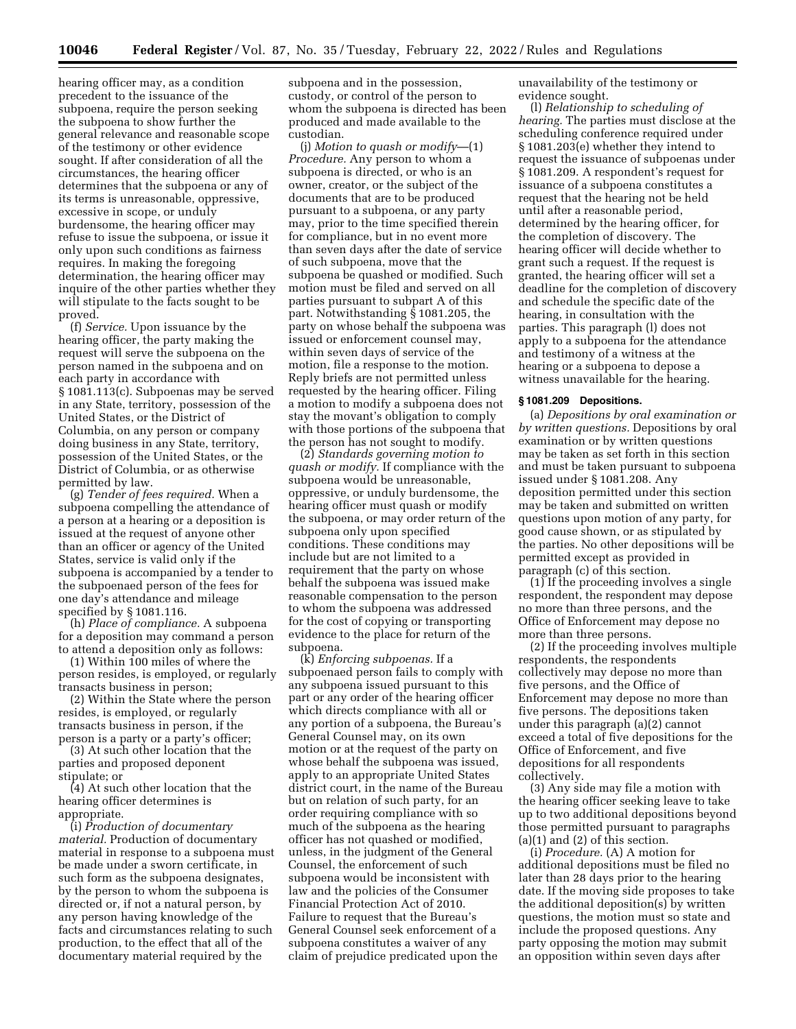hearing officer may, as a condition precedent to the issuance of the subpoena, require the person seeking the subpoena to show further the general relevance and reasonable scope of the testimony or other evidence sought. If after consideration of all the circumstances, the hearing officer determines that the subpoena or any of its terms is unreasonable, oppressive, excessive in scope, or unduly burdensome, the hearing officer may refuse to issue the subpoena, or issue it only upon such conditions as fairness requires. In making the foregoing determination, the hearing officer may inquire of the other parties whether they will stipulate to the facts sought to be proved.

(f) *Service.* Upon issuance by the hearing officer, the party making the request will serve the subpoena on the person named in the subpoena and on each party in accordance with § 1081.113(c). Subpoenas may be served in any State, territory, possession of the United States, or the District of Columbia, on any person or company doing business in any State, territory, possession of the United States, or the District of Columbia, or as otherwise permitted by law.

(g) *Tender of fees required.* When a subpoena compelling the attendance of a person at a hearing or a deposition is issued at the request of anyone other than an officer or agency of the United States, service is valid only if the subpoena is accompanied by a tender to the subpoenaed person of the fees for one day's attendance and mileage specified by § 1081.116.

(h) *Place of compliance.* A subpoena for a deposition may command a person to attend a deposition only as follows:

(1) Within 100 miles of where the person resides, is employed, or regularly transacts business in person;

(2) Within the State where the person resides, is employed, or regularly transacts business in person, if the person is a party or a party's officer;

(3) At such other location that the parties and proposed deponent stipulate; or

(4) At such other location that the hearing officer determines is appropriate.

(i) *Production of documentary material.* Production of documentary material in response to a subpoena must be made under a sworn certificate, in such form as the subpoena designates, by the person to whom the subpoena is directed or, if not a natural person, by any person having knowledge of the facts and circumstances relating to such production, to the effect that all of the documentary material required by the

subpoena and in the possession, custody, or control of the person to whom the subpoena is directed has been produced and made available to the custodian.

(j) *Motion to quash or modify*—(1) *Procedure.* Any person to whom a subpoena is directed, or who is an owner, creator, or the subject of the documents that are to be produced pursuant to a subpoena, or any party may, prior to the time specified therein for compliance, but in no event more than seven days after the date of service of such subpoena, move that the subpoena be quashed or modified. Such motion must be filed and served on all parties pursuant to subpart A of this part. Notwithstanding § 1081.205, the party on whose behalf the subpoena was issued or enforcement counsel may, within seven days of service of the motion, file a response to the motion. Reply briefs are not permitted unless requested by the hearing officer. Filing a motion to modify a subpoena does not stay the movant's obligation to comply with those portions of the subpoena that the person has not sought to modify.

(2) *Standards governing motion to quash or modify.* If compliance with the subpoena would be unreasonable, oppressive, or unduly burdensome, the hearing officer must quash or modify the subpoena, or may order return of the subpoena only upon specified conditions. These conditions may include but are not limited to a requirement that the party on whose behalf the subpoena was issued make reasonable compensation to the person to whom the subpoena was addressed for the cost of copying or transporting evidence to the place for return of the subpoena.

(k) *Enforcing subpoenas.* If a subpoenaed person fails to comply with any subpoena issued pursuant to this part or any order of the hearing officer which directs compliance with all or any portion of a subpoena, the Bureau's General Counsel may, on its own motion or at the request of the party on whose behalf the subpoena was issued, apply to an appropriate United States district court, in the name of the Bureau but on relation of such party, for an order requiring compliance with so much of the subpoena as the hearing officer has not quashed or modified, unless, in the judgment of the General Counsel, the enforcement of such subpoena would be inconsistent with law and the policies of the Consumer Financial Protection Act of 2010. Failure to request that the Bureau's General Counsel seek enforcement of a subpoena constitutes a waiver of any claim of prejudice predicated upon the

unavailability of the testimony or evidence sought.

(l) *Relationship to scheduling of hearing.* The parties must disclose at the scheduling conference required under § 1081.203(e) whether they intend to request the issuance of subpoenas under § 1081.209. A respondent's request for issuance of a subpoena constitutes a request that the hearing not be held until after a reasonable period, determined by the hearing officer, for the completion of discovery. The hearing officer will decide whether to grant such a request. If the request is granted, the hearing officer will set a deadline for the completion of discovery and schedule the specific date of the hearing, in consultation with the parties. This paragraph (l) does not apply to a subpoena for the attendance and testimony of a witness at the hearing or a subpoena to depose a witness unavailable for the hearing.

### **§ 1081.209 Depositions.**

(a) *Depositions by oral examination or by written questions.* Depositions by oral examination or by written questions may be taken as set forth in this section and must be taken pursuant to subpoena issued under § 1081.208. Any deposition permitted under this section may be taken and submitted on written questions upon motion of any party, for good cause shown, or as stipulated by the parties. No other depositions will be permitted except as provided in paragraph (c) of this section.

 $(1)$  If the proceeding involves a single respondent, the respondent may depose no more than three persons, and the Office of Enforcement may depose no more than three persons.

(2) If the proceeding involves multiple respondents, the respondents collectively may depose no more than five persons, and the Office of Enforcement may depose no more than five persons. The depositions taken under this paragraph (a)(2) cannot exceed a total of five depositions for the Office of Enforcement, and five depositions for all respondents collectively.

(3) Any side may file a motion with the hearing officer seeking leave to take up to two additional depositions beyond those permitted pursuant to paragraphs  $(a)(1)$  and  $(2)$  of this section.

(i) *Procedure.* (A) A motion for additional depositions must be filed no later than 28 days prior to the hearing date. If the moving side proposes to take the additional deposition(s) by written questions, the motion must so state and include the proposed questions. Any party opposing the motion may submit an opposition within seven days after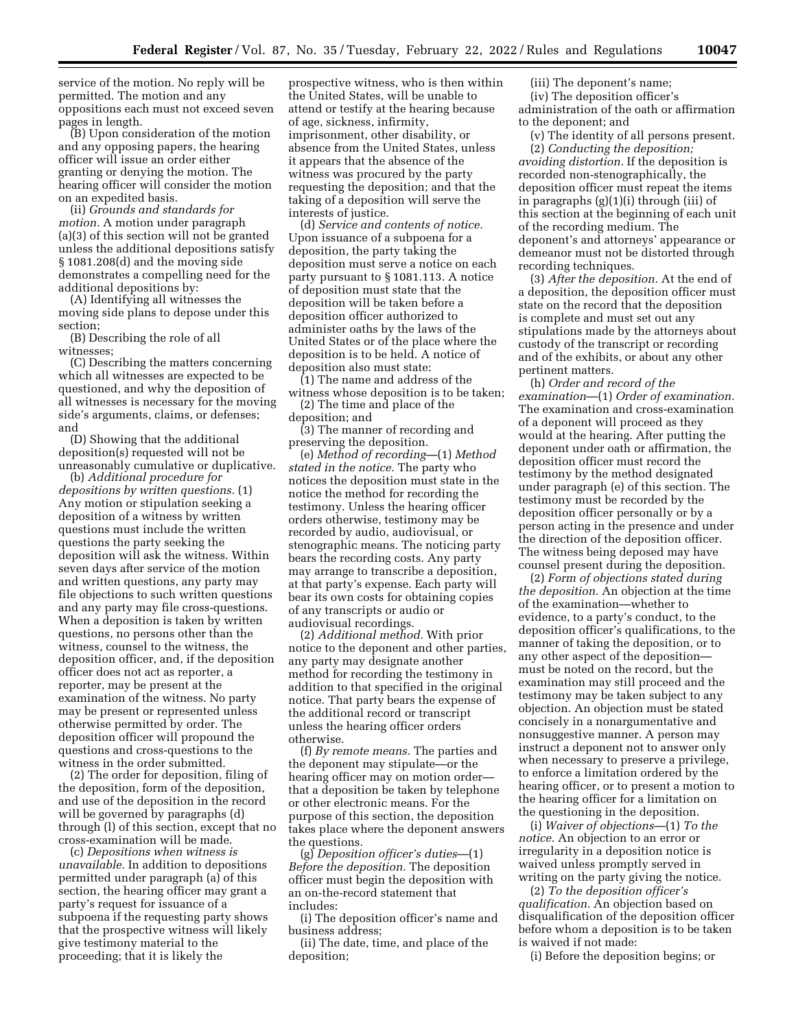service of the motion. No reply will be permitted. The motion and any oppositions each must not exceed seven pages in length.

(B) Upon consideration of the motion and any opposing papers, the hearing officer will issue an order either granting or denying the motion. The hearing officer will consider the motion on an expedited basis.

(ii) *Grounds and standards for motion.* A motion under paragraph (a)(3) of this section will not be granted unless the additional depositions satisfy § 1081.208(d) and the moving side demonstrates a compelling need for the additional depositions by:

(A) Identifying all witnesses the moving side plans to depose under this section;

(B) Describing the role of all witnesses;

(C) Describing the matters concerning which all witnesses are expected to be questioned, and why the deposition of all witnesses is necessary for the moving side's arguments, claims, or defenses; and

(D) Showing that the additional deposition(s) requested will not be unreasonably cumulative or duplicative.

(b) *Additional procedure for depositions by written questions.* (1) Any motion or stipulation seeking a deposition of a witness by written questions must include the written questions the party seeking the deposition will ask the witness. Within seven days after service of the motion and written questions, any party may file objections to such written questions and any party may file cross-questions. When a deposition is taken by written questions, no persons other than the witness, counsel to the witness, the deposition officer, and, if the deposition officer does not act as reporter, a reporter, may be present at the examination of the witness. No party may be present or represented unless otherwise permitted by order. The deposition officer will propound the questions and cross-questions to the witness in the order submitted.

(2) The order for deposition, filing of the deposition, form of the deposition, and use of the deposition in the record will be governed by paragraphs (d) through (l) of this section, except that no cross-examination will be made.

(c) *Depositions when witness is unavailable.* In addition to depositions permitted under paragraph (a) of this section, the hearing officer may grant a party's request for issuance of a subpoena if the requesting party shows that the prospective witness will likely give testimony material to the proceeding; that it is likely the

prospective witness, who is then within the United States, will be unable to attend or testify at the hearing because of age, sickness, infirmity, imprisonment, other disability, or absence from the United States, unless it appears that the absence of the witness was procured by the party requesting the deposition; and that the taking of a deposition will serve the interests of justice.

(d) *Service and contents of notice.*  Upon issuance of a subpoena for a deposition, the party taking the deposition must serve a notice on each party pursuant to § 1081.113. A notice of deposition must state that the deposition will be taken before a deposition officer authorized to administer oaths by the laws of the United States or of the place where the deposition is to be held. A notice of deposition also must state:

(1) The name and address of the witness whose deposition is to be taken; (2) The time and place of the

deposition; and

(3) The manner of recording and preserving the deposition.

(e) *Method of recording*—(1) *Method stated in the notice.* The party who notices the deposition must state in the notice the method for recording the testimony. Unless the hearing officer orders otherwise, testimony may be recorded by audio, audiovisual, or stenographic means. The noticing party bears the recording costs. Any party may arrange to transcribe a deposition, at that party's expense. Each party will bear its own costs for obtaining copies of any transcripts or audio or audiovisual recordings.

(2) *Additional method.* With prior notice to the deponent and other parties, any party may designate another method for recording the testimony in addition to that specified in the original notice. That party bears the expense of the additional record or transcript unless the hearing officer orders otherwise.

(f) *By remote means.* The parties and the deponent may stipulate—or the hearing officer may on motion order that a deposition be taken by telephone or other electronic means. For the purpose of this section, the deposition takes place where the deponent answers the questions.

(g) *Deposition officer's duties*—(1) *Before the deposition.* The deposition officer must begin the deposition with an on-the-record statement that includes:

(i) The deposition officer's name and business address;

(ii) The date, time, and place of the deposition;

(iii) The deponent's name; (iv) The deposition officer's administration of the oath or affirmation to the deponent; and

(v) The identity of all persons present. (2) *Conducting the deposition; avoiding distortion.* If the deposition is recorded non-stenographically, the deposition officer must repeat the items in paragraphs (g)(1)(i) through (iii) of this section at the beginning of each unit of the recording medium. The deponent's and attorneys' appearance or demeanor must not be distorted through recording techniques.

(3) *After the deposition.* At the end of a deposition, the deposition officer must state on the record that the deposition is complete and must set out any stipulations made by the attorneys about custody of the transcript or recording and of the exhibits, or about any other pertinent matters.

(h) *Order and record of the examination*—(1) *Order of examination.*  The examination and cross-examination of a deponent will proceed as they would at the hearing. After putting the deponent under oath or affirmation, the deposition officer must record the testimony by the method designated under paragraph (e) of this section. The testimony must be recorded by the deposition officer personally or by a person acting in the presence and under the direction of the deposition officer. The witness being deposed may have counsel present during the deposition.

(2) *Form of objections stated during the deposition.* An objection at the time of the examination—whether to evidence, to a party's conduct, to the deposition officer's qualifications, to the manner of taking the deposition, or to any other aspect of the deposition must be noted on the record, but the examination may still proceed and the testimony may be taken subject to any objection. An objection must be stated concisely in a nonargumentative and nonsuggestive manner. A person may instruct a deponent not to answer only when necessary to preserve a privilege, to enforce a limitation ordered by the hearing officer, or to present a motion to the hearing officer for a limitation on the questioning in the deposition.

(i) *Waiver of objections*—(1) *To the notice.* An objection to an error or irregularity in a deposition notice is waived unless promptly served in writing on the party giving the notice.

(2) *To the deposition officer's qualification.* An objection based on disqualification of the deposition officer before whom a deposition is to be taken is waived if not made:

(i) Before the deposition begins; or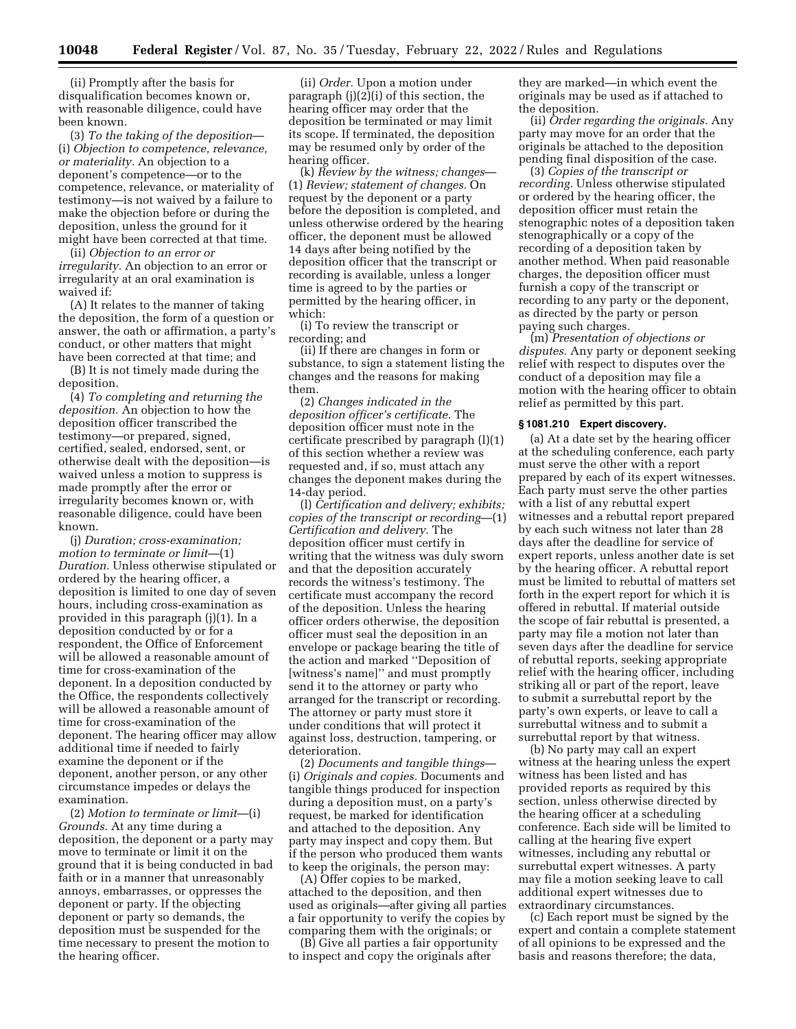(ii) Promptly after the basis for disqualification becomes known or, with reasonable diligence, could have been known.

(3) *To the taking of the deposition*— (i) *Objection to competence, relevance, or materiality.* An objection to a deponent's competence—or to the competence, relevance, or materiality of testimony—is not waived by a failure to make the objection before or during the deposition, unless the ground for it might have been corrected at that time.

(ii) *Objection to an error or irregularity.* An objection to an error or irregularity at an oral examination is waived if:

(A) It relates to the manner of taking the deposition, the form of a question or answer, the oath or affirmation, a party's conduct, or other matters that might have been corrected at that time; and

(B) It is not timely made during the deposition.

(4) *To completing and returning the deposition.* An objection to how the deposition officer transcribed the testimony—or prepared, signed, certified, sealed, endorsed, sent, or otherwise dealt with the deposition—is waived unless a motion to suppress is made promptly after the error or irregularity becomes known or, with reasonable diligence, could have been known.

(j) *Duration; cross-examination; motion to terminate or limit*—(1) *Duration.* Unless otherwise stipulated or ordered by the hearing officer, a deposition is limited to one day of seven hours, including cross-examination as provided in this paragraph (j)(1). In a deposition conducted by or for a respondent, the Office of Enforcement will be allowed a reasonable amount of time for cross-examination of the deponent. In a deposition conducted by the Office, the respondents collectively will be allowed a reasonable amount of time for cross-examination of the deponent. The hearing officer may allow additional time if needed to fairly examine the deponent or if the deponent, another person, or any other circumstance impedes or delays the examination.

(2) *Motion to terminate or limit*—(i) *Grounds.* At any time during a deposition, the deponent or a party may move to terminate or limit it on the ground that it is being conducted in bad faith or in a manner that unreasonably annoys, embarrasses, or oppresses the deponent or party. If the objecting deponent or party so demands, the deposition must be suspended for the time necessary to present the motion to the hearing officer.

(ii) *Order.* Upon a motion under paragraph (j)(2)(i) of this section, the hearing officer may order that the deposition be terminated or may limit its scope. If terminated, the deposition may be resumed only by order of the hearing officer.

(k) *Review by the witness; changes*— (1) *Review; statement of changes.* On request by the deponent or a party before the deposition is completed, and unless otherwise ordered by the hearing officer, the deponent must be allowed 14 days after being notified by the deposition officer that the transcript or recording is available, unless a longer time is agreed to by the parties or permitted by the hearing officer, in which:

(i) To review the transcript or recording; and

(ii) If there are changes in form or substance, to sign a statement listing the changes and the reasons for making them.

(2) *Changes indicated in the deposition officer's certificate.* The deposition officer must note in the certificate prescribed by paragraph (l)(1) of this section whether a review was requested and, if so, must attach any changes the deponent makes during the 14-day period.

(l) *Certification and delivery; exhibits; copies of the transcript or recording*—(1) *Certification and delivery.* The deposition officer must certify in writing that the witness was duly sworn and that the deposition accurately records the witness's testimony. The certificate must accompany the record of the deposition. Unless the hearing officer orders otherwise, the deposition officer must seal the deposition in an envelope or package bearing the title of the action and marked ''Deposition of [witness's name]'' and must promptly send it to the attorney or party who arranged for the transcript or recording. The attorney or party must store it under conditions that will protect it against loss, destruction, tampering, or deterioration.

(2) *Documents and tangible things*— (i) *Originals and copies.* Documents and tangible things produced for inspection during a deposition must, on a party's request, be marked for identification and attached to the deposition. Any party may inspect and copy them. But if the person who produced them wants to keep the originals, the person may:

(A) Offer copies to be marked, attached to the deposition, and then used as originals—after giving all parties a fair opportunity to verify the copies by comparing them with the originals; or

(B) Give all parties a fair opportunity to inspect and copy the originals after

they are marked—in which event the originals may be used as if attached to the deposition.

(ii) *Order regarding the originals.* Any party may move for an order that the originals be attached to the deposition pending final disposition of the case.

(3) *Copies of the transcript or recording.* Unless otherwise stipulated or ordered by the hearing officer, the deposition officer must retain the stenographic notes of a deposition taken stenographically or a copy of the recording of a deposition taken by another method. When paid reasonable charges, the deposition officer must furnish a copy of the transcript or recording to any party or the deponent, as directed by the party or person paying such charges.

(m) *Presentation of objections or disputes.* Any party or deponent seeking relief with respect to disputes over the conduct of a deposition may file a motion with the hearing officer to obtain relief as permitted by this part.

#### **§ 1081.210 Expert discovery.**

(a) At a date set by the hearing officer at the scheduling conference, each party must serve the other with a report prepared by each of its expert witnesses. Each party must serve the other parties with a list of any rebuttal expert witnesses and a rebuttal report prepared by each such witness not later than 28 days after the deadline for service of expert reports, unless another date is set by the hearing officer. A rebuttal report must be limited to rebuttal of matters set forth in the expert report for which it is offered in rebuttal. If material outside the scope of fair rebuttal is presented, a party may file a motion not later than seven days after the deadline for service of rebuttal reports, seeking appropriate relief with the hearing officer, including striking all or part of the report, leave to submit a surrebuttal report by the party's own experts, or leave to call a surrebuttal witness and to submit a surrebuttal report by that witness.

(b) No party may call an expert witness at the hearing unless the expert witness has been listed and has provided reports as required by this section, unless otherwise directed by the hearing officer at a scheduling conference. Each side will be limited to calling at the hearing five expert witnesses, including any rebuttal or surrebuttal expert witnesses. A party may file a motion seeking leave to call additional expert witnesses due to extraordinary circumstances.

(c) Each report must be signed by the expert and contain a complete statement of all opinions to be expressed and the basis and reasons therefore; the data,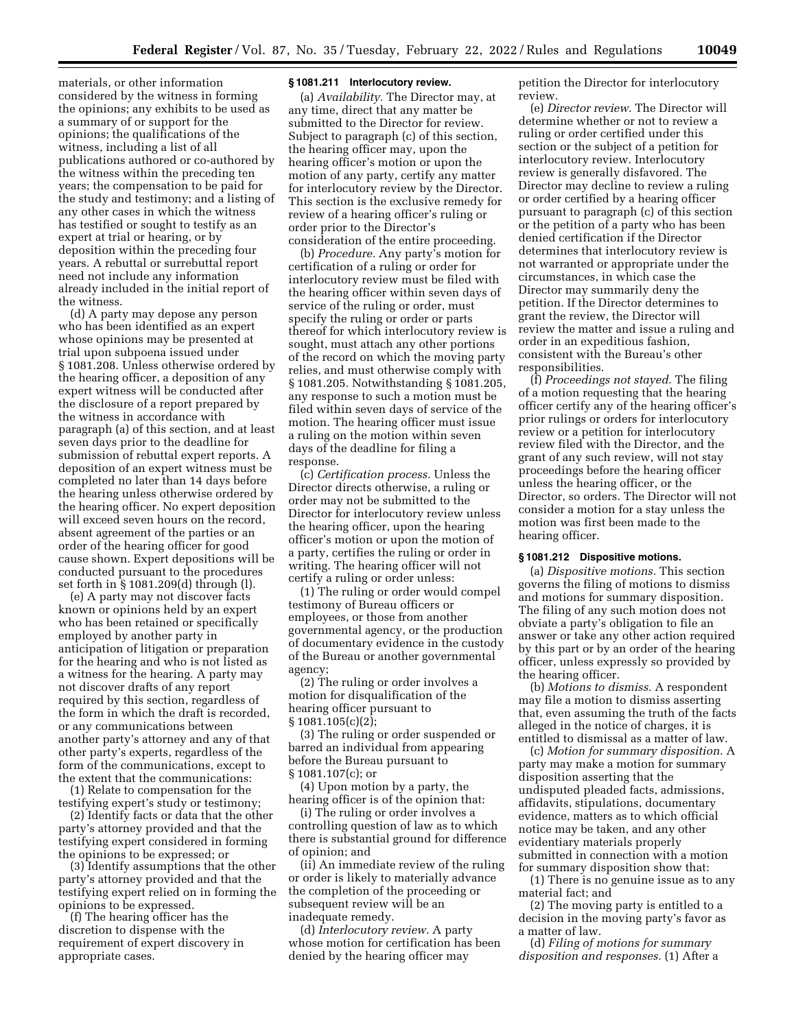materials, or other information considered by the witness in forming the opinions; any exhibits to be used as a summary of or support for the opinions; the qualifications of the witness, including a list of all publications authored or co-authored by the witness within the preceding ten years; the compensation to be paid for the study and testimony; and a listing of any other cases in which the witness has testified or sought to testify as an expert at trial or hearing, or by deposition within the preceding four years. A rebuttal or surrebuttal report need not include any information already included in the initial report of the witness.

(d) A party may depose any person who has been identified as an expert whose opinions may be presented at trial upon subpoena issued under § 1081.208. Unless otherwise ordered by the hearing officer, a deposition of any expert witness will be conducted after the disclosure of a report prepared by the witness in accordance with paragraph (a) of this section, and at least seven days prior to the deadline for submission of rebuttal expert reports. A deposition of an expert witness must be completed no later than 14 days before the hearing unless otherwise ordered by the hearing officer. No expert deposition will exceed seven hours on the record, absent agreement of the parties or an order of the hearing officer for good cause shown. Expert depositions will be conducted pursuant to the procedures set forth in § 1081.209(d) through (l).

(e) A party may not discover facts known or opinions held by an expert who has been retained or specifically employed by another party in anticipation of litigation or preparation for the hearing and who is not listed as a witness for the hearing. A party may not discover drafts of any report required by this section, regardless of the form in which the draft is recorded, or any communications between another party's attorney and any of that other party's experts, regardless of the form of the communications, except to the extent that the communications:

(1) Relate to compensation for the testifying expert's study or testimony;

(2) Identify facts or data that the other party's attorney provided and that the testifying expert considered in forming the opinions to be expressed; or

(3) Identify assumptions that the other party's attorney provided and that the testifying expert relied on in forming the opinions to be expressed.

(f) The hearing officer has the discretion to dispense with the requirement of expert discovery in appropriate cases.

### **§ 1081.211 Interlocutory review.**

(a) *Availability.* The Director may, at any time, direct that any matter be submitted to the Director for review. Subject to paragraph (c) of this section, the hearing officer may, upon the hearing officer's motion or upon the motion of any party, certify any matter for interlocutory review by the Director. This section is the exclusive remedy for review of a hearing officer's ruling or order prior to the Director's consideration of the entire proceeding.

(b) *Procedure.* Any party's motion for certification of a ruling or order for interlocutory review must be filed with the hearing officer within seven days of service of the ruling or order, must specify the ruling or order or parts thereof for which interlocutory review is sought, must attach any other portions of the record on which the moving party relies, and must otherwise comply with § 1081.205. Notwithstanding § 1081.205, any response to such a motion must be filed within seven days of service of the motion. The hearing officer must issue a ruling on the motion within seven days of the deadline for filing a response.

(c) *Certification process.* Unless the Director directs otherwise, a ruling or order may not be submitted to the Director for interlocutory review unless the hearing officer, upon the hearing officer's motion or upon the motion of a party, certifies the ruling or order in writing. The hearing officer will not certify a ruling or order unless:

(1) The ruling or order would compel testimony of Bureau officers or employees, or those from another governmental agency, or the production of documentary evidence in the custody of the Bureau or another governmental agency;

(2) The ruling or order involves a motion for disqualification of the hearing officer pursuant to § 1081.105(c)(2);

(3) The ruling or order suspended or barred an individual from appearing before the Bureau pursuant to § 1081.107(c); or

(4) Upon motion by a party, the hearing officer is of the opinion that:

(i) The ruling or order involves a controlling question of law as to which there is substantial ground for difference of opinion; and

(ii) An immediate review of the ruling or order is likely to materially advance the completion of the proceeding or subsequent review will be an inadequate remedy.

(d) *Interlocutory review.* A party whose motion for certification has been denied by the hearing officer may

petition the Director for interlocutory review.

(e) *Director review.* The Director will determine whether or not to review a ruling or order certified under this section or the subject of a petition for interlocutory review. Interlocutory review is generally disfavored. The Director may decline to review a ruling or order certified by a hearing officer pursuant to paragraph (c) of this section or the petition of a party who has been denied certification if the Director determines that interlocutory review is not warranted or appropriate under the circumstances, in which case the Director may summarily deny the petition. If the Director determines to grant the review, the Director will review the matter and issue a ruling and order in an expeditious fashion, consistent with the Bureau's other responsibilities.

(f) *Proceedings not stayed.* The filing of a motion requesting that the hearing officer certify any of the hearing officer's prior rulings or orders for interlocutory review or a petition for interlocutory review filed with the Director, and the grant of any such review, will not stay proceedings before the hearing officer unless the hearing officer, or the Director, so orders. The Director will not consider a motion for a stay unless the motion was first been made to the hearing officer.

# **§ 1081.212 Dispositive motions.**

(a) *Dispositive motions.* This section governs the filing of motions to dismiss and motions for summary disposition. The filing of any such motion does not obviate a party's obligation to file an answer or take any other action required by this part or by an order of the hearing officer, unless expressly so provided by the hearing officer.

(b) *Motions to dismiss.* A respondent may file a motion to dismiss asserting that, even assuming the truth of the facts alleged in the notice of charges, it is entitled to dismissal as a matter of law.

(c) *Motion for summary disposition.* A party may make a motion for summary disposition asserting that the undisputed pleaded facts, admissions, affidavits, stipulations, documentary evidence, matters as to which official notice may be taken, and any other evidentiary materials properly submitted in connection with a motion for summary disposition show that:

(1) There is no genuine issue as to any material fact; and

(2) The moving party is entitled to a decision in the moving party's favor as a matter of law.

(d) *Filing of motions for summary disposition and responses.* (1) After a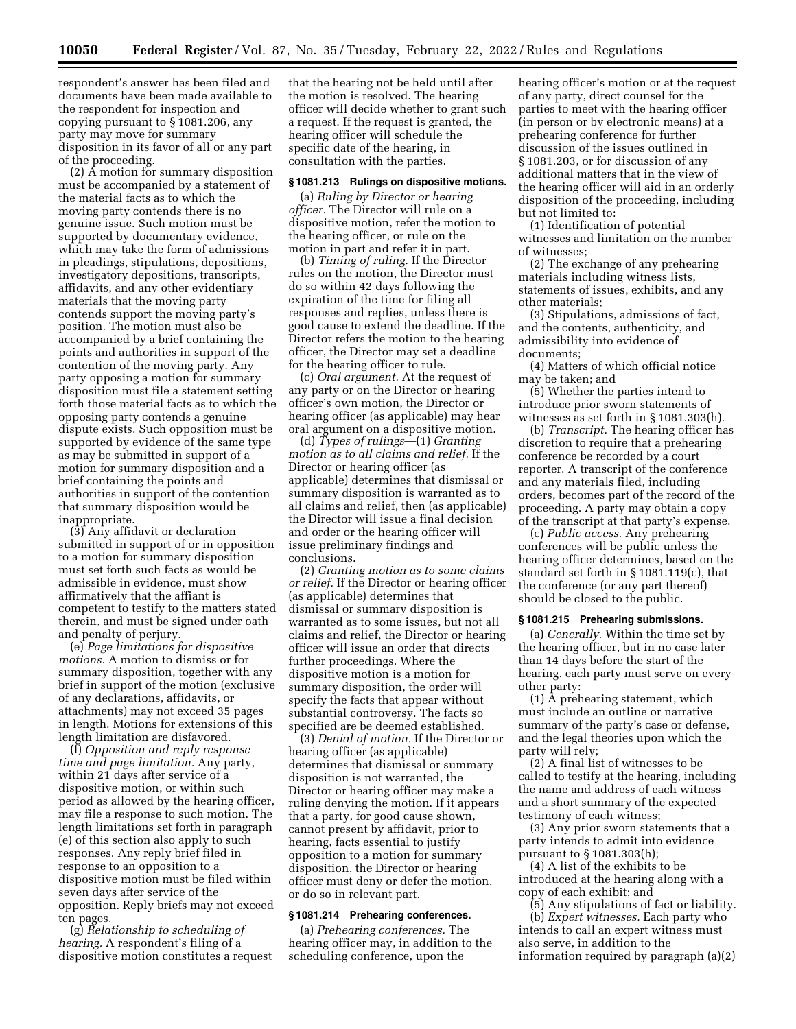respondent's answer has been filed and documents have been made available to the respondent for inspection and copying pursuant to § 1081.206, any party may move for summary disposition in its favor of all or any part of the proceeding.

(2) A motion for summary disposition must be accompanied by a statement of the material facts as to which the moving party contends there is no genuine issue. Such motion must be supported by documentary evidence, which may take the form of admissions in pleadings, stipulations, depositions, investigatory depositions, transcripts, affidavits, and any other evidentiary materials that the moving party contends support the moving party's position. The motion must also be accompanied by a brief containing the points and authorities in support of the contention of the moving party. Any party opposing a motion for summary disposition must file a statement setting forth those material facts as to which the opposing party contends a genuine dispute exists. Such opposition must be supported by evidence of the same type as may be submitted in support of a motion for summary disposition and a brief containing the points and authorities in support of the contention that summary disposition would be inappropriate.

(3) Any affidavit or declaration submitted in support of or in opposition to a motion for summary disposition must set forth such facts as would be admissible in evidence, must show affirmatively that the affiant is competent to testify to the matters stated therein, and must be signed under oath and penalty of perjury.

(e) *Page limitations for dispositive motions.* A motion to dismiss or for summary disposition, together with any brief in support of the motion (exclusive of any declarations, affidavits, or attachments) may not exceed 35 pages in length. Motions for extensions of this length limitation are disfavored.

(f) *Opposition and reply response time and page limitation.* Any party, within 21 days after service of a dispositive motion, or within such period as allowed by the hearing officer, may file a response to such motion. The length limitations set forth in paragraph (e) of this section also apply to such responses. Any reply brief filed in response to an opposition to a dispositive motion must be filed within seven days after service of the opposition. Reply briefs may not exceed ten pages.

(g) *Relationship to scheduling of hearing.* A respondent's filing of a dispositive motion constitutes a request

that the hearing not be held until after the motion is resolved. The hearing officer will decide whether to grant such a request. If the request is granted, the hearing officer will schedule the specific date of the hearing, in consultation with the parties.

#### **§ 1081.213 Rulings on dispositive motions.**

(a) *Ruling by Director or hearing officer.* The Director will rule on a dispositive motion, refer the motion to the hearing officer, or rule on the motion in part and refer it in part.

(b) *Timing of ruling.* If the Director rules on the motion, the Director must do so within 42 days following the expiration of the time for filing all responses and replies, unless there is good cause to extend the deadline. If the Director refers the motion to the hearing officer, the Director may set a deadline for the hearing officer to rule.

(c) *Oral argument.* At the request of any party or on the Director or hearing officer's own motion, the Director or hearing officer (as applicable) may hear oral argument on a dispositive motion.

(d) *Types of rulings*—(1) *Granting motion as to all claims and relief.* If the Director or hearing officer (as applicable) determines that dismissal or summary disposition is warranted as to all claims and relief, then (as applicable) the Director will issue a final decision and order or the hearing officer will issue preliminary findings and conclusions.

(2) *Granting motion as to some claims or relief.* If the Director or hearing officer (as applicable) determines that dismissal or summary disposition is warranted as to some issues, but not all claims and relief, the Director or hearing officer will issue an order that directs further proceedings. Where the dispositive motion is a motion for summary disposition, the order will specify the facts that appear without substantial controversy. The facts so specified are be deemed established.

(3) *Denial of motion.* If the Director or hearing officer (as applicable) determines that dismissal or summary disposition is not warranted, the Director or hearing officer may make a ruling denying the motion. If it appears that a party, for good cause shown, cannot present by affidavit, prior to hearing, facts essential to justify opposition to a motion for summary disposition, the Director or hearing officer must deny or defer the motion, or do so in relevant part.

# **§ 1081.214 Prehearing conferences.**

(a) *Prehearing conferences.* The hearing officer may, in addition to the scheduling conference, upon the

hearing officer's motion or at the request of any party, direct counsel for the parties to meet with the hearing officer (in person or by electronic means) at a prehearing conference for further discussion of the issues outlined in § 1081.203, or for discussion of any additional matters that in the view of the hearing officer will aid in an orderly disposition of the proceeding, including but not limited to:

(1) Identification of potential witnesses and limitation on the number of witnesses;

(2) The exchange of any prehearing materials including witness lists, statements of issues, exhibits, and any other materials;

(3) Stipulations, admissions of fact, and the contents, authenticity, and admissibility into evidence of documents;

(4) Matters of which official notice may be taken; and

(5) Whether the parties intend to introduce prior sworn statements of witnesses as set forth in § 1081.303(h).

(b) *Transcript.* The hearing officer has discretion to require that a prehearing conference be recorded by a court reporter. A transcript of the conference and any materials filed, including orders, becomes part of the record of the proceeding. A party may obtain a copy of the transcript at that party's expense.

(c) *Public access.* Any prehearing conferences will be public unless the hearing officer determines, based on the standard set forth in § 1081.119(c), that the conference (or any part thereof) should be closed to the public.

### **§ 1081.215 Prehearing submissions.**

(a) *Generally.* Within the time set by the hearing officer, but in no case later than 14 days before the start of the hearing, each party must serve on every other party:

(1) A prehearing statement, which must include an outline or narrative summary of the party's case or defense, and the legal theories upon which the party will rely;

(2) A final list of witnesses to be called to testify at the hearing, including the name and address of each witness and a short summary of the expected testimony of each witness;

(3) Any prior sworn statements that a party intends to admit into evidence pursuant to § 1081.303(h);

(4) A list of the exhibits to be introduced at the hearing along with a copy of each exhibit; and

(5) Any stipulations of fact or liability. (b) *Expert witnesses.* Each party who intends to call an expert witness must also serve, in addition to the information required by paragraph (a)(2)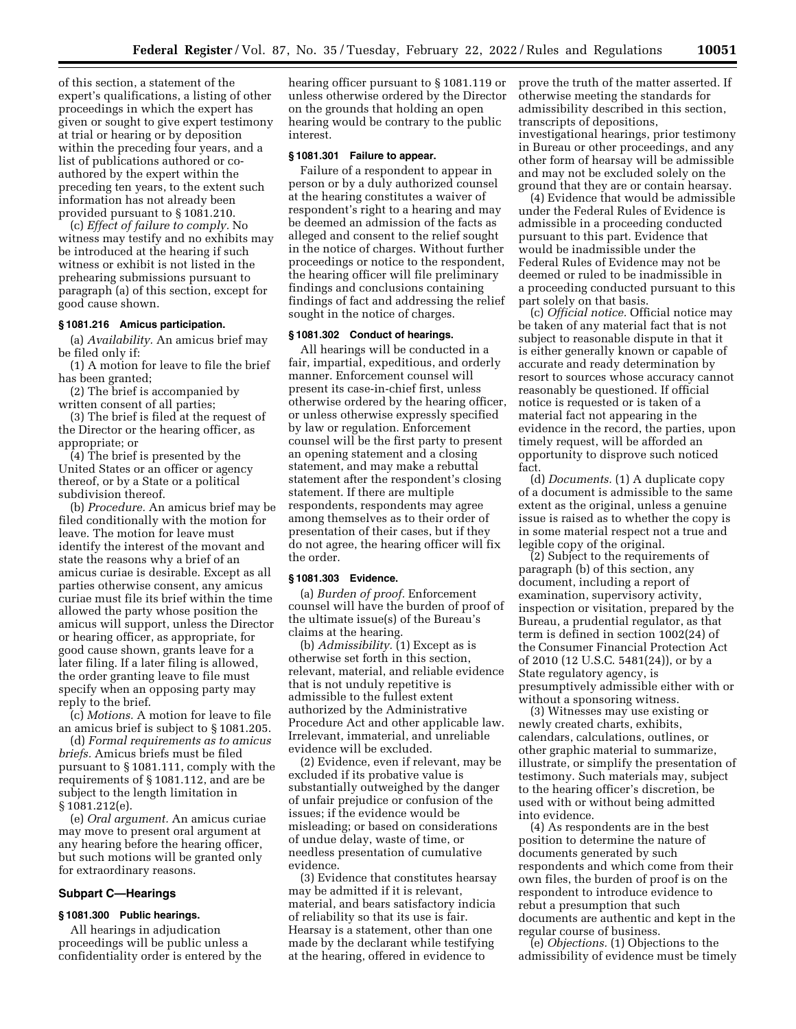of this section, a statement of the expert's qualifications, a listing of other proceedings in which the expert has given or sought to give expert testimony at trial or hearing or by deposition within the preceding four years, and a list of publications authored or coauthored by the expert within the preceding ten years, to the extent such information has not already been provided pursuant to § 1081.210.

(c) *Effect of failure to comply.* No witness may testify and no exhibits may be introduced at the hearing if such witness or exhibit is not listed in the prehearing submissions pursuant to paragraph (a) of this section, except for good cause shown.

#### **§ 1081.216 Amicus participation.**

(a) *Availability.* An amicus brief may be filed only if:

(1) A motion for leave to file the brief has been granted;

(2) The brief is accompanied by written consent of all parties;

(3) The brief is filed at the request of the Director or the hearing officer, as appropriate; or

(4) The brief is presented by the United States or an officer or agency thereof, or by a State or a political subdivision thereof.

(b) *Procedure.* An amicus brief may be filed conditionally with the motion for leave. The motion for leave must identify the interest of the movant and state the reasons why a brief of an amicus curiae is desirable. Except as all parties otherwise consent, any amicus curiae must file its brief within the time allowed the party whose position the amicus will support, unless the Director or hearing officer, as appropriate, for good cause shown, grants leave for a later filing. If a later filing is allowed, the order granting leave to file must specify when an opposing party may reply to the brief.

(c) *Motions.* A motion for leave to file an amicus brief is subject to § 1081.205.

(d) *Formal requirements as to amicus briefs.* Amicus briefs must be filed pursuant to § 1081.111, comply with the requirements of § 1081.112, and are be subject to the length limitation in § 1081.212(e).

(e) *Oral argument.* An amicus curiae may move to present oral argument at any hearing before the hearing officer, but such motions will be granted only for extraordinary reasons.

### **Subpart C—Hearings**

### **§ 1081.300 Public hearings.**

All hearings in adjudication proceedings will be public unless a confidentiality order is entered by the

hearing officer pursuant to § 1081.119 or unless otherwise ordered by the Director on the grounds that holding an open hearing would be contrary to the public interest.

### **§ 1081.301 Failure to appear.**

Failure of a respondent to appear in person or by a duly authorized counsel at the hearing constitutes a waiver of respondent's right to a hearing and may be deemed an admission of the facts as alleged and consent to the relief sought in the notice of charges. Without further proceedings or notice to the respondent, the hearing officer will file preliminary findings and conclusions containing findings of fact and addressing the relief sought in the notice of charges.

### **§ 1081.302 Conduct of hearings.**

All hearings will be conducted in a fair, impartial, expeditious, and orderly manner. Enforcement counsel will present its case-in-chief first, unless otherwise ordered by the hearing officer, or unless otherwise expressly specified by law or regulation. Enforcement counsel will be the first party to present an opening statement and a closing statement, and may make a rebuttal statement after the respondent's closing statement. If there are multiple respondents, respondents may agree among themselves as to their order of presentation of their cases, but if they do not agree, the hearing officer will fix the order.

### **§ 1081.303 Evidence.**

(a) *Burden of proof.* Enforcement counsel will have the burden of proof of the ultimate issue(s) of the Bureau's claims at the hearing.

(b) *Admissibility.* (1) Except as is otherwise set forth in this section, relevant, material, and reliable evidence that is not unduly repetitive is admissible to the fullest extent authorized by the Administrative Procedure Act and other applicable law. Irrelevant, immaterial, and unreliable evidence will be excluded.

(2) Evidence, even if relevant, may be excluded if its probative value is substantially outweighed by the danger of unfair prejudice or confusion of the issues; if the evidence would be misleading; or based on considerations of undue delay, waste of time, or needless presentation of cumulative evidence.

(3) Evidence that constitutes hearsay may be admitted if it is relevant, material, and bears satisfactory indicia of reliability so that its use is fair. Hearsay is a statement, other than one made by the declarant while testifying at the hearing, offered in evidence to

prove the truth of the matter asserted. If otherwise meeting the standards for admissibility described in this section, transcripts of depositions, investigational hearings, prior testimony in Bureau or other proceedings, and any other form of hearsay will be admissible and may not be excluded solely on the ground that they are or contain hearsay.

(4) Evidence that would be admissible under the Federal Rules of Evidence is admissible in a proceeding conducted pursuant to this part. Evidence that would be inadmissible under the Federal Rules of Evidence may not be deemed or ruled to be inadmissible in a proceeding conducted pursuant to this part solely on that basis.

(c) *Official notice.* Official notice may be taken of any material fact that is not subject to reasonable dispute in that it is either generally known or capable of accurate and ready determination by resort to sources whose accuracy cannot reasonably be questioned. If official notice is requested or is taken of a material fact not appearing in the evidence in the record, the parties, upon timely request, will be afforded an opportunity to disprove such noticed fact.

(d) *Documents.* (1) A duplicate copy of a document is admissible to the same extent as the original, unless a genuine issue is raised as to whether the copy is in some material respect not a true and legible copy of the original.

(2) Subject to the requirements of paragraph (b) of this section, any document, including a report of examination, supervisory activity, inspection or visitation, prepared by the Bureau, a prudential regulator, as that term is defined in section 1002(24) of the Consumer Financial Protection Act of 2010 (12 U.S.C. 5481(24)), or by a State regulatory agency, is presumptively admissible either with or without a sponsoring witness.

(3) Witnesses may use existing or newly created charts, exhibits, calendars, calculations, outlines, or other graphic material to summarize, illustrate, or simplify the presentation of testimony. Such materials may, subject to the hearing officer's discretion, be used with or without being admitted into evidence.

(4) As respondents are in the best position to determine the nature of documents generated by such respondents and which come from their own files, the burden of proof is on the respondent to introduce evidence to rebut a presumption that such documents are authentic and kept in the regular course of business.

(e) *Objections.* (1) Objections to the admissibility of evidence must be timely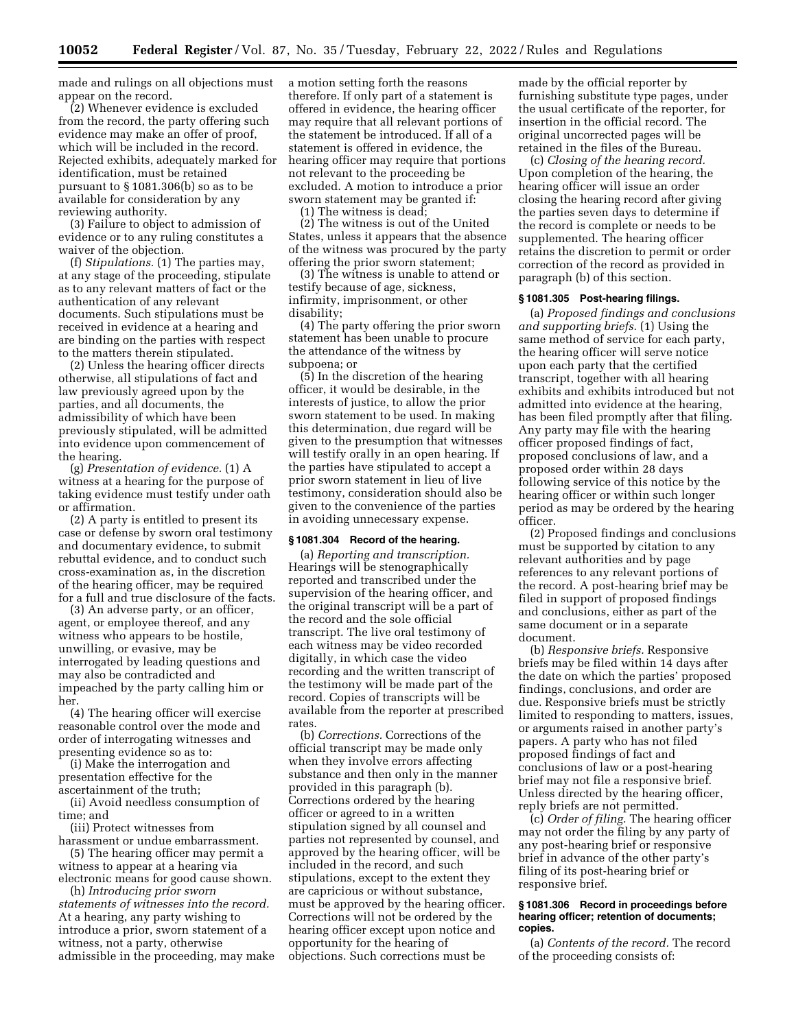made and rulings on all objections must appear on the record.

(2) Whenever evidence is excluded from the record, the party offering such evidence may make an offer of proof, which will be included in the record. Rejected exhibits, adequately marked for identification, must be retained pursuant to § 1081.306(b) so as to be available for consideration by any reviewing authority.

(3) Failure to object to admission of evidence or to any ruling constitutes a waiver of the objection.

(f) *Stipulations.* (1) The parties may, at any stage of the proceeding, stipulate as to any relevant matters of fact or the authentication of any relevant documents. Such stipulations must be received in evidence at a hearing and are binding on the parties with respect to the matters therein stipulated.

(2) Unless the hearing officer directs otherwise, all stipulations of fact and law previously agreed upon by the parties, and all documents, the admissibility of which have been previously stipulated, will be admitted into evidence upon commencement of the hearing.

(g) *Presentation of evidence.* (1) A witness at a hearing for the purpose of taking evidence must testify under oath or affirmation.

(2) A party is entitled to present its case or defense by sworn oral testimony and documentary evidence, to submit rebuttal evidence, and to conduct such cross-examination as, in the discretion of the hearing officer, may be required for a full and true disclosure of the facts.

(3) An adverse party, or an officer, agent, or employee thereof, and any witness who appears to be hostile, unwilling, or evasive, may be interrogated by leading questions and may also be contradicted and impeached by the party calling him or her.

(4) The hearing officer will exercise reasonable control over the mode and order of interrogating witnesses and presenting evidence so as to:

(i) Make the interrogation and presentation effective for the ascertainment of the truth;

(ii) Avoid needless consumption of time; and

(iii) Protect witnesses from

harassment or undue embarrassment. (5) The hearing officer may permit a

witness to appear at a hearing via electronic means for good cause shown.

(h) *Introducing prior sworn statements of witnesses into the record.*  At a hearing, any party wishing to introduce a prior, sworn statement of a witness, not a party, otherwise admissible in the proceeding, may make a motion setting forth the reasons therefore. If only part of a statement is offered in evidence, the hearing officer may require that all relevant portions of the statement be introduced. If all of a statement is offered in evidence, the hearing officer may require that portions not relevant to the proceeding be excluded. A motion to introduce a prior sworn statement may be granted if:

(1) The witness is dead;

(2) The witness is out of the United States, unless it appears that the absence of the witness was procured by the party offering the prior sworn statement;

(3) The witness is unable to attend or testify because of age, sickness, infirmity, imprisonment, or other disability;

(4) The party offering the prior sworn statement has been unable to procure the attendance of the witness by subpoena; or

(5) In the discretion of the hearing officer, it would be desirable, in the interests of justice, to allow the prior sworn statement to be used. In making this determination, due regard will be given to the presumption that witnesses will testify orally in an open hearing. If the parties have stipulated to accept a prior sworn statement in lieu of live testimony, consideration should also be given to the convenience of the parties in avoiding unnecessary expense.

### **§ 1081.304 Record of the hearing.**

(a) *Reporting and transcription.*  Hearings will be stenographically reported and transcribed under the supervision of the hearing officer, and the original transcript will be a part of the record and the sole official transcript. The live oral testimony of each witness may be video recorded digitally, in which case the video recording and the written transcript of the testimony will be made part of the record. Copies of transcripts will be available from the reporter at prescribed rates.

(b) *Corrections.* Corrections of the official transcript may be made only when they involve errors affecting substance and then only in the manner provided in this paragraph (b). Corrections ordered by the hearing officer or agreed to in a written stipulation signed by all counsel and parties not represented by counsel, and approved by the hearing officer, will be included in the record, and such stipulations, except to the extent they are capricious or without substance, must be approved by the hearing officer. Corrections will not be ordered by the hearing officer except upon notice and opportunity for the hearing of objections. Such corrections must be

made by the official reporter by furnishing substitute type pages, under the usual certificate of the reporter, for insertion in the official record. The original uncorrected pages will be retained in the files of the Bureau.

(c) *Closing of the hearing record.*  Upon completion of the hearing, the hearing officer will issue an order closing the hearing record after giving the parties seven days to determine if the record is complete or needs to be supplemented. The hearing officer retains the discretion to permit or order correction of the record as provided in paragraph (b) of this section.

#### **§ 1081.305 Post-hearing filings.**

(a) *Proposed findings and conclusions and supporting briefs.* (1) Using the same method of service for each party, the hearing officer will serve notice upon each party that the certified transcript, together with all hearing exhibits and exhibits introduced but not admitted into evidence at the hearing, has been filed promptly after that filing. Any party may file with the hearing officer proposed findings of fact, proposed conclusions of law, and a proposed order within 28 days following service of this notice by the hearing officer or within such longer period as may be ordered by the hearing officer.

(2) Proposed findings and conclusions must be supported by citation to any relevant authorities and by page references to any relevant portions of the record. A post-hearing brief may be filed in support of proposed findings and conclusions, either as part of the same document or in a separate document.

(b) *Responsive briefs.* Responsive briefs may be filed within 14 days after the date on which the parties' proposed findings, conclusions, and order are due. Responsive briefs must be strictly limited to responding to matters, issues, or arguments raised in another party's papers. A party who has not filed proposed findings of fact and conclusions of law or a post-hearing brief may not file a responsive brief. Unless directed by the hearing officer, reply briefs are not permitted.

(c) *Order of filing.* The hearing officer may not order the filing by any party of any post-hearing brief or responsive brief in advance of the other party's filing of its post-hearing brief or responsive brief.

#### **§ 1081.306 Record in proceedings before hearing officer; retention of documents; copies.**

(a) *Contents of the record.* The record of the proceeding consists of: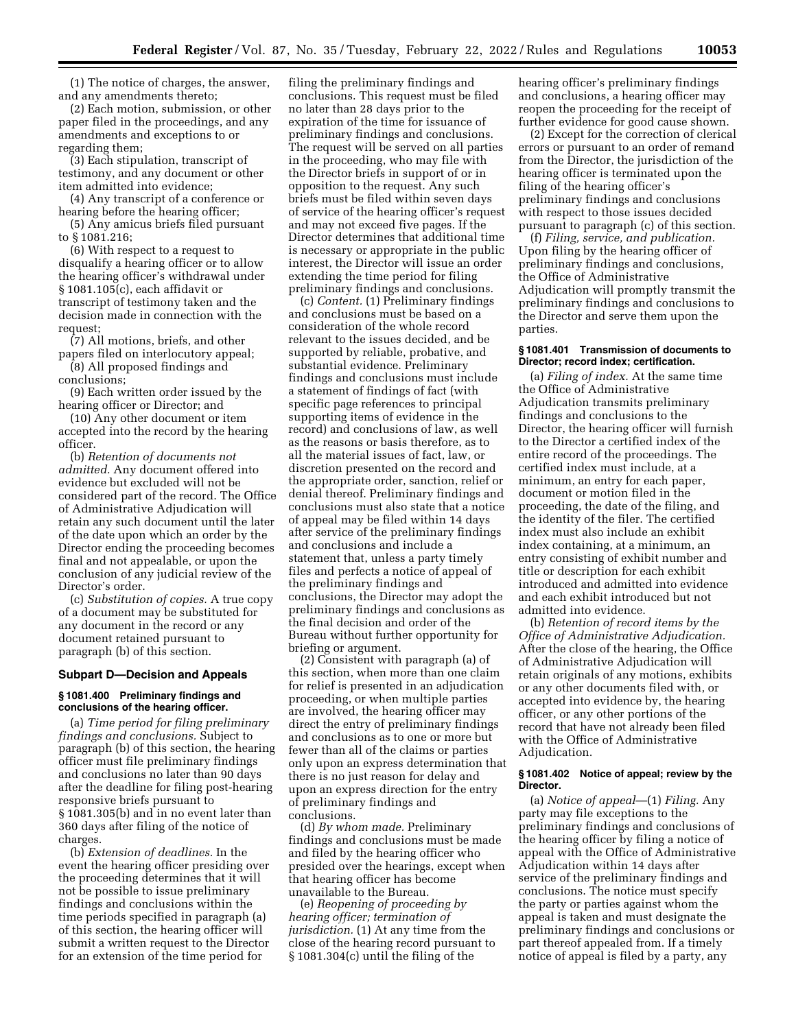(1) The notice of charges, the answer, and any amendments thereto;

(2) Each motion, submission, or other paper filed in the proceedings, and any amendments and exceptions to or regarding them;

(3) Each stipulation, transcript of testimony, and any document or other item admitted into evidence;

(4) Any transcript of a conference or hearing before the hearing officer;

(5) Any amicus briefs filed pursuant to § 1081.216;

(6) With respect to a request to disqualify a hearing officer or to allow the hearing officer's withdrawal under § 1081.105(c), each affidavit or transcript of testimony taken and the decision made in connection with the request;

(7) All motions, briefs, and other papers filed on interlocutory appeal;

(8) All proposed findings and conclusions;

(9) Each written order issued by the hearing officer or Director; and

(10) Any other document or item accepted into the record by the hearing officer.

(b) *Retention of documents not admitted.* Any document offered into evidence but excluded will not be considered part of the record. The Office of Administrative Adjudication will retain any such document until the later of the date upon which an order by the Director ending the proceeding becomes final and not appealable, or upon the conclusion of any judicial review of the Director's order.

(c) *Substitution of copies.* A true copy of a document may be substituted for any document in the record or any document retained pursuant to paragraph (b) of this section.

#### **Subpart D—Decision and Appeals**

### **§ 1081.400 Preliminary findings and conclusions of the hearing officer.**

(a) *Time period for filing preliminary findings and conclusions.* Subject to paragraph (b) of this section, the hearing officer must file preliminary findings and conclusions no later than 90 days after the deadline for filing post-hearing responsive briefs pursuant to § 1081.305(b) and in no event later than 360 days after filing of the notice of charges.

(b) *Extension of deadlines.* In the event the hearing officer presiding over the proceeding determines that it will not be possible to issue preliminary findings and conclusions within the time periods specified in paragraph (a) of this section, the hearing officer will submit a written request to the Director for an extension of the time period for

filing the preliminary findings and conclusions. This request must be filed no later than 28 days prior to the expiration of the time for issuance of preliminary findings and conclusions. The request will be served on all parties in the proceeding, who may file with the Director briefs in support of or in opposition to the request. Any such briefs must be filed within seven days of service of the hearing officer's request and may not exceed five pages. If the Director determines that additional time is necessary or appropriate in the public interest, the Director will issue an order extending the time period for filing preliminary findings and conclusions.

(c) *Content.* (1) Preliminary findings and conclusions must be based on a consideration of the whole record relevant to the issues decided, and be supported by reliable, probative, and substantial evidence. Preliminary findings and conclusions must include a statement of findings of fact (with specific page references to principal supporting items of evidence in the record) and conclusions of law, as well as the reasons or basis therefore, as to all the material issues of fact, law, or discretion presented on the record and the appropriate order, sanction, relief or denial thereof. Preliminary findings and conclusions must also state that a notice of appeal may be filed within 14 days after service of the preliminary findings and conclusions and include a statement that, unless a party timely files and perfects a notice of appeal of the preliminary findings and conclusions, the Director may adopt the preliminary findings and conclusions as the final decision and order of the Bureau without further opportunity for briefing or argument.

(2) Consistent with paragraph (a) of this section, when more than one claim for relief is presented in an adjudication proceeding, or when multiple parties are involved, the hearing officer may direct the entry of preliminary findings and conclusions as to one or more but fewer than all of the claims or parties only upon an express determination that there is no just reason for delay and upon an express direction for the entry of preliminary findings and conclusions.

(d) *By whom made.* Preliminary findings and conclusions must be made and filed by the hearing officer who presided over the hearings, except when that hearing officer has become unavailable to the Bureau.

(e) *Reopening of proceeding by hearing officer; termination of jurisdiction.* (1) At any time from the close of the hearing record pursuant to § 1081.304(c) until the filing of the

hearing officer's preliminary findings and conclusions, a hearing officer may reopen the proceeding for the receipt of further evidence for good cause shown.

(2) Except for the correction of clerical errors or pursuant to an order of remand from the Director, the jurisdiction of the hearing officer is terminated upon the filing of the hearing officer's preliminary findings and conclusions with respect to those issues decided pursuant to paragraph (c) of this section.

(f) *Filing, service, and publication.*  Upon filing by the hearing officer of preliminary findings and conclusions, the Office of Administrative Adjudication will promptly transmit the preliminary findings and conclusions to the Director and serve them upon the parties.

### **§ 1081.401 Transmission of documents to Director; record index; certification.**

(a) *Filing of index.* At the same time the Office of Administrative Adjudication transmits preliminary findings and conclusions to the Director, the hearing officer will furnish to the Director a certified index of the entire record of the proceedings. The certified index must include, at a minimum, an entry for each paper, document or motion filed in the proceeding, the date of the filing, and the identity of the filer. The certified index must also include an exhibit index containing, at a minimum, an entry consisting of exhibit number and title or description for each exhibit introduced and admitted into evidence and each exhibit introduced but not admitted into evidence.

(b) *Retention of record items by the Office of Administrative Adjudication.*  After the close of the hearing, the Office of Administrative Adjudication will retain originals of any motions, exhibits or any other documents filed with, or accepted into evidence by, the hearing officer, or any other portions of the record that have not already been filed with the Office of Administrative Adjudication.

#### **§ 1081.402 Notice of appeal; review by the Director.**

(a) *Notice of appeal*—(1) *Filing.* Any party may file exceptions to the preliminary findings and conclusions of the hearing officer by filing a notice of appeal with the Office of Administrative Adjudication within 14 days after service of the preliminary findings and conclusions. The notice must specify the party or parties against whom the appeal is taken and must designate the preliminary findings and conclusions or part thereof appealed from. If a timely notice of appeal is filed by a party, any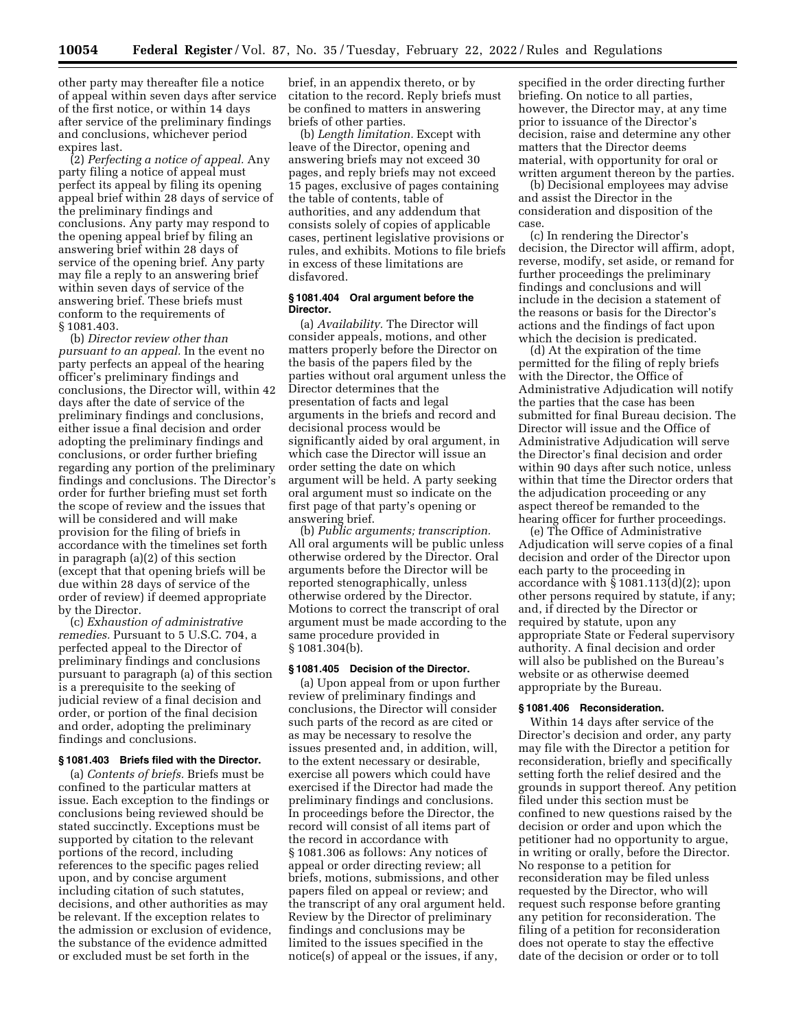other party may thereafter file a notice of appeal within seven days after service of the first notice, or within 14 days after service of the preliminary findings and conclusions, whichever period expires last.

(2) *Perfecting a notice of appeal.* Any party filing a notice of appeal must perfect its appeal by filing its opening appeal brief within 28 days of service of the preliminary findings and conclusions. Any party may respond to the opening appeal brief by filing an answering brief within 28 days of service of the opening brief. Any party may file a reply to an answering brief within seven days of service of the answering brief. These briefs must conform to the requirements of § 1081.403.

(b) *Director review other than pursuant to an appeal.* In the event no party perfects an appeal of the hearing officer's preliminary findings and conclusions, the Director will, within 42 days after the date of service of the preliminary findings and conclusions, either issue a final decision and order adopting the preliminary findings and conclusions, or order further briefing regarding any portion of the preliminary findings and conclusions. The Director's order for further briefing must set forth the scope of review and the issues that will be considered and will make provision for the filing of briefs in accordance with the timelines set forth in paragraph (a)(2) of this section (except that that opening briefs will be due within 28 days of service of the order of review) if deemed appropriate by the Director.

(c) *Exhaustion of administrative remedies.* Pursuant to 5 U.S.C. 704, a perfected appeal to the Director of preliminary findings and conclusions pursuant to paragraph (a) of this section is a prerequisite to the seeking of judicial review of a final decision and order, or portion of the final decision and order, adopting the preliminary findings and conclusions.

#### **§ 1081.403 Briefs filed with the Director.**

(a) *Contents of briefs.* Briefs must be confined to the particular matters at issue. Each exception to the findings or conclusions being reviewed should be stated succinctly. Exceptions must be supported by citation to the relevant portions of the record, including references to the specific pages relied upon, and by concise argument including citation of such statutes, decisions, and other authorities as may be relevant. If the exception relates to the admission or exclusion of evidence, the substance of the evidence admitted or excluded must be set forth in the

brief, in an appendix thereto, or by citation to the record. Reply briefs must be confined to matters in answering briefs of other parties.

(b) *Length limitation.* Except with leave of the Director, opening and answering briefs may not exceed 30 pages, and reply briefs may not exceed 15 pages, exclusive of pages containing the table of contents, table of authorities, and any addendum that consists solely of copies of applicable cases, pertinent legislative provisions or rules, and exhibits. Motions to file briefs in excess of these limitations are disfavored.

# **§ 1081.404 Oral argument before the Director.**

(a) *Availability.* The Director will consider appeals, motions, and other matters properly before the Director on the basis of the papers filed by the parties without oral argument unless the Director determines that the presentation of facts and legal arguments in the briefs and record and decisional process would be significantly aided by oral argument, in which case the Director will issue an order setting the date on which argument will be held. A party seeking oral argument must so indicate on the first page of that party's opening or answering brief.

(b) *Public arguments; transcription.*  All oral arguments will be public unless otherwise ordered by the Director. Oral arguments before the Director will be reported stenographically, unless otherwise ordered by the Director. Motions to correct the transcript of oral argument must be made according to the same procedure provided in § 1081.304(b).

#### **§ 1081.405 Decision of the Director.**

(a) Upon appeal from or upon further review of preliminary findings and conclusions, the Director will consider such parts of the record as are cited or as may be necessary to resolve the issues presented and, in addition, will, to the extent necessary or desirable, exercise all powers which could have exercised if the Director had made the preliminary findings and conclusions. In proceedings before the Director, the record will consist of all items part of the record in accordance with § 1081.306 as follows: Any notices of appeal or order directing review; all briefs, motions, submissions, and other papers filed on appeal or review; and the transcript of any oral argument held. Review by the Director of preliminary findings and conclusions may be limited to the issues specified in the notice(s) of appeal or the issues, if any,

specified in the order directing further briefing. On notice to all parties, however, the Director may, at any time prior to issuance of the Director's decision, raise and determine any other matters that the Director deems material, with opportunity for oral or written argument thereon by the parties.

(b) Decisional employees may advise and assist the Director in the consideration and disposition of the case.

(c) In rendering the Director's decision, the Director will affirm, adopt, reverse, modify, set aside, or remand for further proceedings the preliminary findings and conclusions and will include in the decision a statement of the reasons or basis for the Director's actions and the findings of fact upon which the decision is predicated.

(d) At the expiration of the time permitted for the filing of reply briefs with the Director, the Office of Administrative Adjudication will notify the parties that the case has been submitted for final Bureau decision. The Director will issue and the Office of Administrative Adjudication will serve the Director's final decision and order within 90 days after such notice, unless within that time the Director orders that the adjudication proceeding or any aspect thereof be remanded to the hearing officer for further proceedings.

(e) The Office of Administrative Adjudication will serve copies of a final decision and order of the Director upon each party to the proceeding in accordance with § 1081.113(d)(2); upon other persons required by statute, if any; and, if directed by the Director or required by statute, upon any appropriate State or Federal supervisory authority. A final decision and order will also be published on the Bureau's website or as otherwise deemed appropriate by the Bureau.

# **§ 1081.406 Reconsideration.**

Within 14 days after service of the Director's decision and order, any party may file with the Director a petition for reconsideration, briefly and specifically setting forth the relief desired and the grounds in support thereof. Any petition filed under this section must be confined to new questions raised by the decision or order and upon which the petitioner had no opportunity to argue, in writing or orally, before the Director. No response to a petition for reconsideration may be filed unless requested by the Director, who will request such response before granting any petition for reconsideration. The filing of a petition for reconsideration does not operate to stay the effective date of the decision or order or to toll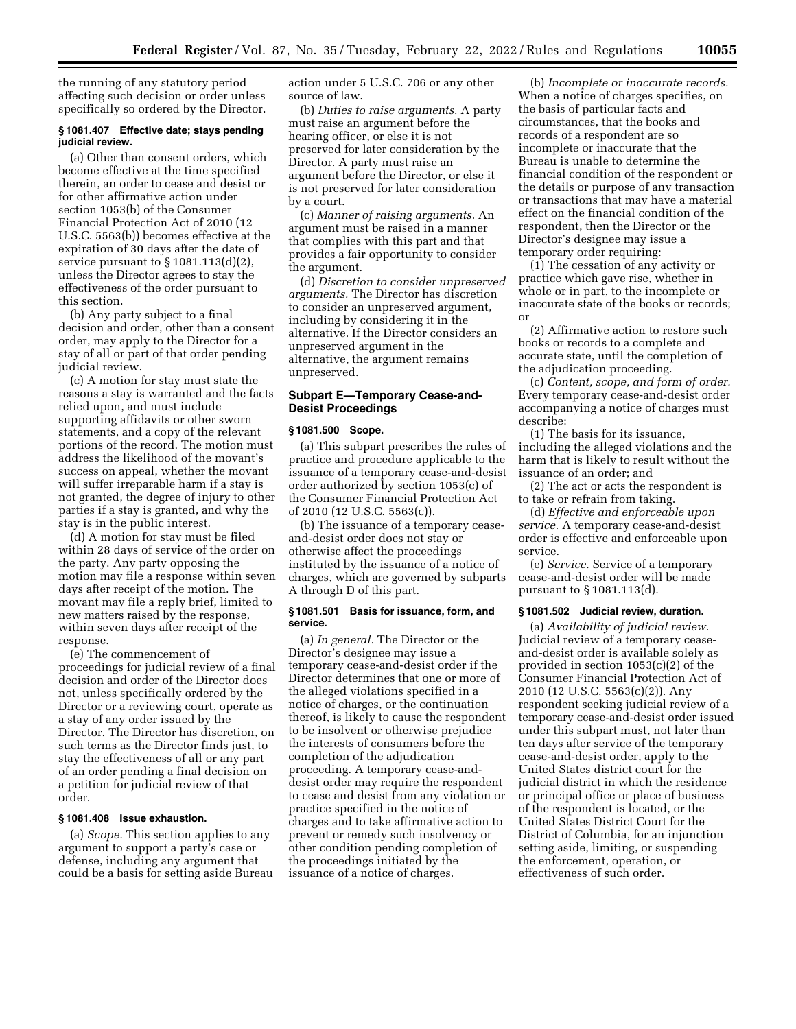the running of any statutory period affecting such decision or order unless specifically so ordered by the Director.

### **§ 1081.407 Effective date; stays pending judicial review.**

(a) Other than consent orders, which become effective at the time specified therein, an order to cease and desist or for other affirmative action under section 1053(b) of the Consumer Financial Protection Act of 2010 (12 U.S.C. 5563(b)) becomes effective at the expiration of 30 days after the date of service pursuant to  $\S 1081.113(d)(2)$ , unless the Director agrees to stay the effectiveness of the order pursuant to this section.

(b) Any party subject to a final decision and order, other than a consent order, may apply to the Director for a stay of all or part of that order pending judicial review.

(c) A motion for stay must state the reasons a stay is warranted and the facts relied upon, and must include supporting affidavits or other sworn statements, and a copy of the relevant portions of the record. The motion must address the likelihood of the movant's success on appeal, whether the movant will suffer irreparable harm if a stay is not granted, the degree of injury to other parties if a stay is granted, and why the stay is in the public interest.

(d) A motion for stay must be filed within 28 days of service of the order on the party. Any party opposing the motion may file a response within seven days after receipt of the motion. The movant may file a reply brief, limited to new matters raised by the response, within seven days after receipt of the response.

(e) The commencement of proceedings for judicial review of a final decision and order of the Director does not, unless specifically ordered by the Director or a reviewing court, operate as a stay of any order issued by the Director. The Director has discretion, on such terms as the Director finds just, to stay the effectiveness of all or any part of an order pending a final decision on a petition for judicial review of that order.

### **§ 1081.408 Issue exhaustion.**

(a) *Scope.* This section applies to any argument to support a party's case or defense, including any argument that could be a basis for setting aside Bureau action under 5 U.S.C. 706 or any other source of law.

(b) *Duties to raise arguments.* A party must raise an argument before the hearing officer, or else it is not preserved for later consideration by the Director. A party must raise an argument before the Director, or else it is not preserved for later consideration by a court.

(c) *Manner of raising arguments.* An argument must be raised in a manner that complies with this part and that provides a fair opportunity to consider the argument.

(d) *Discretion to consider unpreserved arguments.* The Director has discretion to consider an unpreserved argument, including by considering it in the alternative. If the Director considers an unpreserved argument in the alternative, the argument remains unpreserved.

# **Subpart E—Temporary Cease-and-Desist Proceedings**

#### **§ 1081.500 Scope.**

(a) This subpart prescribes the rules of practice and procedure applicable to the issuance of a temporary cease-and-desist order authorized by section 1053(c) of the Consumer Financial Protection Act of 2010 (12 U.S.C. 5563(c)).

(b) The issuance of a temporary ceaseand-desist order does not stay or otherwise affect the proceedings instituted by the issuance of a notice of charges, which are governed by subparts A through D of this part.

### **§ 1081.501 Basis for issuance, form, and service.**

(a) *In general.* The Director or the Director's designee may issue a temporary cease-and-desist order if the Director determines that one or more of the alleged violations specified in a notice of charges, or the continuation thereof, is likely to cause the respondent to be insolvent or otherwise prejudice the interests of consumers before the completion of the adjudication proceeding. A temporary cease-anddesist order may require the respondent to cease and desist from any violation or practice specified in the notice of charges and to take affirmative action to prevent or remedy such insolvency or other condition pending completion of the proceedings initiated by the issuance of a notice of charges.

(b) *Incomplete or inaccurate records.*  When a notice of charges specifies, on the basis of particular facts and circumstances, that the books and records of a respondent are so incomplete or inaccurate that the Bureau is unable to determine the financial condition of the respondent or the details or purpose of any transaction or transactions that may have a material effect on the financial condition of the respondent, then the Director or the Director's designee may issue a temporary order requiring:

(1) The cessation of any activity or practice which gave rise, whether in whole or in part, to the incomplete or inaccurate state of the books or records; or

(2) Affirmative action to restore such books or records to a complete and accurate state, until the completion of the adjudication proceeding.

(c) *Content, scope, and form of order.*  Every temporary cease-and-desist order accompanying a notice of charges must describe:

(1) The basis for its issuance, including the alleged violations and the harm that is likely to result without the issuance of an order; and

(2) The act or acts the respondent is to take or refrain from taking.

(d) *Effective and enforceable upon service.* A temporary cease-and-desist order is effective and enforceable upon service.

(e) *Service.* Service of a temporary cease-and-desist order will be made pursuant to § 1081.113(d).

# **§ 1081.502 Judicial review, duration.**

(a) *Availability of judicial review.*  Judicial review of a temporary ceaseand-desist order is available solely as provided in section 1053(c)(2) of the Consumer Financial Protection Act of 2010 (12 U.S.C. 5563(c)(2)). Any respondent seeking judicial review of a temporary cease-and-desist order issued under this subpart must, not later than ten days after service of the temporary cease-and-desist order, apply to the United States district court for the judicial district in which the residence or principal office or place of business of the respondent is located, or the United States District Court for the District of Columbia, for an injunction setting aside, limiting, or suspending the enforcement, operation, or effectiveness of such order.